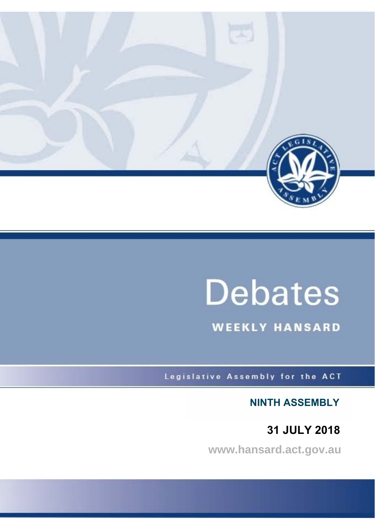

# **Debates**

**WEEKLY HANSARD** 

Legislative Assembly for the ACT

**NINTH ASSEMBLY**

**31 JULY 2018**

**www.hansard.act.gov.au**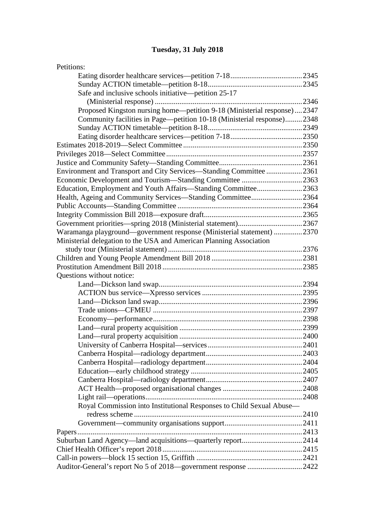## **[Tuesday, 31 July 2018](#page-3-0)**

| Petitions:                                                              |  |
|-------------------------------------------------------------------------|--|
|                                                                         |  |
|                                                                         |  |
| Safe and inclusive schools initiative—petition 25-17                    |  |
|                                                                         |  |
| Proposed Kingston nursing home—petition 9-18 (Ministerial response)2347 |  |
| Community facilities in Page—petition 10-18 (Ministerial response)2348  |  |
|                                                                         |  |
|                                                                         |  |
|                                                                         |  |
|                                                                         |  |
|                                                                         |  |
| Environment and Transport and City Services—Standing Committee 2361     |  |
| Economic Development and Tourism—Standing Committee 2363                |  |
| Education, Employment and Youth Affairs-Standing Committee2363          |  |
| Health, Ageing and Community Services-Standing Committee2364            |  |
|                                                                         |  |
|                                                                         |  |
|                                                                         |  |
| Waramanga playground—government response (Ministerial statement) 2370   |  |
| Ministerial delegation to the USA and American Planning Association     |  |
|                                                                         |  |
|                                                                         |  |
|                                                                         |  |
| Questions without notice:                                               |  |
|                                                                         |  |
|                                                                         |  |
|                                                                         |  |
|                                                                         |  |
|                                                                         |  |
|                                                                         |  |
|                                                                         |  |
|                                                                         |  |
|                                                                         |  |
|                                                                         |  |
|                                                                         |  |
|                                                                         |  |
|                                                                         |  |
|                                                                         |  |
| Royal Commission into Institutional Responses to Child Sexual Abuse-    |  |
|                                                                         |  |
|                                                                         |  |
|                                                                         |  |
| Suburban Land Agency—land acquisitions—quarterly report2414             |  |
|                                                                         |  |
|                                                                         |  |
| Auditor-General's report No 5 of 2018-government response 2422          |  |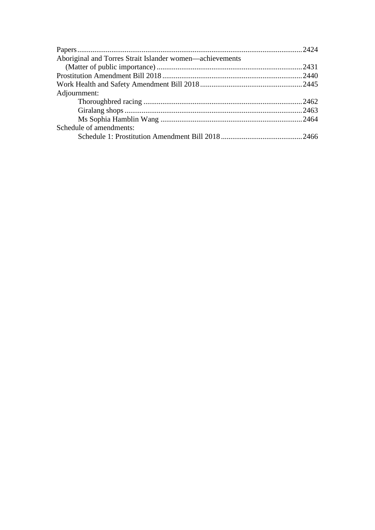| Aboriginal and Torres Strait Islander women—achievements |  |
|----------------------------------------------------------|--|
|                                                          |  |
|                                                          |  |
|                                                          |  |
| Adjournment:                                             |  |
|                                                          |  |
|                                                          |  |
|                                                          |  |
| Schedule of amendments:                                  |  |
|                                                          |  |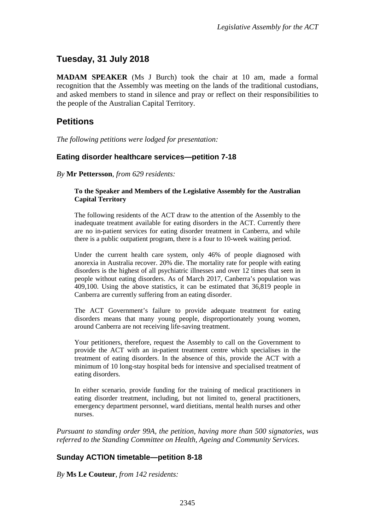## <span id="page-3-0"></span>**Tuesday, 31 July 2018**

**MADAM SPEAKER** (Ms J Burch) took the chair at 10 am, made a formal recognition that the Assembly was meeting on the lands of the traditional custodians, and asked members to stand in silence and pray or reflect on their responsibilities to the people of the Australian Capital Territory.

## <span id="page-3-1"></span>**Petitions**

*The following petitions were lodged for presentation:*

#### <span id="page-3-2"></span>**Eating disorder healthcare services—petition 7-18**

*By* **Mr Pettersson**, *from 629 residents:*

#### **To the Speaker and Members of the Legislative Assembly for the Australian Capital Territory**

The following residents of the ACT draw to the attention of the Assembly to the inadequate treatment available for eating disorders in the ACT. Currently there are no in-patient services for eating disorder treatment in Canberra, and while there is a public outpatient program, there is a four to 10-week waiting period.

Under the current health care system, only 46% of people diagnosed with anorexia in Australia recover. 20% die. The mortality rate for people with eating disorders is the highest of all psychiatric illnesses and over 12 times that seen in people without eating disorders. As of March 2017, Canberra's population was 409,100. Using the above statistics, it can be estimated that 36,819 people in Canberra are currently suffering from an eating disorder.

The ACT Government's failure to provide adequate treatment for eating disorders means that many young people, disproportionately young women, around Canberra are not receiving life-saving treatment.

Your petitioners, therefore, request the Assembly to call on the Government to provide the ACT with an in-patient treatment centre which specialises in the treatment of eating disorders. In the absence of this, provide the ACT with a minimum of 10 long-stay hospital beds for intensive and specialised treatment of eating disorders.

In either scenario, provide funding for the training of medical practitioners in eating disorder treatment, including, but not limited to, general practitioners, emergency department personnel, ward dietitians, mental health nurses and other nurses.

*Pursuant to standing order 99A, the petition, having more than 500 signatories, was referred to the Standing Committee on Health, Ageing and Community Services.*

### <span id="page-3-3"></span>**Sunday ACTION timetable—petition 8-18**

*By* **Ms Le Couteur**, *from 142 residents:*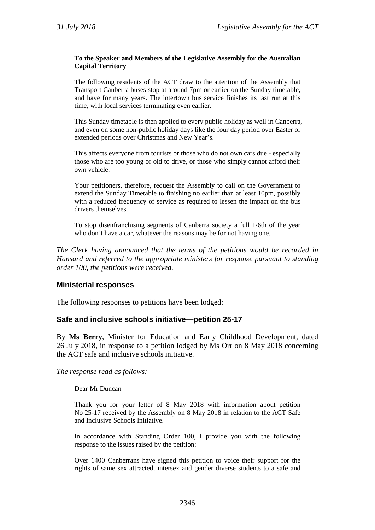#### **To the Speaker and Members of the Legislative Assembly for the Australian Capital Territory**

The following residents of the ACT draw to the attention of the Assembly that Transport Canberra buses stop at around 7pm or earlier on the Sunday timetable, and have for many years. The intertown bus service finishes its last run at this time, with local services terminating even earlier.

This Sunday timetable is then applied to every public holiday as well in Canberra, and even on some non-public holiday days like the four day period over Easter or extended periods over Christmas and New Year's.

This affects everyone from tourists or those who do not own cars due - especially those who are too young or old to drive, or those who simply cannot afford their own vehicle.

Your petitioners, therefore, request the Assembly to call on the Government to extend the Sunday Timetable to finishing no earlier than at least 10pm, possibly with a reduced frequency of service as required to lessen the impact on the bus drivers themselves.

To stop disenfranchising segments of Canberra society a full 1/6th of the year who don't have a car, whatever the reasons may be for not having one.

*The Clerk having announced that the terms of the petitions would be recorded in Hansard and referred to the appropriate ministers for response pursuant to standing order 100, the petitions were received.*

#### **Ministerial responses**

The following responses to petitions have been lodged:

#### <span id="page-4-0"></span>**Safe and inclusive schools initiative—petition 25-17**

By **Ms Berry**, Minister for Education and Early Childhood Development, dated 26 July 2018, in response to a petition lodged by Ms Orr on 8 May 2018 concerning the ACT safe and inclusive schools initiative.

*The response read as follows:*

Dear Mr Duncan

Thank you for your letter of 8 May 2018 with information about petition No 25-17 received by the Assembly on 8 May 2018 in relation to the ACT Safe and Inclusive Schools Initiative.

In accordance with Standing Order 100, I provide you with the following response to the issues raised by the petition:

Over 1400 Canberrans have signed this petition to voice their support for the rights of same sex attracted, intersex and gender diverse students to a safe and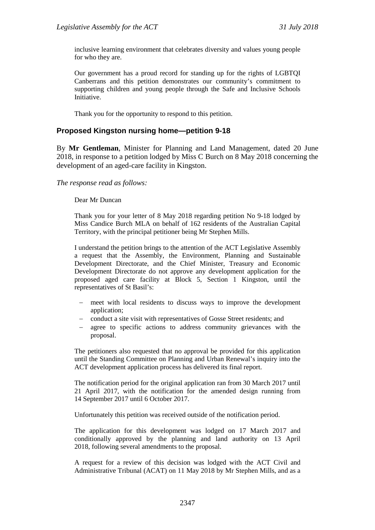inclusive learning environment that celebrates diversity and values young people for who they are.

Our government has a proud record for standing up for the rights of LGBTQI Canberrans and this petition demonstrates our community's commitment to supporting children and young people through the Safe and Inclusive Schools Initiative.

Thank you for the opportunity to respond to this petition.

#### <span id="page-5-0"></span>**Proposed Kingston nursing home—petition 9-18**

By **Mr Gentleman**, Minister for Planning and Land Management, dated 20 June 2018, in response to a petition lodged by Miss C Burch on 8 May 2018 concerning the development of an aged-care facility in Kingston.

*The response read as follows:*

Dear Mr Duncan

Thank you for your letter of 8 May 2018 regarding petition No 9-18 lodged by Miss Candice Burch MLA on behalf of 162 residents of the Australian Capital Territory, with the principal petitioner being Mr Stephen Mills.

I understand the petition brings to the attention of the ACT Legislative Assembly a request that the Assembly, the Environment, Planning and Sustainable Development Directorate, and the Chief Minister, Treasury and Economic Development Directorate do not approve any development application for the proposed aged care facility at Block 5, Section 1 Kingston, until the representatives of St Basil's:

- − meet with local residents to discuss ways to improve the development application;
- conduct a site visit with representatives of Gosse Street residents; and
- agree to specific actions to address community grievances with the proposal.

The petitioners also requested that no approval be provided for this application until the Standing Committee on Planning and Urban Renewal's inquiry into the ACT development application process has delivered its final report.

The notification period for the original application ran from 30 March 2017 until 21 April 2017, with the notification for the amended design running from 14 September 2017 until 6 October 2017.

Unfortunately this petition was received outside of the notification period.

The application for this development was lodged on 17 March 2017 and conditionally approved by the planning and land authority on 13 April 2018, following several amendments to the proposal.

A request for a review of this decision was lodged with the ACT Civil and Administrative Tribunal (ACAT) on 11 May 2018 by Mr Stephen Mills, and as a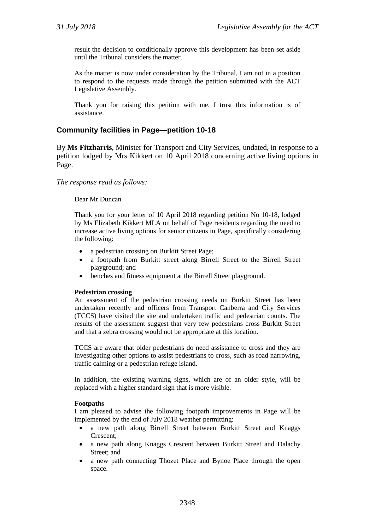result the decision to conditionally approve this development has been set aside until the Tribunal considers the matter.

As the matter is now under consideration by the Tribunal, I am not in a position to respond to the requests made through the petition submitted with the ACT Legislative Assembly.

Thank you for raising this petition with me. I trust this information is of assistance.

#### <span id="page-6-0"></span>**Community facilities in Page—petition 10-18**

By **Ms Fitzharris**, Minister for Transport and City Services, undated, in response to a petition lodged by Mrs Kikkert on 10 April 2018 concerning active living options in Page.

*The response read as follows:*

#### Dear Mr Duncan

Thank you for your letter of 10 April 2018 regarding petition No 10-18, lodged by Ms Elizabeth Kikkert MLA on behalf of Page residents regarding the need to increase active living options for senior citizens in Page, specifically considering the following:

- a pedestrian crossing on Burkitt Street Page;
- a footpath from Burkitt street along Birrell Street to the Birrell Street playground; and
- benches and fitness equipment at the Birrell Street playground.

#### **Pedestrian crossing**

An assessment of the pedestrian crossing needs on Burkitt Street has been undertaken recently and officers from Transport Canberra and City Services (TCCS) have visited the site and undertaken traffic and pedestrian counts. The results of the assessment suggest that very few pedestrians cross Burkitt Street and that a zebra crossing would not be appropriate at this location.

TCCS are aware that older pedestrians do need assistance to cross and they are investigating other options to assist pedestrians to cross, such as road narrowing, traffic calming or a pedestrian refuge island.

In addition, the existing warning signs, which are of an older style, will be replaced with a higher standard sign that is more visible.

#### **Footpaths**

I am pleased to advise the following footpath improvements in Page will be implemented by the end of July 2018 weather permitting:

- a new path along Birrell Street between Burkitt Street and Knaggs Crescent;
- a new path along Knaggs Crescent between Burkitt Street and Dalachy Street; and
- a new path connecting Thozet Place and Bynoe Place through the open space.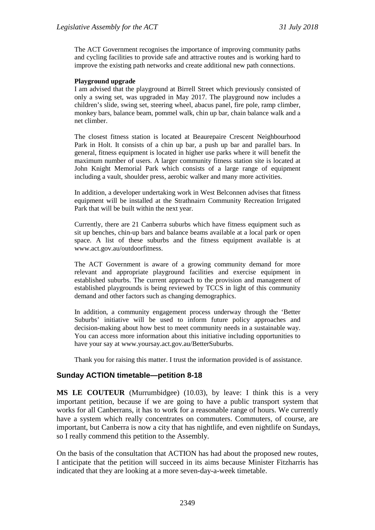The ACT Government recognises the importance of improving community paths and cycling facilities to provide safe and attractive routes and is working hard to improve the existing path networks and create additional new path connections.

#### **Playground upgrade**

I am advised that the playground at Birrell Street which previously consisted of only a swing set, was upgraded in May 2017. The playground now includes a children's slide, swing set, steering wheel, abacus panel, fire pole, ramp climber, monkey bars, balance beam, pommel walk, chin up bar, chain balance walk and a net climber.

The closest fitness station is located at Beaurepaire Crescent Neighbourhood Park in Holt. It consists of a chin up bar, a push up bar and parallel bars. In general, fitness equipment is located in higher use parks where it will benefit the maximum number of users. A larger community fitness station site is located at John Knight Memorial Park which consists of a large range of equipment including a vault, shoulder press, aerobic walker and many more activities.

In addition, a developer undertaking work in West Belconnen advises that fitness equipment will be installed at the Strathnairn Community Recreation Irrigated Park that will be built within the next year.

Currently, there are 21 Canberra suburbs which have fitness equipment such as sit up benches, chin-up bars and balance beams available at a local park or open space. A list of these suburbs and the fitness equipment available is at www.act.gov.au/outdoorfitness.

The ACT Government is aware of a growing community demand for more relevant and appropriate playground facilities and exercise equipment in established suburbs. The current approach to the provision and management of established playgrounds is being reviewed by TCCS in light of this community demand and other factors such as changing demographics.

In addition, a community engagement process underway through the 'Better Suburbs' initiative will be used to inform future policy approaches and decision-making about how best to meet community needs in a sustainable way. You can access more information about this initiative including opportunities to have your say at www.yoursay.act.gov.au/BetterSuburbs.

Thank you for raising this matter. I trust the information provided is of assistance.

#### <span id="page-7-0"></span>**Sunday ACTION timetable—petition 8-18**

**MS LE COUTEUR** (Murrumbidgee) (10.03), by leave: I think this is a very important petition, because if we are going to have a public transport system that works for all Canberrans, it has to work for a reasonable range of hours. We currently have a system which really concentrates on commuters. Commuters, of course, are important, but Canberra is now a city that has nightlife, and even nightlife on Sundays, so I really commend this petition to the Assembly.

On the basis of the consultation that ACTION has had about the proposed new routes, I anticipate that the petition will succeed in its aims because Minister Fitzharris has indicated that they are looking at a more seven-day-a-week timetable.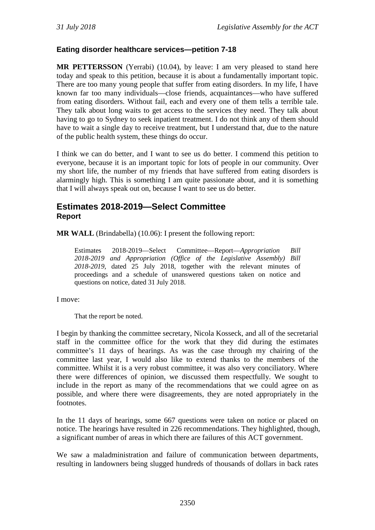#### <span id="page-8-0"></span>**Eating disorder healthcare services—petition 7-18**

**MR PETTERSSON** (Yerrabi) (10.04), by leave: I am very pleased to stand here today and speak to this petition, because it is about a fundamentally important topic. There are too many young people that suffer from eating disorders. In my life, I have known far too many individuals—close friends, acquaintances—who have suffered from eating disorders. Without fail, each and every one of them tells a terrible tale. They talk about long waits to get access to the services they need. They talk about having to go to Sydney to seek inpatient treatment. I do not think any of them should have to wait a single day to receive treatment, but I understand that, due to the nature of the public health system, these things do occur.

I think we can do better, and I want to see us do better. I commend this petition to everyone, because it is an important topic for lots of people in our community. Over my short life, the number of my friends that have suffered from eating disorders is alarmingly high. This is something I am quite passionate about, and it is something that I will always speak out on, because I want to see us do better.

### <span id="page-8-1"></span>**Estimates 2018-2019—Select Committee Report**

**MR WALL** (Brindabella) (10.06): I present the following report:

Estimates 2018-2019—Select Committee—Report—*Appropriation Bill 2018-2019 and Appropriation (Office of the Legislative Assembly) Bill 2018-2019,* dated 25 July 2018*,* together with the relevant minutes of proceedings and a schedule of unanswered questions taken on notice and questions on notice, dated 31 July 2018.

I move:

That the report be noted.

I begin by thanking the committee secretary, Nicola Kosseck, and all of the secretarial staff in the committee office for the work that they did during the estimates committee's 11 days of hearings. As was the case through my chairing of the committee last year, I would also like to extend thanks to the members of the committee. Whilst it is a very robust committee, it was also very conciliatory. Where there were differences of opinion, we discussed them respectfully. We sought to include in the report as many of the recommendations that we could agree on as possible, and where there were disagreements, they are noted appropriately in the footnotes.

In the 11 days of hearings, some 667 questions were taken on notice or placed on notice. The hearings have resulted in 226 recommendations. They highlighted, though, a significant number of areas in which there are failures of this ACT government.

We saw a maladministration and failure of communication between departments, resulting in landowners being slugged hundreds of thousands of dollars in back rates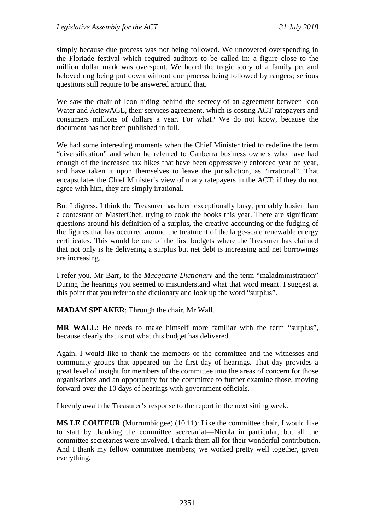simply because due process was not being followed. We uncovered overspending in the Floriade festival which required auditors to be called in: a figure close to the million dollar mark was overspent. We heard the tragic story of a family pet and beloved dog being put down without due process being followed by rangers; serious questions still require to be answered around that.

We saw the chair of Icon hiding behind the secrecy of an agreement between Icon Water and ActewAGL, their services agreement, which is costing ACT ratepayers and consumers millions of dollars a year. For what? We do not know, because the document has not been published in full.

We had some interesting moments when the Chief Minister tried to redefine the term "diversification" and when he referred to Canberra business owners who have had enough of the increased tax hikes that have been oppressively enforced year on year, and have taken it upon themselves to leave the jurisdiction, as "irrational". That encapsulates the Chief Minister's view of many ratepayers in the ACT: if they do not agree with him, they are simply irrational.

But I digress. I think the Treasurer has been exceptionally busy, probably busier than a contestant on MasterChef, trying to cook the books this year. There are significant questions around his definition of a surplus, the creative accounting or the fudging of the figures that has occurred around the treatment of the large-scale renewable energy certificates. This would be one of the first budgets where the Treasurer has claimed that not only is he delivering a surplus but net debt is increasing and net borrowings are increasing.

I refer you, Mr Barr, to the *Macquarie Dictionary* and the term "maladministration" During the hearings you seemed to misunderstand what that word meant. I suggest at this point that you refer to the dictionary and look up the word "surplus".

**MADAM SPEAKER**: Through the chair, Mr Wall.

**MR WALL**: He needs to make himself more familiar with the term "surplus", because clearly that is not what this budget has delivered.

Again, I would like to thank the members of the committee and the witnesses and community groups that appeared on the first day of hearings. That day provides a great level of insight for members of the committee into the areas of concern for those organisations and an opportunity for the committee to further examine those, moving forward over the 10 days of hearings with government officials.

I keenly await the Treasurer's response to the report in the next sitting week.

**MS LE COUTEUR** (Murrumbidgee) (10.11): Like the committee chair, I would like to start by thanking the committee secretariat—Nicola in particular, but all the committee secretaries were involved. I thank them all for their wonderful contribution. And I thank my fellow committee members; we worked pretty well together, given everything.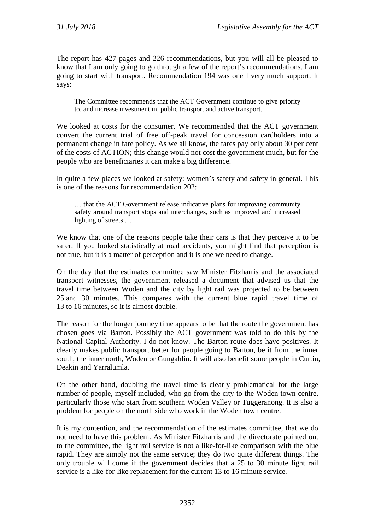The report has 427 pages and 226 recommendations, but you will all be pleased to know that I am only going to go through a few of the report's recommendations. I am going to start with transport. Recommendation 194 was one I very much support. It says:

The Committee recommends that the ACT Government continue to give priority to, and increase investment in, public transport and active transport.

We looked at costs for the consumer. We recommended that the ACT government convert the current trial of free off-peak travel for concession cardholders into a permanent change in fare policy. As we all know, the fares pay only about 30 per cent of the costs of ACTION; this change would not cost the government much, but for the people who are beneficiaries it can make a big difference.

In quite a few places we looked at safety: women's safety and safety in general. This is one of the reasons for recommendation 202:

… that the ACT Government release indicative plans for improving community safety around transport stops and interchanges, such as improved and increased lighting of streets …

We know that one of the reasons people take their cars is that they perceive it to be safer. If you looked statistically at road accidents, you might find that perception is not true, but it is a matter of perception and it is one we need to change.

On the day that the estimates committee saw Minister Fitzharris and the associated transport witnesses, the government released a document that advised us that the travel time between Woden and the city by light rail was projected to be between 25 and 30 minutes. This compares with the current blue rapid travel time of 13 to 16 minutes, so it is almost double.

The reason for the longer journey time appears to be that the route the government has chosen goes via Barton. Possibly the ACT government was told to do this by the National Capital Authority. I do not know. The Barton route does have positives. It clearly makes public transport better for people going to Barton, be it from the inner south, the inner north, Woden or Gungahlin. It will also benefit some people in Curtin, Deakin and Yarralumla.

On the other hand, doubling the travel time is clearly problematical for the large number of people, myself included, who go from the city to the Woden town centre, particularly those who start from southern Woden Valley or Tuggeranong. It is also a problem for people on the north side who work in the Woden town centre.

It is my contention, and the recommendation of the estimates committee, that we do not need to have this problem. As Minister Fitzharris and the directorate pointed out to the committee, the light rail service is not a like-for-like comparison with the blue rapid. They are simply not the same service; they do two quite different things. The only trouble will come if the government decides that a 25 to 30 minute light rail service is a like-for-like replacement for the current 13 to 16 minute service.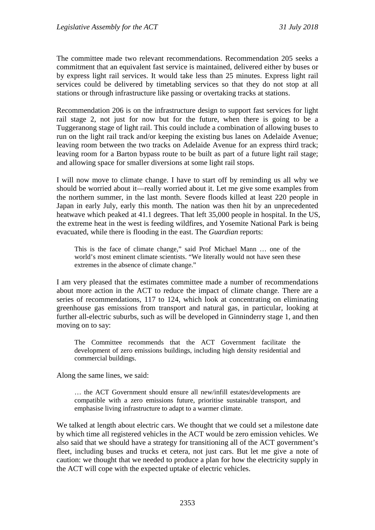The committee made two relevant recommendations. Recommendation 205 seeks a commitment that an equivalent fast service is maintained, delivered either by buses or by express light rail services. It would take less than 25 minutes. Express light rail services could be delivered by timetabling services so that they do not stop at all stations or through infrastructure like passing or overtaking tracks at stations.

Recommendation 206 is on the infrastructure design to support fast services for light rail stage 2, not just for now but for the future, when there is going to be a Tuggeranong stage of light rail. This could include a combination of allowing buses to run on the light rail track and/or keeping the existing bus lanes on Adelaide Avenue; leaving room between the two tracks on Adelaide Avenue for an express third track; leaving room for a Barton bypass route to be built as part of a future light rail stage; and allowing space for smaller diversions at some light rail stops.

I will now move to climate change. I have to start off by reminding us all why we should be worried about it—really worried about it. Let me give some examples from the northern summer, in the last month. Severe floods killed at least 220 people in Japan in early July, early this month. The nation was then hit by an unprecedented heatwave which peaked at 41.1 degrees. That left 35,000 people in hospital. In the US, the extreme heat in the west is feeding wildfires, and Yosemite National Park is being evacuated, while there is flooding in the east. The *Guardian* reports:

This is the face of climate change," said Prof Michael Mann … one of the world's most eminent climate scientists. "We literally would not have seen these extremes in the absence of climate change."

I am very pleased that the estimates committee made a number of recommendations about more action in the ACT to reduce the impact of climate change. There are a series of recommendations, 117 to 124, which look at concentrating on eliminating greenhouse gas emissions from transport and natural gas, in particular, looking at further all-electric suburbs, such as will be developed in Ginninderry stage 1, and then moving on to say:

The Committee recommends that the ACT Government facilitate the development of zero emissions buildings, including high density residential and commercial buildings.

Along the same lines, we said:

… the ACT Government should ensure all new/infill estates/developments are compatible with a zero emissions future, prioritise sustainable transport, and emphasise living infrastructure to adapt to a warmer climate.

We talked at length about electric cars. We thought that we could set a milestone date by which time all registered vehicles in the ACT would be zero emission vehicles. We also said that we should have a strategy for transitioning all of the ACT government's fleet, including buses and trucks et cetera, not just cars. But let me give a note of caution: we thought that we needed to produce a plan for how the electricity supply in the ACT will cope with the expected uptake of electric vehicles.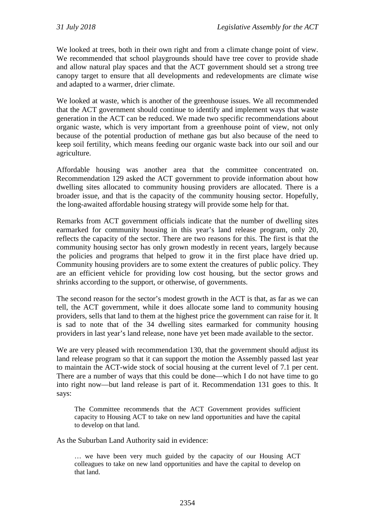We looked at trees, both in their own right and from a climate change point of view. We recommended that school playgrounds should have tree cover to provide shade and allow natural play spaces and that the ACT government should set a strong tree canopy target to ensure that all developments and redevelopments are climate wise and adapted to a warmer, drier climate.

We looked at waste, which is another of the greenhouse issues. We all recommended that the ACT government should continue to identify and implement ways that waste generation in the ACT can be reduced. We made two specific recommendations about organic waste, which is very important from a greenhouse point of view, not only because of the potential production of methane gas but also because of the need to keep soil fertility, which means feeding our organic waste back into our soil and our agriculture.

Affordable housing was another area that the committee concentrated on. Recommendation 129 asked the ACT government to provide information about how dwelling sites allocated to community housing providers are allocated. There is a broader issue, and that is the capacity of the community housing sector. Hopefully, the long-awaited affordable housing strategy will provide some help for that.

Remarks from ACT government officials indicate that the number of dwelling sites earmarked for community housing in this year's land release program, only 20, reflects the capacity of the sector. There are two reasons for this. The first is that the community housing sector has only grown modestly in recent years, largely because the policies and programs that helped to grow it in the first place have dried up. Community housing providers are to some extent the creatures of public policy. They are an efficient vehicle for providing low cost housing, but the sector grows and shrinks according to the support, or otherwise, of governments.

The second reason for the sector's modest growth in the ACT is that, as far as we can tell, the ACT government, while it does allocate some land to community housing providers, sells that land to them at the highest price the government can raise for it. It is sad to note that of the 34 dwelling sites earmarked for community housing providers in last year's land release, none have yet been made available to the sector.

We are very pleased with recommendation 130, that the government should adjust its land release program so that it can support the motion the Assembly passed last year to maintain the ACT-wide stock of social housing at the current level of 7.1 per cent. There are a number of ways that this could be done—which I do not have time to go into right now—but land release is part of it. Recommendation 131 goes to this. It says:

The Committee recommends that the ACT Government provides sufficient capacity to Housing ACT to take on new land opportunities and have the capital to develop on that land.

As the Suburban Land Authority said in evidence:

… we have been very much guided by the capacity of our Housing ACT colleagues to take on new land opportunities and have the capital to develop on that land.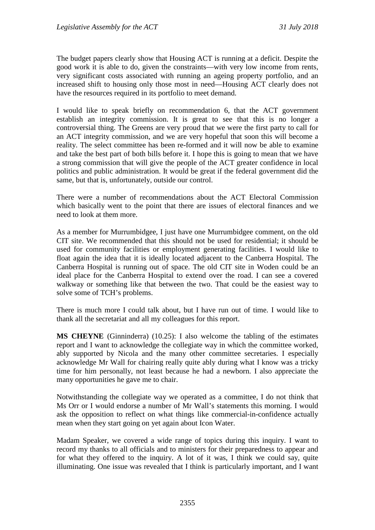The budget papers clearly show that Housing ACT is running at a deficit. Despite the good work it is able to do, given the constraints—with very low income from rents, very significant costs associated with running an ageing property portfolio, and an increased shift to housing only those most in need—Housing ACT clearly does not have the resources required in its portfolio to meet demand.

I would like to speak briefly on recommendation 6, that the ACT government establish an integrity commission. It is great to see that this is no longer a controversial thing. The Greens are very proud that we were the first party to call for an ACT integrity commission, and we are very hopeful that soon this will become a reality. The select committee has been re-formed and it will now be able to examine and take the best part of both bills before it. I hope this is going to mean that we have a strong commission that will give the people of the ACT greater confidence in local politics and public administration. It would be great if the federal government did the same, but that is, unfortunately, outside our control.

There were a number of recommendations about the ACT Electoral Commission which basically went to the point that there are issues of electoral finances and we need to look at them more.

As a member for Murrumbidgee, I just have one Murrumbidgee comment, on the old CIT site. We recommended that this should not be used for residential; it should be used for community facilities or employment generating facilities. I would like to float again the idea that it is ideally located adjacent to the Canberra Hospital. The Canberra Hospital is running out of space. The old CIT site in Woden could be an ideal place for the Canberra Hospital to extend over the road. I can see a covered walkway or something like that between the two. That could be the easiest way to solve some of TCH's problems.

There is much more I could talk about, but I have run out of time. I would like to thank all the secretariat and all my colleagues for this report.

**MS CHEYNE** (Ginninderra) (10.25): I also welcome the tabling of the estimates report and I want to acknowledge the collegiate way in which the committee worked, ably supported by Nicola and the many other committee secretaries. I especially acknowledge Mr Wall for chairing really quite ably during what I know was a tricky time for him personally, not least because he had a newborn. I also appreciate the many opportunities he gave me to chair.

Notwithstanding the collegiate way we operated as a committee, I do not think that Ms Orr or I would endorse a number of Mr Wall's statements this morning. I would ask the opposition to reflect on what things like commercial-in-confidence actually mean when they start going on yet again about Icon Water.

Madam Speaker, we covered a wide range of topics during this inquiry. I want to record my thanks to all officials and to ministers for their preparedness to appear and for what they offered to the inquiry. A lot of it was, I think we could say, quite illuminating. One issue was revealed that I think is particularly important, and I want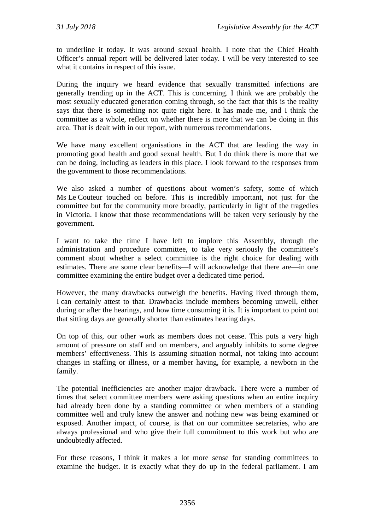to underline it today. It was around sexual health. I note that the Chief Health Officer's annual report will be delivered later today. I will be very interested to see what it contains in respect of this issue.

During the inquiry we heard evidence that sexually transmitted infections are generally trending up in the ACT. This is concerning. I think we are probably the most sexually educated generation coming through, so the fact that this is the reality says that there is something not quite right here. It has made me, and I think the committee as a whole, reflect on whether there is more that we can be doing in this area. That is dealt with in our report, with numerous recommendations.

We have many excellent organisations in the ACT that are leading the way in promoting good health and good sexual health. But I do think there is more that we can be doing, including as leaders in this place. I look forward to the responses from the government to those recommendations.

We also asked a number of questions about women's safety, some of which Ms Le Couteur touched on before. This is incredibly important, not just for the committee but for the community more broadly, particularly in light of the tragedies in Victoria. I know that those recommendations will be taken very seriously by the government.

I want to take the time I have left to implore this Assembly, through the administration and procedure committee, to take very seriously the committee's comment about whether a select committee is the right choice for dealing with estimates. There are some clear benefits—I will acknowledge that there are—in one committee examining the entire budget over a dedicated time period.

However, the many drawbacks outweigh the benefits. Having lived through them, I can certainly attest to that. Drawbacks include members becoming unwell, either during or after the hearings, and how time consuming it is. It is important to point out that sitting days are generally shorter than estimates hearing days.

On top of this, our other work as members does not cease. This puts a very high amount of pressure on staff and on members, and arguably inhibits to some degree members' effectiveness. This is assuming situation normal, not taking into account changes in staffing or illness, or a member having, for example, a newborn in the family.

The potential inefficiencies are another major drawback. There were a number of times that select committee members were asking questions when an entire inquiry had already been done by a standing committee or when members of a standing committee well and truly knew the answer and nothing new was being examined or exposed. Another impact, of course, is that on our committee secretaries, who are always professional and who give their full commitment to this work but who are undoubtedly affected.

For these reasons, I think it makes a lot more sense for standing committees to examine the budget. It is exactly what they do up in the federal parliament. I am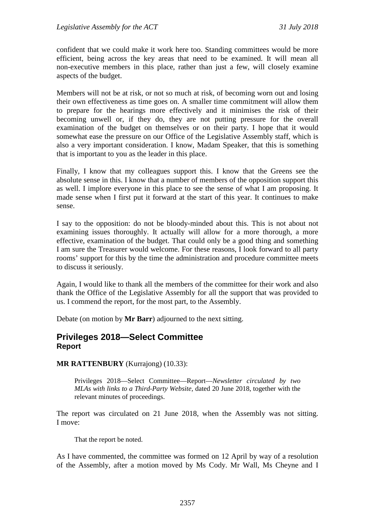confident that we could make it work here too. Standing committees would be more efficient, being across the key areas that need to be examined. It will mean all non-executive members in this place, rather than just a few, will closely examine aspects of the budget.

Members will not be at risk, or not so much at risk, of becoming worn out and losing their own effectiveness as time goes on. A smaller time commitment will allow them to prepare for the hearings more effectively and it minimises the risk of their becoming unwell or, if they do, they are not putting pressure for the overall examination of the budget on themselves or on their party. I hope that it would somewhat ease the pressure on our Office of the Legislative Assembly staff, which is also a very important consideration. I know, Madam Speaker, that this is something that is important to you as the leader in this place.

Finally, I know that my colleagues support this. I know that the Greens see the absolute sense in this. I know that a number of members of the opposition support this as well. I implore everyone in this place to see the sense of what I am proposing. It made sense when I first put it forward at the start of this year. It continues to make sense.

I say to the opposition: do not be bloody-minded about this. This is not about not examining issues thoroughly. It actually will allow for a more thorough, a more effective, examination of the budget. That could only be a good thing and something I am sure the Treasurer would welcome. For these reasons, I look forward to all party rooms' support for this by the time the administration and procedure committee meets to discuss it seriously.

Again, I would like to thank all the members of the committee for their work and also thank the Office of the Legislative Assembly for all the support that was provided to us. I commend the report, for the most part, to the Assembly.

Debate (on motion by **Mr Barr**) adjourned to the next sitting.

### <span id="page-15-0"></span>**Privileges 2018—Select Committee Report**

**MR RATTENBURY** (Kurrajong) (10.33):

Privileges 2018—Select Committee—Report—*Newsletter circulated by two MLAs with links to a Third-Party Website,* dated 20 June 2018, together with the relevant minutes of proceedings.

The report was circulated on 21 June 2018, when the Assembly was not sitting. I move:

That the report be noted.

As I have commented, the committee was formed on 12 April by way of a resolution of the Assembly, after a motion moved by Ms Cody. Mr Wall, Ms Cheyne and I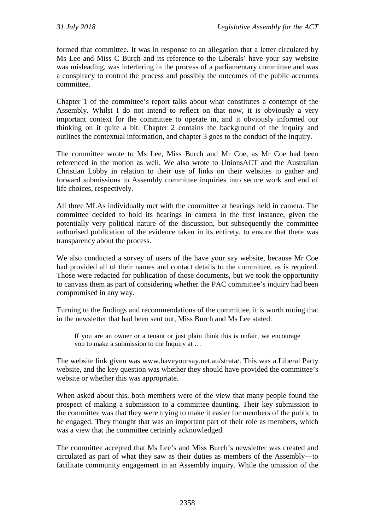formed that committee. It was in response to an allegation that a letter circulated by Ms Lee and Miss C Burch and its reference to the Liberals' have your say website was misleading, was interfering in the process of a parliamentary committee and was a conspiracy to control the process and possibly the outcomes of the public accounts committee.

Chapter 1 of the committee's report talks about what constitutes a contempt of the Assembly. Whilst I do not intend to reflect on that now, it is obviously a very important context for the committee to operate in, and it obviously informed our thinking on it quite a bit. Chapter 2 contains the background of the inquiry and outlines the contextual information, and chapter 3 goes to the conduct of the inquiry.

The committee wrote to Ms Lee, Miss Burch and Mr Coe, as Mr Coe had been referenced in the motion as well. We also wrote to UnionsACT and the Australian Christian Lobby in relation to their use of links on their websites to gather and forward submissions to Assembly committee inquiries into secure work and end of life choices, respectively.

All three MLAs individually met with the committee at hearings held in camera. The committee decided to hold its hearings in camera in the first instance, given the potentially very political nature of the discussion, but subsequently the committee authorised publication of the evidence taken in its entirety, to ensure that there was transparency about the process.

We also conducted a survey of users of the have your say website, because Mr Coe had provided all of their names and contact details to the committee, as is required. Those were redacted for publication of those documents, but we took the opportunity to canvass them as part of considering whether the PAC committee's inquiry had been compromised in any way.

Turning to the findings and recommendations of the committee, it is worth noting that in the newsletter that had been sent out, Miss Burch and Ms Lee stated:

If you are an owner or a tenant or just plain think this is unfair, we encourage you to make a submission to the Inquiry at …

The website link given was www.haveyoursay.net.au/strata/. This was a Liberal Party website, and the key question was whether they should have provided the committee's website or whether this was appropriate.

When asked about this, both members were of the view that many people found the prospect of making a submission to a committee daunting. Their key submission to the committee was that they were trying to make it easier for members of the public to be engaged. They thought that was an important part of their role as members, which was a view that the committee certainly acknowledged.

The committee accepted that Ms Lee's and Miss Burch's newsletter was created and circulated as part of what they saw as their duties as members of the Assembly—to facilitate community engagement in an Assembly inquiry. While the omission of the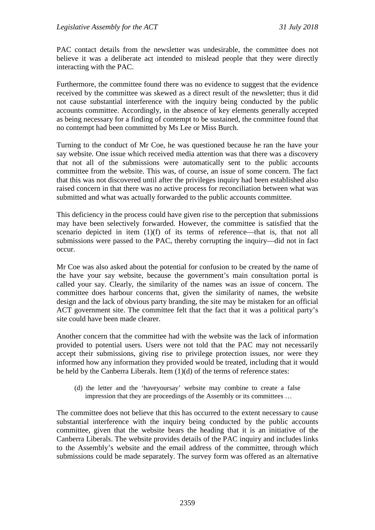PAC contact details from the newsletter was undesirable, the committee does not believe it was a deliberate act intended to mislead people that they were directly interacting with the PAC.

Furthermore, the committee found there was no evidence to suggest that the evidence received by the committee was skewed as a direct result of the newsletter; thus it did not cause substantial interference with the inquiry being conducted by the public accounts committee. Accordingly, in the absence of key elements generally accepted as being necessary for a finding of contempt to be sustained, the committee found that no contempt had been committed by Ms Lee or Miss Burch.

Turning to the conduct of Mr Coe, he was questioned because he ran the have your say website. One issue which received media attention was that there was a discovery that not all of the submissions were automatically sent to the public accounts committee from the website. This was, of course, an issue of some concern. The fact that this was not discovered until after the privileges inquiry had been established also raised concern in that there was no active process for reconciliation between what was submitted and what was actually forwarded to the public accounts committee.

This deficiency in the process could have given rise to the perception that submissions may have been selectively forwarded. However, the committee is satisfied that the scenario depicted in item (1)(f) of its terms of reference—that is, that not all submissions were passed to the PAC, thereby corrupting the inquiry—did not in fact occur.

Mr Coe was also asked about the potential for confusion to be created by the name of the have your say website, because the government's main consultation portal is called your say. Clearly, the similarity of the names was an issue of concern. The committee does harbour concerns that, given the similarity of names, the website design and the lack of obvious party branding, the site may be mistaken for an official ACT government site. The committee felt that the fact that it was a political party's site could have been made clearer.

Another concern that the committee had with the website was the lack of information provided to potential users. Users were not told that the PAC may not necessarily accept their submissions, giving rise to privilege protection issues, nor were they informed how any information they provided would be treated, including that it would be held by the Canberra Liberals. Item (1)(d) of the terms of reference states:

(d) the letter and the 'haveyoursay' website may combine to create a false impression that they are proceedings of the Assembly or its committees …

The committee does not believe that this has occurred to the extent necessary to cause substantial interference with the inquiry being conducted by the public accounts committee, given that the website bears the heading that it is an initiative of the Canberra Liberals. The website provides details of the PAC inquiry and includes links to the Assembly's website and the email address of the committee, through which submissions could be made separately. The survey form was offered as an alternative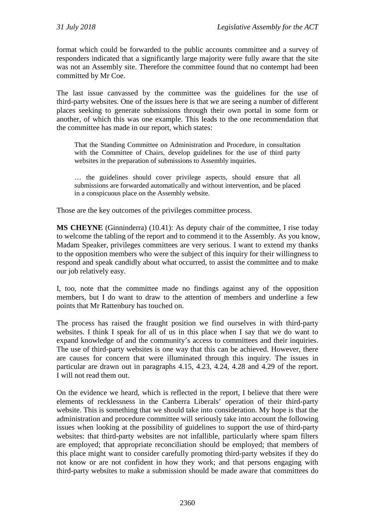format which could be forwarded to the public accounts committee and a survey of responders indicated that a significantly large majority were fully aware that the site was not an Assembly site. Therefore the committee found that no contempt had been committed by Mr Coe.

The last issue canvassed by the committee was the guidelines for the use of third-party websites. One of the issues here is that we are seeing a number of different places seeking to generate submissions through their own portal in some form or another, of which this was one example. This leads to the one recommendation that the committee has made in our report, which states:

That the Standing Committee on Administration and Procedure, in consultation with the Committee of Chairs, develop guidelines for the use of third party websites in the preparation of submissions to Assembly inquiries.

… the guidelines should cover privilege aspects, should ensure that all submissions are forwarded automatically and without intervention, and be placed in a conspicuous place on the Assembly website.

Those are the key outcomes of the privileges committee process.

**MS CHEYNE** (Ginninderra) (10.41): As deputy chair of the committee, I rise today to welcome the tabling of the report and to commend it to the Assembly. As you know, Madam Speaker, privileges committees are very serious. I want to extend my thanks to the opposition members who were the subject of this inquiry for their willingness to respond and speak candidly about what occurred, to assist the committee and to make our job relatively easy.

I, too, note that the committee made no findings against any of the opposition members, but I do want to draw to the attention of members and underline a few points that Mr Rattenbury has touched on.

The process has raised the fraught position we find ourselves in with third-party websites. I think I speak for all of us in this place when I say that we do want to expand knowledge of and the community's access to committees and their inquiries. The use of third-party websites is one way that this can be achieved. However, there are causes for concern that were illuminated through this inquiry. The issues in particular are drawn out in paragraphs 4.15, 4.23, 4.24, 4.28 and 4.29 of the report. I will not read them out.

On the evidence we heard, which is reflected in the report, I believe that there were elements of recklessness in the Canberra Liberals' operation of their third-party website. This is something that we should take into consideration. My hope is that the administration and procedure committee will seriously take into account the following issues when looking at the possibility of guidelines to support the use of third-party websites: that third-party websites are not infallible, particularly where spam filters are employed; that appropriate reconciliation should be employed; that members of this place might want to consider carefully promoting third-party websites if they do not know or are not confident in how they work; and that persons engaging with third-party websites to make a submission should be made aware that committees do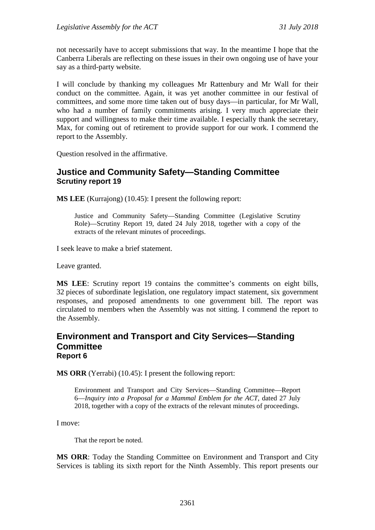not necessarily have to accept submissions that way. In the meantime I hope that the Canberra Liberals are reflecting on these issues in their own ongoing use of have your say as a third-party website.

I will conclude by thanking my colleagues Mr Rattenbury and Mr Wall for their conduct on the committee. Again, it was yet another committee in our festival of committees, and some more time taken out of busy days—in particular, for Mr Wall, who had a number of family commitments arising. I very much appreciate their support and willingness to make their time available. I especially thank the secretary, Max, for coming out of retirement to provide support for our work. I commend the report to the Assembly.

Question resolved in the affirmative.

### <span id="page-19-0"></span>**Justice and Community Safety—Standing Committee Scrutiny report 19**

**MS LEE** (Kurrajong) (10.45): I present the following report:

Justice and Community Safety—Standing Committee (Legislative Scrutiny Role)—Scrutiny Report 19, dated 24 July 2018, together with a copy of the extracts of the relevant minutes of proceedings.

I seek leave to make a brief statement.

Leave granted.

**MS LEE**: Scrutiny report 19 contains the committee's comments on eight bills, 32 pieces of subordinate legislation, one regulatory impact statement, six government responses, and proposed amendments to one government bill. The report was circulated to members when the Assembly was not sitting. I commend the report to the Assembly.

#### <span id="page-19-1"></span>**Environment and Transport and City Services—Standing Committee Report 6**

**MS ORR** (Yerrabi) (10.45): I present the following report:

Environment and Transport and City Services—Standing Committee—Report 6—*Inquiry into a Proposal for a Mammal Emblem for the ACT*, dated 27 July 2018, together with a copy of the extracts of the relevant minutes of proceedings.

I move:

That the report be noted.

**MS ORR**: Today the Standing Committee on Environment and Transport and City Services is tabling its sixth report for the Ninth Assembly. This report presents our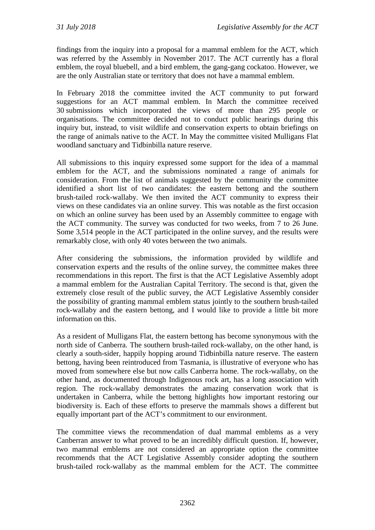findings from the inquiry into a proposal for a mammal emblem for the ACT, which was referred by the Assembly in November 2017. The ACT currently has a floral emblem, the royal bluebell, and a bird emblem, the gang-gang cockatoo. However, we are the only Australian state or territory that does not have a mammal emblem.

In February 2018 the committee invited the ACT community to put forward suggestions for an ACT mammal emblem. In March the committee received 30 submissions which incorporated the views of more than 295 people or organisations. The committee decided not to conduct public hearings during this inquiry but, instead, to visit wildlife and conservation experts to obtain briefings on the range of animals native to the ACT. In May the committee visited Mulligans Flat woodland sanctuary and Tidbinbilla nature reserve.

All submissions to this inquiry expressed some support for the idea of a mammal emblem for the ACT, and the submissions nominated a range of animals for consideration. From the list of animals suggested by the community the committee identified a short list of two candidates: the eastern bettong and the southern brush-tailed rock-wallaby. We then invited the ACT community to express their views on these candidates via an online survey. This was notable as the first occasion on which an online survey has been used by an Assembly committee to engage with the ACT community. The survey was conducted for two weeks, from 7 to 26 June. Some 3,514 people in the ACT participated in the online survey, and the results were remarkably close, with only 40 votes between the two animals.

After considering the submissions, the information provided by wildlife and conservation experts and the results of the online survey, the committee makes three recommendations in this report. The first is that the ACT Legislative Assembly adopt a mammal emblem for the Australian Capital Territory. The second is that, given the extremely close result of the public survey, the ACT Legislative Assembly consider the possibility of granting mammal emblem status jointly to the southern brush-tailed rock-wallaby and the eastern bettong, and I would like to provide a little bit more information on this.

As a resident of Mulligans Flat, the eastern bettong has become synonymous with the north side of Canberra. The southern brush-tailed rock-wallaby, on the other hand, is clearly a south-sider, happily hopping around Tidbinbilla nature reserve. The eastern bettong, having been reintroduced from Tasmania, is illustrative of everyone who has moved from somewhere else but now calls Canberra home. The rock-wallaby, on the other hand, as documented through Indigenous rock art, has a long association with region. The rock-wallaby demonstrates the amazing conservation work that is undertaken in Canberra, while the bettong highlights how important restoring our biodiversity is. Each of these efforts to preserve the mammals shows a different but equally important part of the ACT's commitment to our environment.

The committee views the recommendation of dual mammal emblems as a very Canberran answer to what proved to be an incredibly difficult question. If, however, two mammal emblems are not considered an appropriate option the committee recommends that the ACT Legislative Assembly consider adopting the southern brush-tailed rock-wallaby as the mammal emblem for the ACT. The committee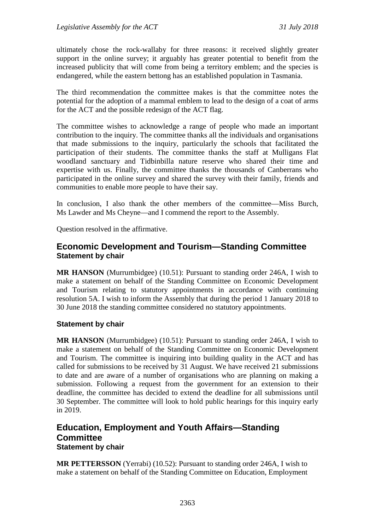ultimately chose the rock-wallaby for three reasons: it received slightly greater support in the online survey; it arguably has greater potential to benefit from the increased publicity that will come from being a territory emblem; and the species is endangered, while the eastern bettong has an established population in Tasmania.

The third recommendation the committee makes is that the committee notes the potential for the adoption of a mammal emblem to lead to the design of a coat of arms for the ACT and the possible redesign of the ACT flag.

The committee wishes to acknowledge a range of people who made an important contribution to the inquiry. The committee thanks all the individuals and organisations that made submissions to the inquiry, particularly the schools that facilitated the participation of their students. The committee thanks the staff at Mulligans Flat woodland sanctuary and Tidbinbilla nature reserve who shared their time and expertise with us. Finally, the committee thanks the thousands of Canberrans who participated in the online survey and shared the survey with their family, friends and communities to enable more people to have their say.

In conclusion, I also thank the other members of the committee—Miss Burch, Ms Lawder and Ms Cheyne—and I commend the report to the Assembly.

Question resolved in the affirmative.

## <span id="page-21-0"></span>**Economic Development and Tourism—Standing Committee Statement by chair**

**MR HANSON** (Murrumbidgee) (10.51): Pursuant to standing order 246A, I wish to make a statement on behalf of the Standing Committee on Economic Development and Tourism relating to statutory appointments in accordance with continuing resolution 5A. I wish to inform the Assembly that during the period 1 January 2018 to 30 June 2018 the standing committee considered no statutory appointments.

#### **Statement by chair**

**MR HANSON** (Murrumbidgee) (10.51): Pursuant to standing order 246A, I wish to make a statement on behalf of the Standing Committee on Economic Development and Tourism. The committee is inquiring into building quality in the ACT and has called for submissions to be received by 31 August. We have received 21 submissions to date and are aware of a number of organisations who are planning on making a submission. Following a request from the government for an extension to their deadline, the committee has decided to extend the deadline for all submissions until 30 September. The committee will look to hold public hearings for this inquiry early in 2019.

## <span id="page-21-1"></span>**Education, Employment and Youth Affairs—Standing Committee Statement by chair**

**MR PETTERSSON** (Yerrabi) (10.52): Pursuant to standing order 246A, I wish to make a statement on behalf of the Standing Committee on Education, Employment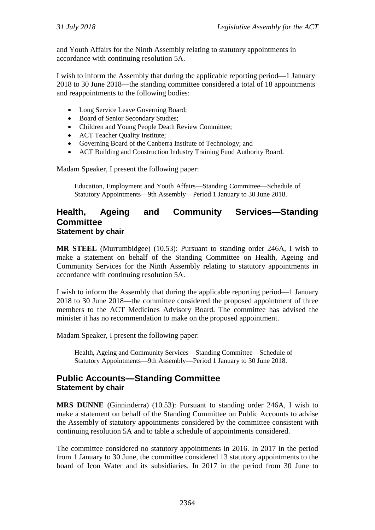and Youth Affairs for the Ninth Assembly relating to statutory appointments in accordance with continuing resolution 5A.

I wish to inform the Assembly that during the applicable reporting period—1 January 2018 to 30 June 2018—the standing committee considered a total of 18 appointments and reappointments to the following bodies:

- Long Service Leave Governing Board;
- Board of Senior Secondary Studies;
- Children and Young People Death Review Committee;
- ACT Teacher Quality Institute;
- Governing Board of the Canberra Institute of Technology; and
- ACT Building and Construction Industry Training Fund Authority Board.

Madam Speaker, I present the following paper:

Education, Employment and Youth Affairs—Standing Committee—Schedule of Statutory Appointments—9th Assembly—Period 1 January to 30 June 2018.

### <span id="page-22-0"></span>**Health, Ageing and Community Services—Standing Committee Statement by chair**

**MR STEEL** (Murrumbidgee) (10.53): Pursuant to standing order 246A, I wish to make a statement on behalf of the Standing Committee on Health, Ageing and Community Services for the Ninth Assembly relating to statutory appointments in accordance with continuing resolution 5A.

I wish to inform the Assembly that during the applicable reporting period—1 January 2018 to 30 June 2018—the committee considered the proposed appointment of three members to the ACT Medicines Advisory Board. The committee has advised the minister it has no recommendation to make on the proposed appointment.

Madam Speaker, I present the following paper:

Health, Ageing and Community Services—Standing Committee—Schedule of Statutory Appointments—9th Assembly—Period 1 January to 30 June 2018.

## <span id="page-22-1"></span>**Public Accounts—Standing Committee Statement by chair**

**MRS DUNNE** (Ginninderra) (10.53): Pursuant to standing order 246A, I wish to make a statement on behalf of the Standing Committee on Public Accounts to advise the Assembly of statutory appointments considered by the committee consistent with continuing resolution 5A and to table a schedule of appointments considered.

The committee considered no statutory appointments in 2016. In 2017 in the period from 1 January to 30 June, the committee considered 13 statutory appointments to the board of Icon Water and its subsidiaries. In 2017 in the period from 30 June to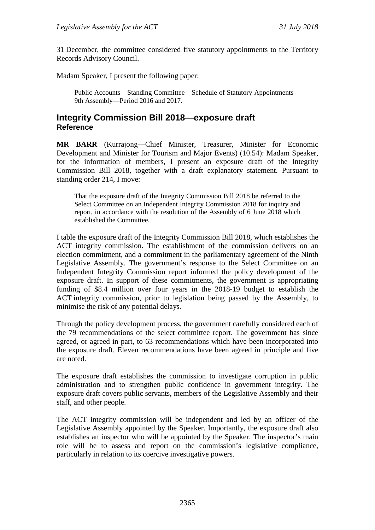31 December, the committee considered five statutory appointments to the Territory Records Advisory Council.

Madam Speaker, I present the following paper:

Public Accounts—Standing Committee—Schedule of Statutory Appointments— 9th Assembly—Period 2016 and 2017.

## <span id="page-23-0"></span>**Integrity Commission Bill 2018—exposure draft Reference**

**MR BARR** (Kurrajong—Chief Minister, Treasurer, Minister for Economic Development and Minister for Tourism and Major Events) (10.54): Madam Speaker, for the information of members, I present an exposure draft of the Integrity Commission Bill 2018, together with a draft explanatory statement. Pursuant to standing order 214, I move:

That the exposure draft of the Integrity Commission Bill 2018 be referred to the Select Committee on an Independent Integrity Commission 2018 for inquiry and report, in accordance with the resolution of the Assembly of 6 June 2018 which established the Committee.

I table the exposure draft of the Integrity Commission Bill 2018, which establishes the ACT integrity commission. The establishment of the commission delivers on an election commitment, and a commitment in the parliamentary agreement of the Ninth Legislative Assembly. The government's response to the Select Committee on an Independent Integrity Commission report informed the policy development of the exposure draft. In support of these commitments, the government is appropriating funding of \$8.4 million over four years in the 2018-19 budget to establish the ACT integrity commission, prior to legislation being passed by the Assembly, to minimise the risk of any potential delays.

Through the policy development process, the government carefully considered each of the 79 recommendations of the select committee report. The government has since agreed, or agreed in part, to 63 recommendations which have been incorporated into the exposure draft. Eleven recommendations have been agreed in principle and five are noted.

The exposure draft establishes the commission to investigate corruption in public administration and to strengthen public confidence in government integrity. The exposure draft covers public servants, members of the Legislative Assembly and their staff, and other people.

The ACT integrity commission will be independent and led by an officer of the Legislative Assembly appointed by the Speaker. Importantly, the exposure draft also establishes an inspector who will be appointed by the Speaker. The inspector's main role will be to assess and report on the commission's legislative compliance, particularly in relation to its coercive investigative powers.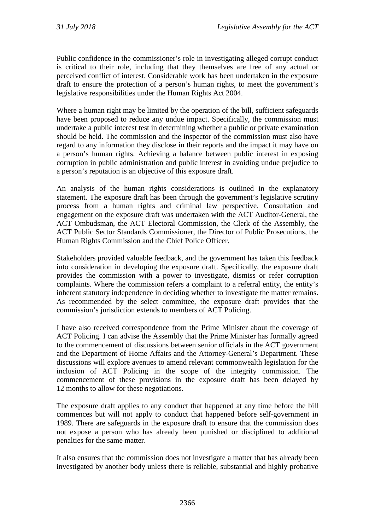Public confidence in the commissioner's role in investigating alleged corrupt conduct is critical to their role, including that they themselves are free of any actual or perceived conflict of interest. Considerable work has been undertaken in the exposure draft to ensure the protection of a person's human rights, to meet the government's legislative responsibilities under the Human Rights Act 2004.

Where a human right may be limited by the operation of the bill, sufficient safeguards have been proposed to reduce any undue impact. Specifically, the commission must undertake a public interest test in determining whether a public or private examination should be held. The commission and the inspector of the commission must also have regard to any information they disclose in their reports and the impact it may have on a person's human rights. Achieving a balance between public interest in exposing corruption in public administration and public interest in avoiding undue prejudice to a person's reputation is an objective of this exposure draft.

An analysis of the human rights considerations is outlined in the explanatory statement. The exposure draft has been through the government's legislative scrutiny process from a human rights and criminal law perspective. Consultation and engagement on the exposure draft was undertaken with the ACT Auditor-General, the ACT Ombudsman, the ACT Electoral Commission, the Clerk of the Assembly, the ACT Public Sector Standards Commissioner, the Director of Public Prosecutions, the Human Rights Commission and the Chief Police Officer.

Stakeholders provided valuable feedback, and the government has taken this feedback into consideration in developing the exposure draft. Specifically, the exposure draft provides the commission with a power to investigate, dismiss or refer corruption complaints. Where the commission refers a complaint to a referral entity, the entity's inherent statutory independence in deciding whether to investigate the matter remains. As recommended by the select committee, the exposure draft provides that the commission's jurisdiction extends to members of ACT Policing.

I have also received correspondence from the Prime Minister about the coverage of ACT Policing. I can advise the Assembly that the Prime Minister has formally agreed to the commencement of discussions between senior officials in the ACT government and the Department of Home Affairs and the Attorney-General's Department. These discussions will explore avenues to amend relevant commonwealth legislation for the inclusion of ACT Policing in the scope of the integrity commission. The commencement of these provisions in the exposure draft has been delayed by 12 months to allow for these negotiations.

The exposure draft applies to any conduct that happened at any time before the bill commences but will not apply to conduct that happened before self-government in 1989. There are safeguards in the exposure draft to ensure that the commission does not expose a person who has already been punished or disciplined to additional penalties for the same matter.

It also ensures that the commission does not investigate a matter that has already been investigated by another body unless there is reliable, substantial and highly probative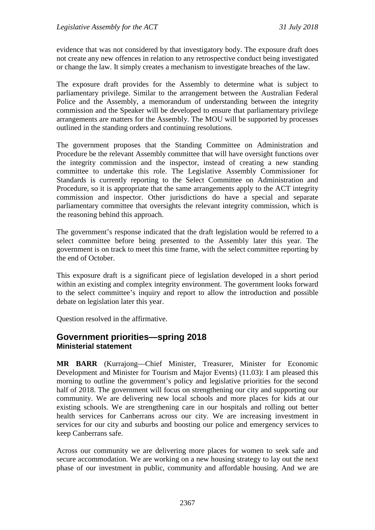evidence that was not considered by that investigatory body. The exposure draft does not create any new offences in relation to any retrospective conduct being investigated or change the law. It simply creates a mechanism to investigate breaches of the law.

The exposure draft provides for the Assembly to determine what is subject to parliamentary privilege. Similar to the arrangement between the Australian Federal Police and the Assembly, a memorandum of understanding between the integrity commission and the Speaker will be developed to ensure that parliamentary privilege arrangements are matters for the Assembly. The MOU will be supported by processes outlined in the standing orders and continuing resolutions.

The government proposes that the Standing Committee on Administration and Procedure be the relevant Assembly committee that will have oversight functions over the integrity commission and the inspector, instead of creating a new standing committee to undertake this role. The Legislative Assembly Commissioner for Standards is currently reporting to the Select Committee on Administration and Procedure, so it is appropriate that the same arrangements apply to the ACT integrity commission and inspector. Other jurisdictions do have a special and separate parliamentary committee that oversights the relevant integrity commission, which is the reasoning behind this approach.

The government's response indicated that the draft legislation would be referred to a select committee before being presented to the Assembly later this year. The government is on track to meet this time frame, with the select committee reporting by the end of October.

This exposure draft is a significant piece of legislation developed in a short period within an existing and complex integrity environment. The government looks forward to the select committee's inquiry and report to allow the introduction and possible debate on legislation later this year.

Question resolved in the affirmative.

### <span id="page-25-1"></span><span id="page-25-0"></span>**Government priorities—spring 2018 Ministerial statement**

**MR BARR** (Kurrajong—Chief Minister, Treasurer, Minister for Economic Development and Minister for Tourism and Major Events) (11.03): I am pleased this morning to outline the government's policy and legislative priorities for the second half of 2018. The government will focus on strengthening our city and supporting our community. We are delivering new local schools and more places for kids at our existing schools. We are strengthening care in our hospitals and rolling out better health services for Canberrans across our city. We are increasing investment in services for our city and suburbs and boosting our police and emergency services to keep Canberrans safe.

Across our community we are delivering more places for women to seek safe and secure accommodation. We are working on a new housing strategy to lay out the next phase of our investment in public, community and affordable housing. And we are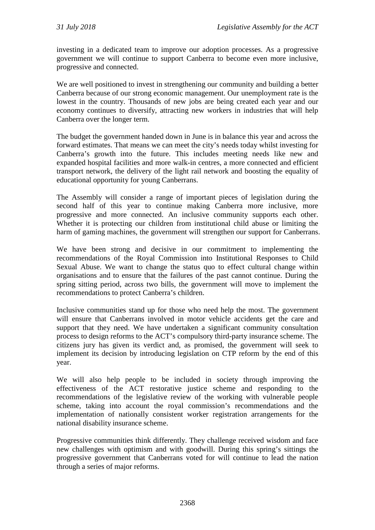investing in a dedicated team to improve our adoption processes. As a progressive government we will continue to support Canberra to become even more inclusive, progressive and connected.

We are well positioned to invest in strengthening our community and building a better Canberra because of our strong economic management. Our unemployment rate is the lowest in the country. Thousands of new jobs are being created each year and our economy continues to diversify, attracting new workers in industries that will help Canberra over the longer term.

The budget the government handed down in June is in balance this year and across the forward estimates. That means we can meet the city's needs today whilst investing for Canberra's growth into the future. This includes meeting needs like new and expanded hospital facilities and more walk-in centres, a more connected and efficient transport network, the delivery of the light rail network and boosting the equality of educational opportunity for young Canberrans.

The Assembly will consider a range of important pieces of legislation during the second half of this year to continue making Canberra more inclusive, more progressive and more connected. An inclusive community supports each other. Whether it is protecting our children from institutional child abuse or limiting the harm of gaming machines, the government will strengthen our support for Canberrans.

We have been strong and decisive in our commitment to implementing the recommendations of the Royal Commission into Institutional Responses to Child Sexual Abuse. We want to change the status quo to effect cultural change within organisations and to ensure that the failures of the past cannot continue. During the spring sitting period, across two bills, the government will move to implement the recommendations to protect Canberra's children.

Inclusive communities stand up for those who need help the most. The government will ensure that Canberrans involved in motor vehicle accidents get the care and support that they need. We have undertaken a significant community consultation process to design reforms to the ACT's compulsory third-party insurance scheme. The citizens jury has given its verdict and, as promised, the government will seek to implement its decision by introducing legislation on CTP reform by the end of this year.

We will also help people to be included in society through improving the effectiveness of the ACT restorative justice scheme and responding to the recommendations of the legislative review of the working with vulnerable people scheme, taking into account the royal commission's recommendations and the implementation of nationally consistent worker registration arrangements for the national disability insurance scheme.

Progressive communities think differently. They challenge received wisdom and face new challenges with optimism and with goodwill. During this spring's sittings the progressive government that Canberrans voted for will continue to lead the nation through a series of major reforms.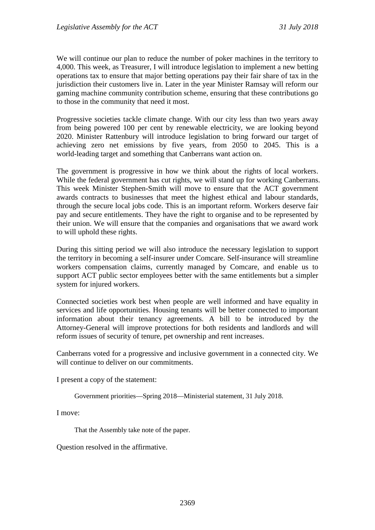We will continue our plan to reduce the number of poker machines in the territory to 4,000. This week, as Treasurer, I will introduce legislation to implement a new betting operations tax to ensure that major betting operations pay their fair share of tax in the jurisdiction their customers live in. Later in the year Minister Ramsay will reform our gaming machine community contribution scheme, ensuring that these contributions go to those in the community that need it most.

Progressive societies tackle climate change. With our city less than two years away from being powered 100 per cent by renewable electricity, we are looking beyond 2020. Minister Rattenbury will introduce legislation to bring forward our target of achieving zero net emissions by five years, from 2050 to 2045. This is a world-leading target and something that Canberrans want action on.

The government is progressive in how we think about the rights of local workers. While the federal government has cut rights, we will stand up for working Canberrans. This week Minister Stephen-Smith will move to ensure that the ACT government awards contracts to businesses that meet the highest ethical and labour standards, through the secure local jobs code. This is an important reform. Workers deserve fair pay and secure entitlements. They have the right to organise and to be represented by their union. We will ensure that the companies and organisations that we award work to will uphold these rights.

During this sitting period we will also introduce the necessary legislation to support the territory in becoming a self-insurer under Comcare. Self-insurance will streamline workers compensation claims, currently managed by Comcare, and enable us to support ACT public sector employees better with the same entitlements but a simpler system for injured workers.

Connected societies work best when people are well informed and have equality in services and life opportunities. Housing tenants will be better connected to important information about their tenancy agreements. A bill to be introduced by the Attorney-General will improve protections for both residents and landlords and will reform issues of security of tenure, pet ownership and rent increases.

Canberrans voted for a progressive and inclusive government in a connected city. We will continue to deliver on our commitments.

I present a copy of the statement:

Government priorities—Spring 2018—Ministerial statement, 31 July 2018.

I move:

That the Assembly take note of the paper.

Question resolved in the affirmative.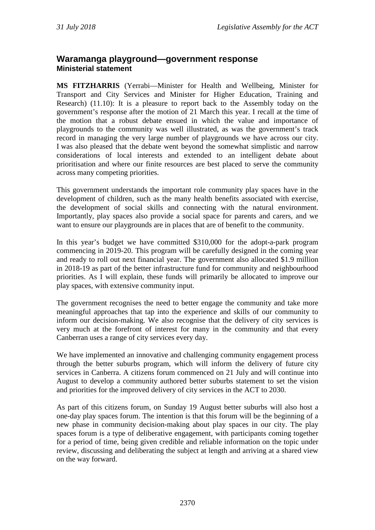## <span id="page-28-1"></span><span id="page-28-0"></span>**Waramanga playground—government response Ministerial statement**

**MS FITZHARRIS** (Yerrabi—Minister for Health and Wellbeing, Minister for Transport and City Services and Minister for Higher Education, Training and Research) (11.10): It is a pleasure to report back to the Assembly today on the government's response after the motion of 21 March this year. I recall at the time of the motion that a robust debate ensued in which the value and importance of playgrounds to the community was well illustrated, as was the government's track record in managing the very large number of playgrounds we have across our city. I was also pleased that the debate went beyond the somewhat simplistic and narrow considerations of local interests and extended to an intelligent debate about prioritisation and where our finite resources are best placed to serve the community across many competing priorities.

This government understands the important role community play spaces have in the development of children, such as the many health benefits associated with exercise, the development of social skills and connecting with the natural environment. Importantly, play spaces also provide a social space for parents and carers, and we want to ensure our playgrounds are in places that are of benefit to the community.

In this year's budget we have committed \$310,000 for the adopt-a-park program commencing in 2019-20. This program will be carefully designed in the coming year and ready to roll out next financial year. The government also allocated \$1.9 million in 2018-19 as part of the better infrastructure fund for community and neighbourhood priorities. As I will explain, these funds will primarily be allocated to improve our play spaces, with extensive community input.

The government recognises the need to better engage the community and take more meaningful approaches that tap into the experience and skills of our community to inform our decision-making. We also recognise that the delivery of city services is very much at the forefront of interest for many in the community and that every Canberran uses a range of city services every day.

We have implemented an innovative and challenging community engagement process through the better suburbs program, which will inform the delivery of future city services in Canberra. A citizens forum commenced on 21 July and will continue into August to develop a community authored better suburbs statement to set the vision and priorities for the improved delivery of city services in the ACT to 2030.

As part of this citizens forum, on Sunday 19 August better suburbs will also host a one-day play spaces forum. The intention is that this forum will be the beginning of a new phase in community decision-making about play spaces in our city. The play spaces forum is a type of deliberative engagement, with participants coming together for a period of time, being given credible and reliable information on the topic under review, discussing and deliberating the subject at length and arriving at a shared view on the way forward.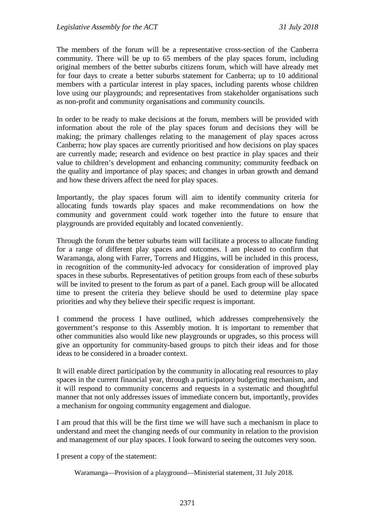The members of the forum will be a representative cross-section of the Canberra community. There will be up to 65 members of the play spaces forum, including original members of the better suburbs citizens forum, which will have already met for four days to create a better suburbs statement for Canberra; up to 10 additional members with a particular interest in play spaces, including parents whose children love using our playgrounds; and representatives from stakeholder organisations such as non-profit and community organisations and community councils.

In order to be ready to make decisions at the forum, members will be provided with information about the role of the play spaces forum and decisions they will be making; the primary challenges relating to the management of play spaces across Canberra; how play spaces are currently prioritised and how decisions on play spaces are currently made; research and evidence on best practice in play spaces and their value to children's development and enhancing community; community feedback on the quality and importance of play spaces; and changes in urban growth and demand and how these drivers affect the need for play spaces.

Importantly, the play spaces forum will aim to identify community criteria for allocating funds towards play spaces and make recommendations on how the community and government could work together into the future to ensure that playgrounds are provided equitably and located conveniently.

Through the forum the better suburbs team will facilitate a process to allocate funding for a range of different play spaces and outcomes. I am pleased to confirm that Waramanga, along with Farrer, Torrens and Higgins, will be included in this process, in recognition of the community-led advocacy for consideration of improved play spaces in these suburbs. Representatives of petition groups from each of these suburbs will be invited to present to the forum as part of a panel. Each group will be allocated time to present the criteria they believe should be used to determine play space priorities and why they believe their specific request is important.

I commend the process I have outlined, which addresses comprehensively the government's response to this Assembly motion. It is important to remember that other communities also would like new playgrounds or upgrades, so this process will give an opportunity for community-based groups to pitch their ideas and for those ideas to be considered in a broader context.

It will enable direct participation by the community in allocating real resources to play spaces in the current financial year, through a participatory budgeting mechanism, and it will respond to community concerns and requests in a systematic and thoughtful manner that not only addresses issues of immediate concern but, importantly, provides a mechanism for ongoing community engagement and dialogue.

I am proud that this will be the first time we will have such a mechanism in place to understand and meet the changing needs of our community in relation to the provision and management of our play spaces. I look forward to seeing the outcomes very soon.

I present a copy of the statement:

Waramanga—Provision of a playground—Ministerial statement, 31 July 2018.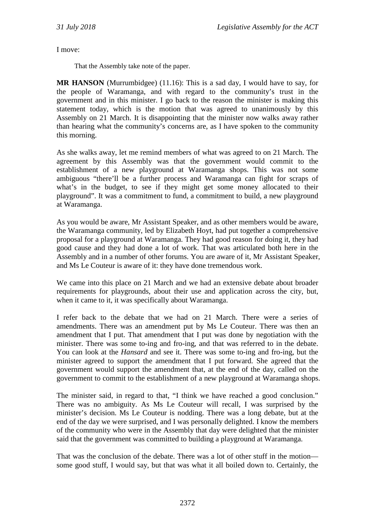I move:

That the Assembly take note of the paper.

**MR HANSON** (Murrumbidgee) (11.16): This is a sad day, I would have to say, for the people of Waramanga, and with regard to the community's trust in the government and in this minister. I go back to the reason the minister is making this statement today, which is the motion that was agreed to unanimously by this Assembly on 21 March. It is disappointing that the minister now walks away rather than hearing what the community's concerns are, as I have spoken to the community this morning.

As she walks away, let me remind members of what was agreed to on 21 March. The agreement by this Assembly was that the government would commit to the establishment of a new playground at Waramanga shops. This was not some ambiguous "there'll be a further process and Waramanga can fight for scraps of what's in the budget, to see if they might get some money allocated to their playground". It was a commitment to fund, a commitment to build, a new playground at Waramanga.

As you would be aware, Mr Assistant Speaker, and as other members would be aware, the Waramanga community, led by Elizabeth Hoyt, had put together a comprehensive proposal for a playground at Waramanga. They had good reason for doing it, they had good cause and they had done a lot of work. That was articulated both here in the Assembly and in a number of other forums. You are aware of it, Mr Assistant Speaker, and Ms Le Couteur is aware of it: they have done tremendous work.

We came into this place on 21 March and we had an extensive debate about broader requirements for playgrounds, about their use and application across the city, but, when it came to it, it was specifically about Waramanga.

I refer back to the debate that we had on 21 March. There were a series of amendments. There was an amendment put by Ms Le Couteur. There was then an amendment that I put. That amendment that I put was done by negotiation with the minister. There was some to-ing and fro-ing, and that was referred to in the debate. You can look at the *Hansard* and see it. There was some to-ing and fro-ing, but the minister agreed to support the amendment that I put forward. She agreed that the government would support the amendment that, at the end of the day, called on the government to commit to the establishment of a new playground at Waramanga shops.

The minister said, in regard to that, "I think we have reached a good conclusion." There was no ambiguity. As Ms Le Couteur will recall, I was surprised by the minister's decision. Ms Le Couteur is nodding. There was a long debate, but at the end of the day we were surprised, and I was personally delighted. I know the members of the community who were in the Assembly that day were delighted that the minister said that the government was committed to building a playground at Waramanga.

That was the conclusion of the debate. There was a lot of other stuff in the motion some good stuff, I would say, but that was what it all boiled down to. Certainly, the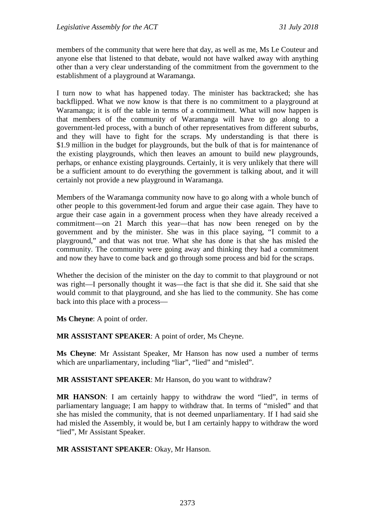members of the community that were here that day, as well as me, Ms Le Couteur and anyone else that listened to that debate, would not have walked away with anything other than a very clear understanding of the commitment from the government to the establishment of a playground at Waramanga.

I turn now to what has happened today. The minister has backtracked; she has backflipped. What we now know is that there is no commitment to a playground at Waramanga; it is off the table in terms of a commitment. What will now happen is that members of the community of Waramanga will have to go along to a government-led process, with a bunch of other representatives from different suburbs, and they will have to fight for the scraps. My understanding is that there is \$1.9 million in the budget for playgrounds, but the bulk of that is for maintenance of the existing playgrounds, which then leaves an amount to build new playgrounds, perhaps, or enhance existing playgrounds. Certainly, it is very unlikely that there will be a sufficient amount to do everything the government is talking about, and it will certainly not provide a new playground in Waramanga.

Members of the Waramanga community now have to go along with a whole bunch of other people to this government-led forum and argue their case again. They have to argue their case again in a government process when they have already received a commitment—on 21 March this year—that has now been reneged on by the government and by the minister. She was in this place saying, "I commit to a playground," and that was not true. What she has done is that she has misled the community. The community were going away and thinking they had a commitment and now they have to come back and go through some process and bid for the scraps.

Whether the decision of the minister on the day to commit to that playground or not was right—I personally thought it was—the fact is that she did it. She said that she would commit to that playground, and she has lied to the community. She has come back into this place with a process—

**Ms Cheyne**: A point of order.

**MR ASSISTANT SPEAKER**: A point of order, Ms Cheyne.

**Ms Cheyne**: Mr Assistant Speaker, Mr Hanson has now used a number of terms which are unparliamentary, including "liar", "lied" and "misled".

**MR ASSISTANT SPEAKER**: Mr Hanson, do you want to withdraw?

**MR HANSON**: I am certainly happy to withdraw the word "lied", in terms of parliamentary language; I am happy to withdraw that. In terms of "misled" and that she has misled the community, that is not deemed unparliamentary. If I had said she had misled the Assembly, it would be, but I am certainly happy to withdraw the word "lied", Mr Assistant Speaker.

**MR ASSISTANT SPEAKER**: Okay, Mr Hanson.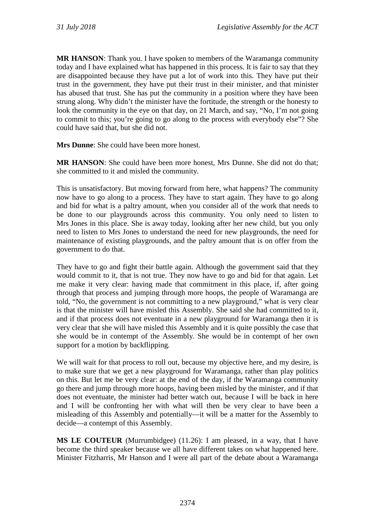**MR HANSON**: Thank you. I have spoken to members of the Waramanga community today and I have explained what has happened in this process. It is fair to say that they are disappointed because they have put a lot of work into this. They have put their trust in the government, they have put their trust in their minister, and that minister has abused that trust. She has put the community in a position where they have been strung along. Why didn't the minister have the fortitude, the strength or the honesty to look the community in the eye on that day, on 21 March, and say, "No, I'm not going to commit to this; you're going to go along to the process with everybody else"? She could have said that, but she did not.

**Mrs Dunne**: She could have been more honest.

**MR HANSON**: She could have been more honest, Mrs Dunne. She did not do that; she committed to it and misled the community.

This is unsatisfactory. But moving forward from here, what happens? The community now have to go along to a process. They have to start again. They have to go along and bid for what is a paltry amount, when you consider all of the work that needs to be done to our playgrounds across this community. You only need to listen to Mrs Jones in this place. She is away today, looking after her new child, but you only need to listen to Mrs Jones to understand the need for new playgrounds, the need for maintenance of existing playgrounds, and the paltry amount that is on offer from the government to do that.

They have to go and fight their battle again. Although the government said that they would commit to it, that is not true. They now have to go and bid for that again. Let me make it very clear: having made that commitment in this place, if, after going through that process and jumping through more hoops, the people of Waramanga are told, "No, the government is not committing to a new playground," what is very clear is that the minister will have misled this Assembly. She said she had committed to it, and if that process does not eventuate in a new playground for Waramanga then it is very clear that she will have misled this Assembly and it is quite possibly the case that she would be in contempt of the Assembly. She would be in contempt of her own support for a motion by backflipping.

We will wait for that process to roll out, because my objective here, and my desire, is to make sure that we get a new playground for Waramanga, rather than play politics on this. But let me be very clear: at the end of the day, if the Waramanga community go there and jump through more hoops, having been misled by the minister, and if that does not eventuate, the minister had better watch out, because I will be back in here and I will be confronting her with what will then be very clear to have been a misleading of this Assembly and potentially—it will be a matter for the Assembly to decide—a contempt of this Assembly.

**MS LE COUTEUR** (Murrumbidgee) (11.26): I am pleased, in a way, that I have become the third speaker because we all have different takes on what happened here. Minister Fitzharris, Mr Hanson and I were all part of the debate about a Waramanga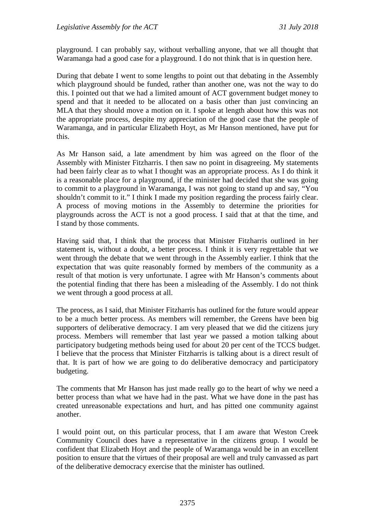playground. I can probably say, without verballing anyone, that we all thought that Waramanga had a good case for a playground. I do not think that is in question here.

During that debate I went to some lengths to point out that debating in the Assembly which playground should be funded, rather than another one, was not the way to do this. I pointed out that we had a limited amount of ACT government budget money to spend and that it needed to be allocated on a basis other than just convincing an MLA that they should move a motion on it. I spoke at length about how this was not the appropriate process, despite my appreciation of the good case that the people of Waramanga, and in particular Elizabeth Hoyt, as Mr Hanson mentioned, have put for this.

As Mr Hanson said, a late amendment by him was agreed on the floor of the Assembly with Minister Fitzharris. I then saw no point in disagreeing. My statements had been fairly clear as to what I thought was an appropriate process. As I do think it is a reasonable place for a playground, if the minister had decided that she was going to commit to a playground in Waramanga, I was not going to stand up and say, "You shouldn't commit to it." I think I made my position regarding the process fairly clear. A process of moving motions in the Assembly to determine the priorities for playgrounds across the ACT is not a good process. I said that at that the time, and I stand by those comments.

Having said that, I think that the process that Minister Fitzharris outlined in her statement is, without a doubt, a better process. I think it is very regrettable that we went through the debate that we went through in the Assembly earlier. I think that the expectation that was quite reasonably formed by members of the community as a result of that motion is very unfortunate. I agree with Mr Hanson's comments about the potential finding that there has been a misleading of the Assembly. I do not think we went through a good process at all.

The process, as I said, that Minister Fitzharris has outlined for the future would appear to be a much better process. As members will remember, the Greens have been big supporters of deliberative democracy. I am very pleased that we did the citizens jury process. Members will remember that last year we passed a motion talking about participatory budgeting methods being used for about 20 per cent of the TCCS budget. I believe that the process that Minister Fitzharris is talking about is a direct result of that. It is part of how we are going to do deliberative democracy and participatory budgeting.

The comments that Mr Hanson has just made really go to the heart of why we need a better process than what we have had in the past. What we have done in the past has created unreasonable expectations and hurt, and has pitted one community against another.

I would point out, on this particular process, that I am aware that Weston Creek Community Council does have a representative in the citizens group. I would be confident that Elizabeth Hoyt and the people of Waramanga would be in an excellent position to ensure that the virtues of their proposal are well and truly canvassed as part of the deliberative democracy exercise that the minister has outlined.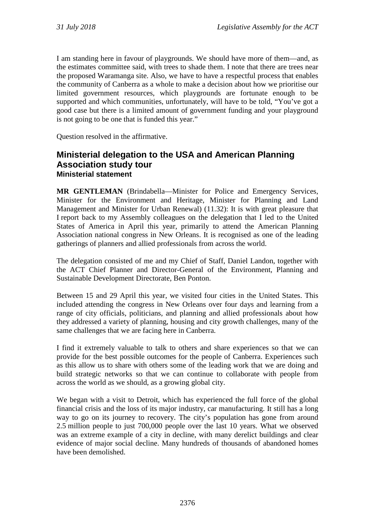I am standing here in favour of playgrounds. We should have more of them—and, as the estimates committee said, with trees to shade them. I note that there are trees near the proposed Waramanga site. Also, we have to have a respectful process that enables the community of Canberra as a whole to make a decision about how we prioritise our limited government resources, which playgrounds are fortunate enough to be supported and which communities, unfortunately, will have to be told, "You've got a good case but there is a limited amount of government funding and your playground is not going to be one that is funded this year."

Question resolved in the affirmative.

## <span id="page-34-0"></span>**Ministerial delegation to the USA and American Planning Association study tour Ministerial statement**

<span id="page-34-1"></span>**MR GENTLEMAN** (Brindabella—Minister for Police and Emergency Services, Minister for the Environment and Heritage, Minister for Planning and Land Management and Minister for Urban Renewal) (11.32): It is with great pleasure that I report back to my Assembly colleagues on the delegation that I led to the United States of America in April this year, primarily to attend the American Planning Association national congress in New Orleans. It is recognised as one of the leading gatherings of planners and allied professionals from across the world.

The delegation consisted of me and my Chief of Staff, Daniel Landon, together with the ACT Chief Planner and Director-General of the Environment, Planning and Sustainable Development Directorate, Ben Ponton.

Between 15 and 29 April this year, we visited four cities in the United States. This included attending the congress in New Orleans over four days and learning from a range of city officials, politicians, and planning and allied professionals about how they addressed a variety of planning, housing and city growth challenges, many of the same challenges that we are facing here in Canberra.

I find it extremely valuable to talk to others and share experiences so that we can provide for the best possible outcomes for the people of Canberra. Experiences such as this allow us to share with others some of the leading work that we are doing and build strategic networks so that we can continue to collaborate with people from across the world as we should, as a growing global city.

We began with a visit to Detroit, which has experienced the full force of the global financial crisis and the loss of its major industry, car manufacturing. It still has a long way to go on its journey to recovery. The city's population has gone from around 2.5 million people to just 700,000 people over the last 10 years. What we observed was an extreme example of a city in decline, with many derelict buildings and clear evidence of major social decline. Many hundreds of thousands of abandoned homes have been demolished.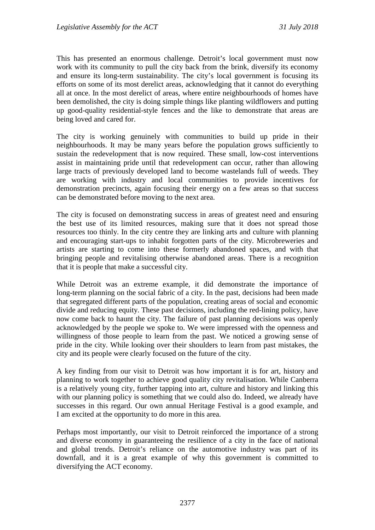This has presented an enormous challenge. Detroit's local government must now work with its community to pull the city back from the brink, diversify its economy and ensure its long-term sustainability. The city's local government is focusing its efforts on some of its most derelict areas, acknowledging that it cannot do everything all at once. In the most derelict of areas, where entire neighbourhoods of homes have been demolished, the city is doing simple things like planting wildflowers and putting up good-quality residential-style fences and the like to demonstrate that areas are being loved and cared for.

The city is working genuinely with communities to build up pride in their neighbourhoods. It may be many years before the population grows sufficiently to sustain the redevelopment that is now required. These small, low-cost interventions assist in maintaining pride until that redevelopment can occur, rather than allowing large tracts of previously developed land to become wastelands full of weeds. They are working with industry and local communities to provide incentives for demonstration precincts, again focusing their energy on a few areas so that success can be demonstrated before moving to the next area.

The city is focused on demonstrating success in areas of greatest need and ensuring the best use of its limited resources, making sure that it does not spread those resources too thinly. In the city centre they are linking arts and culture with planning and encouraging start-ups to inhabit forgotten parts of the city. Microbreweries and artists are starting to come into these formerly abandoned spaces, and with that bringing people and revitalising otherwise abandoned areas. There is a recognition that it is people that make a successful city.

While Detroit was an extreme example, it did demonstrate the importance of long-term planning on the social fabric of a city. In the past, decisions had been made that segregated different parts of the population, creating areas of social and economic divide and reducing equity. These past decisions, including the red-lining policy, have now come back to haunt the city. The failure of past planning decisions was openly acknowledged by the people we spoke to. We were impressed with the openness and willingness of those people to learn from the past. We noticed a growing sense of pride in the city. While looking over their shoulders to learn from past mistakes, the city and its people were clearly focused on the future of the city.

A key finding from our visit to Detroit was how important it is for art, history and planning to work together to achieve good quality city revitalisation. While Canberra is a relatively young city, further tapping into art, culture and history and linking this with our planning policy is something that we could also do. Indeed, we already have successes in this regard. Our own annual Heritage Festival is a good example, and I am excited at the opportunity to do more in this area.

Perhaps most importantly, our visit to Detroit reinforced the importance of a strong and diverse economy in guaranteeing the resilience of a city in the face of national and global trends. Detroit's reliance on the automotive industry was part of its downfall, and it is a great example of why this government is committed to diversifying the ACT economy.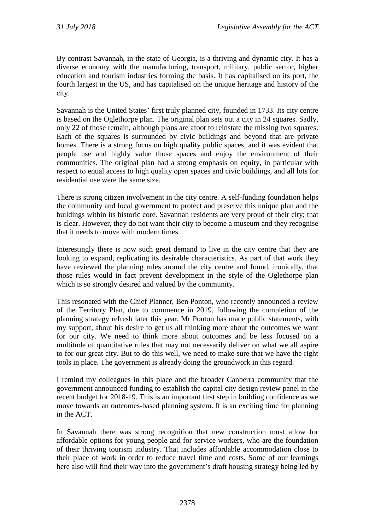By contrast Savannah, in the state of Georgia, is a thriving and dynamic city. It has a diverse economy with the manufacturing, transport, military, public sector, higher education and tourism industries forming the basis. It has capitalised on its port, the fourth largest in the US, and has capitalised on the unique heritage and history of the city.

Savannah is the United States' first truly planned city, founded in 1733. Its city centre is based on the Oglethorpe plan. The original plan sets out a city in 24 squares. Sadly, only 22 of those remain, although plans are afoot to reinstate the missing two squares. Each of the squares is surrounded by civic buildings and beyond that are private homes. There is a strong focus on high quality public spaces, and it was evident that people use and highly value those spaces and enjoy the environment of their communities. The original plan had a strong emphasis on equity, in particular with respect to equal access to high quality open spaces and civic buildings, and all lots for residential use were the same size.

There is strong citizen involvement in the city centre. A self-funding foundation helps the community and local government to protect and preserve this unique plan and the buildings within its historic core. Savannah residents are very proud of their city; that is clear. However, they do not want their city to become a museum and they recognise that it needs to move with modern times.

Interestingly there is now such great demand to live in the city centre that they are looking to expand, replicating its desirable characteristics. As part of that work they have reviewed the planning rules around the city centre and found, ironically, that those rules would in fact prevent development in the style of the Oglethorpe plan which is so strongly desired and valued by the community.

This resonated with the Chief Planner, Ben Ponton, who recently announced a review of the Territory Plan, due to commence in 2019, following the completion of the planning strategy refresh later this year. Mr Ponton has made public statements, with my support, about his desire to get us all thinking more about the outcomes we want for our city. We need to think more about outcomes and be less focused on a multitude of quantitative rules that may not necessarily deliver on what we all aspire to for our great city. But to do this well, we need to make sure that we have the right tools in place. The government is already doing the groundwork in this regard.

I remind my colleagues in this place and the broader Canberra community that the government announced funding to establish the capital city design review panel in the recent budget for 2018-19. This is an important first step in building confidence as we move towards an outcomes-based planning system. It is an exciting time for planning in the ACT.

In Savannah there was strong recognition that new construction must allow for affordable options for young people and for service workers, who are the foundation of their thriving tourism industry. That includes affordable accommodation close to their place of work in order to reduce travel time and costs. Some of our learnings here also will find their way into the government's draft housing strategy being led by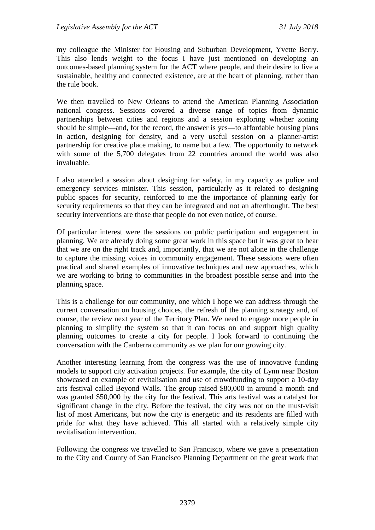my colleague the Minister for Housing and Suburban Development, Yvette Berry. This also lends weight to the focus I have just mentioned on developing an outcomes-based planning system for the ACT where people, and their desire to live a sustainable, healthy and connected existence, are at the heart of planning, rather than the rule book.

We then travelled to New Orleans to attend the American Planning Association national congress. Sessions covered a diverse range of topics from dynamic partnerships between cities and regions and a session exploring whether zoning should be simple—and, for the record, the answer is yes—to affordable housing plans in action, designing for density, and a very useful session on a planner-artist partnership for creative place making, to name but a few. The opportunity to network with some of the 5,700 delegates from 22 countries around the world was also invaluable.

I also attended a session about designing for safety, in my capacity as police and emergency services minister. This session, particularly as it related to designing public spaces for security, reinforced to me the importance of planning early for security requirements so that they can be integrated and not an afterthought. The best security interventions are those that people do not even notice, of course.

Of particular interest were the sessions on public participation and engagement in planning. We are already doing some great work in this space but it was great to hear that we are on the right track and, importantly, that we are not alone in the challenge to capture the missing voices in community engagement. These sessions were often practical and shared examples of innovative techniques and new approaches, which we are working to bring to communities in the broadest possible sense and into the planning space.

This is a challenge for our community, one which I hope we can address through the current conversation on housing choices, the refresh of the planning strategy and, of course, the review next year of the Territory Plan. We need to engage more people in planning to simplify the system so that it can focus on and support high quality planning outcomes to create a city for people. I look forward to continuing the conversation with the Canberra community as we plan for our growing city.

Another interesting learning from the congress was the use of innovative funding models to support city activation projects. For example, the city of Lynn near Boston showcased an example of revitalisation and use of crowdfunding to support a 10-day arts festival called Beyond Walls. The group raised \$80,000 in around a month and was granted \$50,000 by the city for the festival. This arts festival was a catalyst for significant change in the city. Before the festival, the city was not on the must-visit list of most Americans, but now the city is energetic and its residents are filled with pride for what they have achieved. This all started with a relatively simple city revitalisation intervention.

Following the congress we travelled to San Francisco, where we gave a presentation to the City and County of San Francisco Planning Department on the great work that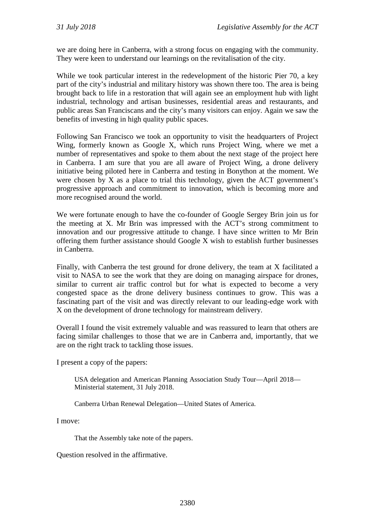we are doing here in Canberra, with a strong focus on engaging with the community. They were keen to understand our learnings on the revitalisation of the city.

While we took particular interest in the redevelopment of the historic Pier 70, a key part of the city's industrial and military history was shown there too. The area is being brought back to life in a restoration that will again see an employment hub with light industrial, technology and artisan businesses, residential areas and restaurants, and public areas San Franciscans and the city's many visitors can enjoy. Again we saw the benefits of investing in high quality public spaces.

Following San Francisco we took an opportunity to visit the headquarters of Project Wing, formerly known as Google X, which runs Project Wing, where we met a number of representatives and spoke to them about the next stage of the project here in Canberra. I am sure that you are all aware of Project Wing, a drone delivery initiative being piloted here in Canberra and testing in Bonython at the moment. We were chosen by X as a place to trial this technology, given the ACT government's progressive approach and commitment to innovation, which is becoming more and more recognised around the world.

We were fortunate enough to have the co-founder of Google Sergey Brin join us for the meeting at X. Mr Brin was impressed with the ACT's strong commitment to innovation and our progressive attitude to change. I have since written to Mr Brin offering them further assistance should Google X wish to establish further businesses in Canberra.

Finally, with Canberra the test ground for drone delivery, the team at X facilitated a visit to NASA to see the work that they are doing on managing airspace for drones, similar to current air traffic control but for what is expected to become a very congested space as the drone delivery business continues to grow. This was a fascinating part of the visit and was directly relevant to our leading-edge work with X on the development of drone technology for mainstream delivery.

Overall I found the visit extremely valuable and was reassured to learn that others are facing similar challenges to those that we are in Canberra and, importantly, that we are on the right track to tackling those issues.

I present a copy of the papers:

USA delegation and American Planning Association Study Tour—April 2018— Ministerial statement, 31 July 2018.

Canberra Urban Renewal Delegation—United States of America.

I move:

That the Assembly take note of the papers.

Question resolved in the affirmative.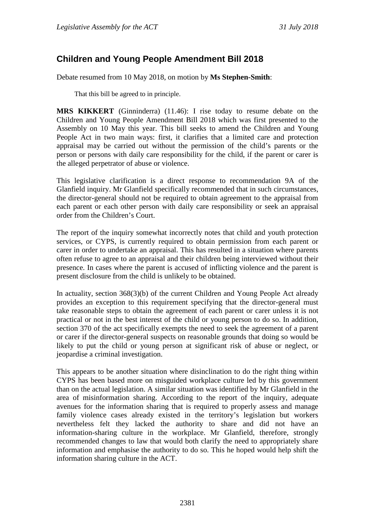# **Children and Young People Amendment Bill 2018**

Debate resumed from 10 May 2018, on motion by **Ms Stephen-Smith**:

That this bill be agreed to in principle.

**MRS KIKKERT** (Ginninderra) (11.46): I rise today to resume debate on the Children and Young People Amendment Bill 2018 which was first presented to the Assembly on 10 May this year. This bill seeks to amend the Children and Young People Act in two main ways: first, it clarifies that a limited care and protection appraisal may be carried out without the permission of the child's parents or the person or persons with daily care responsibility for the child, if the parent or carer is the alleged perpetrator of abuse or violence.

This legislative clarification is a direct response to recommendation 9A of the Glanfield inquiry. Mr Glanfield specifically recommended that in such circumstances, the director-general should not be required to obtain agreement to the appraisal from each parent or each other person with daily care responsibility or seek an appraisal order from the Children's Court.

The report of the inquiry somewhat incorrectly notes that child and youth protection services, or CYPS, is currently required to obtain permission from each parent or carer in order to undertake an appraisal. This has resulted in a situation where parents often refuse to agree to an appraisal and their children being interviewed without their presence. In cases where the parent is accused of inflicting violence and the parent is present disclosure from the child is unlikely to be obtained.

In actuality, section 368(3)(b) of the current Children and Young People Act already provides an exception to this requirement specifying that the director-general must take reasonable steps to obtain the agreement of each parent or carer unless it is not practical or not in the best interest of the child or young person to do so. In addition, section 370 of the act specifically exempts the need to seek the agreement of a parent or carer if the director-general suspects on reasonable grounds that doing so would be likely to put the child or young person at significant risk of abuse or neglect, or jeopardise a criminal investigation.

This appears to be another situation where disinclination to do the right thing within CYPS has been based more on misguided workplace culture led by this government than on the actual legislation. A similar situation was identified by Mr Glanfield in the area of misinformation sharing. According to the report of the inquiry, adequate avenues for the information sharing that is required to properly assess and manage family violence cases already existed in the territory's legislation but workers nevertheless felt they lacked the authority to share and did not have an information-sharing culture in the workplace. Mr Glanfield, therefore, strongly recommended changes to law that would both clarify the need to appropriately share information and emphasise the authority to do so. This he hoped would help shift the information sharing culture in the ACT.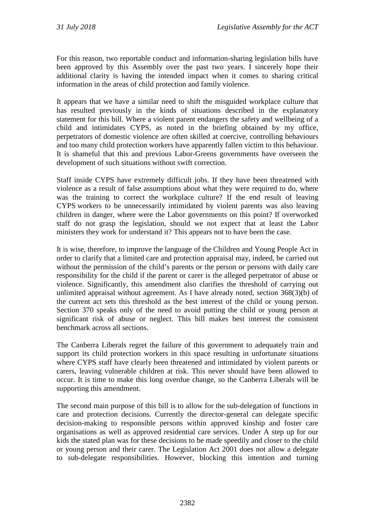For this reason, two reportable conduct and information-sharing legislation bills have been approved by this Assembly over the past two years. I sincerely hope their additional clarity is having the intended impact when it comes to sharing critical information in the areas of child protection and family violence.

It appears that we have a similar need to shift the misguided workplace culture that has resulted previously in the kinds of situations described in the explanatory statement for this bill. Where a violent parent endangers the safety and wellbeing of a child and intimidates CYPS, as noted in the briefing obtained by my office, perpetrators of domestic violence are often skilled at coercive, controlling behaviours and too many child protection workers have apparently fallen victim to this behaviour. It is shameful that this and previous Labor-Greens governments have overseen the development of such situations without swift correction.

Staff inside CYPS have extremely difficult jobs. If they have been threatened with violence as a result of false assumptions about what they were required to do, where was the training to correct the workplace culture? If the end result of leaving CYPS workers to be unnecessarily intimidated by violent parents was also leaving children in danger, where were the Labor governments on this point? If overworked staff do not grasp the legislation, should we not expect that at least the Labor ministers they work for understand it? This appears not to have been the case.

It is wise, therefore, to improve the language of the Children and Young People Act in order to clarify that a limited care and protection appraisal may, indeed, be carried out without the permission of the child's parents or the person or persons with daily care responsibility for the child if the parent or carer is the alleged perpetrator of abuse or violence. Significantly, this amendment also clarifies the threshold of carrying out unlimited appraisal without agreement. As I have already noted, section 368(3)(b) of the current act sets this threshold as the best interest of the child or young person. Section 370 speaks only of the need to avoid putting the child or young person at significant risk of abuse or neglect. This bill makes best interest the consistent benchmark across all sections.

The Canberra Liberals regret the failure of this government to adequately train and support its child protection workers in this space resulting in unfortunate situations where CYPS staff have clearly been threatened and intimidated by violent parents or carers, leaving vulnerable children at risk. This never should have been allowed to occur. It is time to make this long overdue change, so the Canberra Liberals will be supporting this amendment.

The second main purpose of this bill is to allow for the sub-delegation of functions in care and protection decisions. Currently the director-general can delegate specific decision-making to responsible persons within approved kinship and foster care organisations as well as approved residential care services. Under A step up for our kids the stated plan was for these decisions to be made speedily and closer to the child or young person and their carer. The Legislation Act 2001 does not allow a delegate to sub-delegate responsibilities. However, blocking this intention and turning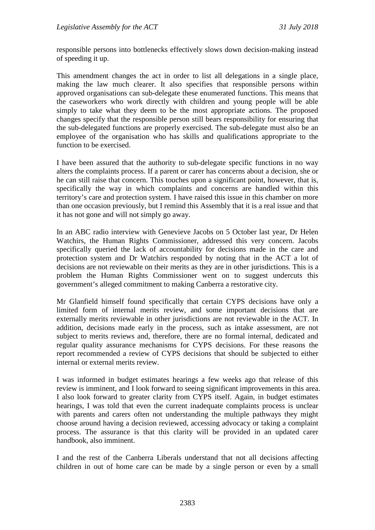responsible persons into bottlenecks effectively slows down decision-making instead of speeding it up.

This amendment changes the act in order to list all delegations in a single place, making the law much clearer. It also specifies that responsible persons within approved organisations can sub-delegate these enumerated functions. This means that the caseworkers who work directly with children and young people will be able simply to take what they deem to be the most appropriate actions. The proposed changes specify that the responsible person still bears responsibility for ensuring that the sub-delegated functions are properly exercised. The sub-delegate must also be an employee of the organisation who has skills and qualifications appropriate to the function to be exercised.

I have been assured that the authority to sub-delegate specific functions in no way alters the complaints process. If a parent or carer has concerns about a decision, she or he can still raise that concern. This touches upon a significant point, however, that is, specifically the way in which complaints and concerns are handled within this territory's care and protection system. I have raised this issue in this chamber on more than one occasion previously, but I remind this Assembly that it is a real issue and that it has not gone and will not simply go away.

In an ABC radio interview with Genevieve Jacobs on 5 October last year, Dr Helen Watchirs, the Human Rights Commissioner, addressed this very concern. Jacobs specifically queried the lack of accountability for decisions made in the care and protection system and Dr Watchirs responded by noting that in the ACT a lot of decisions are not reviewable on their merits as they are in other jurisdictions. This is a problem the Human Rights Commissioner went on to suggest undercuts this government's alleged commitment to making Canberra a restorative city.

Mr Glanfield himself found specifically that certain CYPS decisions have only a limited form of internal merits review, and some important decisions that are externally merits reviewable in other jurisdictions are not reviewable in the ACT. In addition, decisions made early in the process, such as intake assessment, are not subject to merits reviews and, therefore, there are no formal internal, dedicated and regular quality assurance mechanisms for CYPS decisions. For these reasons the report recommended a review of CYPS decisions that should be subjected to either internal or external merits review.

I was informed in budget estimates hearings a few weeks ago that release of this review is imminent, and I look forward to seeing significant improvements in this area. I also look forward to greater clarity from CYPS itself. Again, in budget estimates hearings, I was told that even the current inadequate complaints process is unclear with parents and carers often not understanding the multiple pathways they might choose around having a decision reviewed, accessing advocacy or taking a complaint process. The assurance is that this clarity will be provided in an updated carer handbook, also imminent.

I and the rest of the Canberra Liberals understand that not all decisions affecting children in out of home care can be made by a single person or even by a small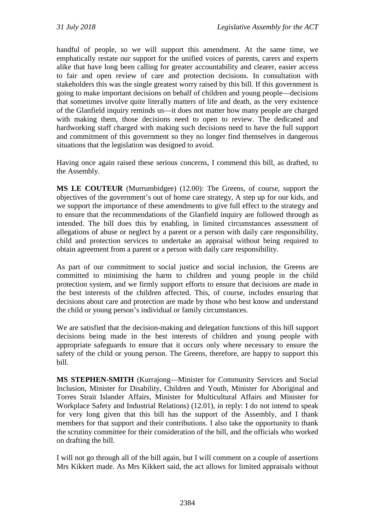handful of people, so we will support this amendment. At the same time, we emphatically restate our support for the unified voices of parents, carers and experts alike that have long been calling for greater accountability and clearer, easier access to fair and open review of care and protection decisions. In consultation with stakeholders this was the single greatest worry raised by this bill. If this government is going to make important decisions on behalf of children and young people—decisions that sometimes involve quite literally matters of life and death, as the very existence of the Glanfield inquiry reminds us—it does not matter how many people are charged with making them, those decisions need to open to review. The dedicated and hardworking staff charged with making such decisions need to have the full support and commitment of this government so they no longer find themselves in dangerous situations that the legislation was designed to avoid.

Having once again raised these serious concerns, I commend this bill, as drafted, to the Assembly.

**MS LE COUTEUR** (Murrumbidgee) (12.00): The Greens, of course, support the objectives of the government's out of home care strategy, A step up for our kids, and we support the importance of these amendments to give full effect to the strategy and to ensure that the recommendations of the Glanfield inquiry are followed through as intended. The bill does this by enabling, in limited circumstances assessment of allegations of abuse or neglect by a parent or a person with daily care responsibility, child and protection services to undertake an appraisal without being required to obtain agreement from a parent or a person with daily care responsibility.

As part of our commitment to social justice and social inclusion, the Greens are committed to minimising the harm to children and young people in the child protection system, and we firmly support efforts to ensure that decisions are made in the best interests of the children affected. This, of course, includes ensuring that decisions about care and protection are made by those who best know and understand the child or young person's individual or family circumstances.

We are satisfied that the decision-making and delegation functions of this bill support decisions being made in the best interests of children and young people with appropriate safeguards to ensure that it occurs only where necessary to ensure the safety of the child or young person. The Greens, therefore, are happy to support this bill.

**MS STEPHEN-SMITH** (Kurrajong—Minister for Community Services and Social Inclusion, Minister for Disability, Children and Youth, Minister for Aboriginal and Torres Strait Islander Affairs, Minister for Multicultural Affairs and Minister for Workplace Safety and Industrial Relations) (12.01), in reply: I do not intend to speak for very long given that this bill has the support of the Assembly, and I thank members for that support and their contributions. I also take the opportunity to thank the scrutiny committee for their consideration of the bill, and the officials who worked on drafting the bill.

I will not go through all of the bill again, but I will comment on a couple of assertions Mrs Kikkert made. As Mrs Kikkert said, the act allows for limited appraisals without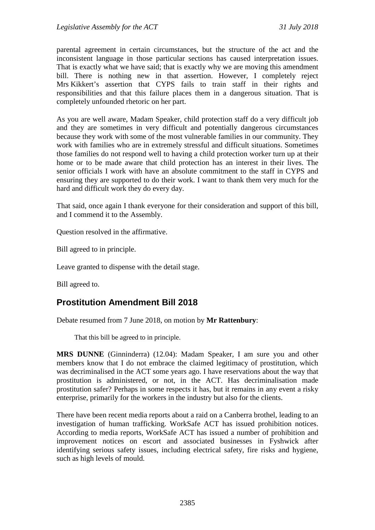parental agreement in certain circumstances, but the structure of the act and the inconsistent language in those particular sections has caused interpretation issues. That is exactly what we have said; that is exactly why we are moving this amendment bill. There is nothing new in that assertion. However, I completely reject Mrs Kikkert's assertion that CYPS fails to train staff in their rights and responsibilities and that this failure places them in a dangerous situation. That is completely unfounded rhetoric on her part.

As you are well aware, Madam Speaker, child protection staff do a very difficult job and they are sometimes in very difficult and potentially dangerous circumstances because they work with some of the most vulnerable families in our community. They work with families who are in extremely stressful and difficult situations. Sometimes those families do not respond well to having a child protection worker turn up at their home or to be made aware that child protection has an interest in their lives. The senior officials I work with have an absolute commitment to the staff in CYPS and ensuring they are supported to do their work. I want to thank them very much for the hard and difficult work they do every day.

That said, once again I thank everyone for their consideration and support of this bill, and I commend it to the Assembly.

Question resolved in the affirmative.

Bill agreed to in principle.

Leave granted to dispense with the detail stage.

Bill agreed to.

# **Prostitution Amendment Bill 2018**

Debate resumed from 7 June 2018, on motion by **Mr Rattenbury**:

That this bill be agreed to in principle.

**MRS DUNNE** (Ginninderra) (12.04): Madam Speaker, I am sure you and other members know that I do not embrace the claimed legitimacy of prostitution, which was decriminalised in the ACT some years ago. I have reservations about the way that prostitution is administered, or not, in the ACT. Has decriminalisation made prostitution safer? Perhaps in some respects it has, but it remains in any event a risky enterprise, primarily for the workers in the industry but also for the clients.

There have been recent media reports about a raid on a Canberra brothel, leading to an investigation of human trafficking. WorkSafe ACT has issued prohibition notices. According to media reports, WorkSafe ACT has issued a number of prohibition and improvement notices on escort and associated businesses in Fyshwick after identifying serious safety issues, including electrical safety, fire risks and hygiene, such as high levels of mould.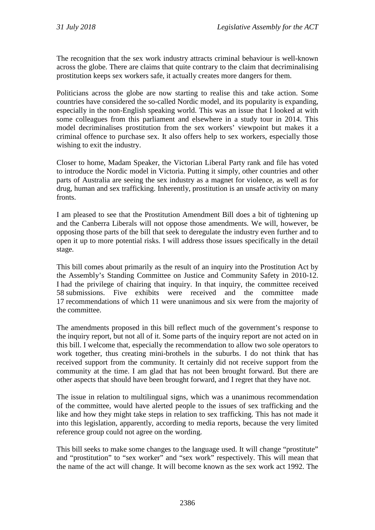The recognition that the sex work industry attracts criminal behaviour is well-known across the globe. There are claims that quite contrary to the claim that decriminalising prostitution keeps sex workers safe, it actually creates more dangers for them.

Politicians across the globe are now starting to realise this and take action. Some countries have considered the so-called Nordic model, and its popularity is expanding, especially in the non-English speaking world. This was an issue that I looked at with some colleagues from this parliament and elsewhere in a study tour in 2014. This model decriminalises prostitution from the sex workers' viewpoint but makes it a criminal offence to purchase sex. It also offers help to sex workers, especially those wishing to exit the industry.

Closer to home, Madam Speaker, the Victorian Liberal Party rank and file has voted to introduce the Nordic model in Victoria. Putting it simply, other countries and other parts of Australia are seeing the sex industry as a magnet for violence, as well as for drug, human and sex trafficking. Inherently, prostitution is an unsafe activity on many fronts.

I am pleased to see that the Prostitution Amendment Bill does a bit of tightening up and the Canberra Liberals will not oppose those amendments. We will, however, be opposing those parts of the bill that seek to deregulate the industry even further and to open it up to more potential risks. I will address those issues specifically in the detail stage.

This bill comes about primarily as the result of an inquiry into the Prostitution Act by the Assembly's Standing Committee on Justice and Community Safety in 2010-12. I had the privilege of chairing that inquiry. In that inquiry, the committee received 58 submissions. Five exhibits were received and the committee made 17 recommendations of which 11 were unanimous and six were from the majority of the committee.

The amendments proposed in this bill reflect much of the government's response to the inquiry report, but not all of it. Some parts of the inquiry report are not acted on in this bill. I welcome that, especially the recommendation to allow two sole operators to work together, thus creating mini-brothels in the suburbs. I do not think that has received support from the community. It certainly did not receive support from the community at the time. I am glad that has not been brought forward. But there are other aspects that should have been brought forward, and I regret that they have not.

The issue in relation to multilingual signs, which was a unanimous recommendation of the committee, would have alerted people to the issues of sex trafficking and the like and how they might take steps in relation to sex trafficking. This has not made it into this legislation, apparently, according to media reports, because the very limited reference group could not agree on the wording.

This bill seeks to make some changes to the language used. It will change "prostitute" and "prostitution" to "sex worker" and "sex work" respectively. This will mean that the name of the act will change. It will become known as the sex work act 1992. The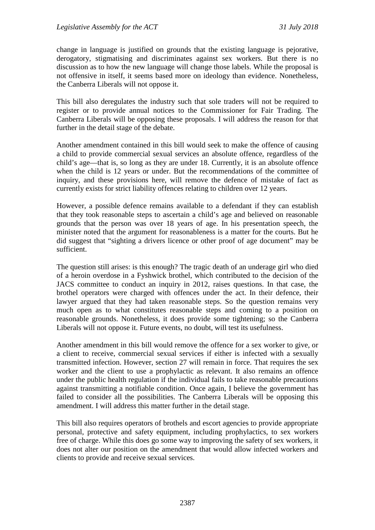change in language is justified on grounds that the existing language is pejorative, derogatory, stigmatising and discriminates against sex workers. But there is no discussion as to how the new language will change those labels. While the proposal is not offensive in itself, it seems based more on ideology than evidence. Nonetheless, the Canberra Liberals will not oppose it.

This bill also deregulates the industry such that sole traders will not be required to register or to provide annual notices to the Commissioner for Fair Trading. The Canberra Liberals will be opposing these proposals. I will address the reason for that further in the detail stage of the debate.

Another amendment contained in this bill would seek to make the offence of causing a child to provide commercial sexual services an absolute offence, regardless of the child's age—that is, so long as they are under 18. Currently, it is an absolute offence when the child is 12 years or under. But the recommendations of the committee of inquiry, and these provisions here, will remove the defence of mistake of fact as currently exists for strict liability offences relating to children over 12 years.

However, a possible defence remains available to a defendant if they can establish that they took reasonable steps to ascertain a child's age and believed on reasonable grounds that the person was over 18 years of age. In his presentation speech, the minister noted that the argument for reasonableness is a matter for the courts. But he did suggest that "sighting a drivers licence or other proof of age document" may be sufficient.

The question still arises: is this enough? The tragic death of an underage girl who died of a heroin overdose in a Fyshwick brothel, which contributed to the decision of the JACS committee to conduct an inquiry in 2012, raises questions. In that case, the brothel operators were charged with offences under the act. In their defence, their lawyer argued that they had taken reasonable steps. So the question remains very much open as to what constitutes reasonable steps and coming to a position on reasonable grounds. Nonetheless, it does provide some tightening; so the Canberra Liberals will not oppose it. Future events, no doubt, will test its usefulness.

Another amendment in this bill would remove the offence for a sex worker to give, or a client to receive, commercial sexual services if either is infected with a sexually transmitted infection. However, section 27 will remain in force. That requires the sex worker and the client to use a prophylactic as relevant. It also remains an offence under the public health regulation if the individual fails to take reasonable precautions against transmitting a notifiable condition. Once again, I believe the government has failed to consider all the possibilities. The Canberra Liberals will be opposing this amendment. I will address this matter further in the detail stage.

This bill also requires operators of brothels and escort agencies to provide appropriate personal, protective and safety equipment, including prophylactics, to sex workers free of charge. While this does go some way to improving the safety of sex workers, it does not alter our position on the amendment that would allow infected workers and clients to provide and receive sexual services.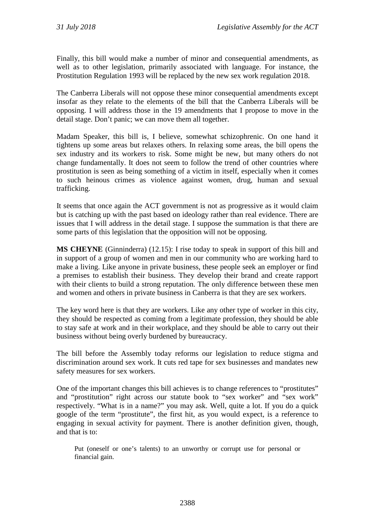Finally, this bill would make a number of minor and consequential amendments, as well as to other legislation, primarily associated with language. For instance, the Prostitution Regulation 1993 will be replaced by the new sex work regulation 2018.

The Canberra Liberals will not oppose these minor consequential amendments except insofar as they relate to the elements of the bill that the Canberra Liberals will be opposing. I will address those in the 19 amendments that I propose to move in the detail stage. Don't panic; we can move them all together.

Madam Speaker, this bill is, I believe, somewhat schizophrenic. On one hand it tightens up some areas but relaxes others. In relaxing some areas, the bill opens the sex industry and its workers to risk. Some might be new, but many others do not change fundamentally. It does not seem to follow the trend of other countries where prostitution is seen as being something of a victim in itself, especially when it comes to such heinous crimes as violence against women, drug, human and sexual trafficking.

It seems that once again the ACT government is not as progressive as it would claim but is catching up with the past based on ideology rather than real evidence. There are issues that I will address in the detail stage. I suppose the summation is that there are some parts of this legislation that the opposition will not be opposing.

**MS CHEYNE** (Ginninderra) (12.15): I rise today to speak in support of this bill and in support of a group of women and men in our community who are working hard to make a living. Like anyone in private business, these people seek an employer or find a premises to establish their business. They develop their brand and create rapport with their clients to build a strong reputation. The only difference between these men and women and others in private business in Canberra is that they are sex workers.

The key word here is that they are workers. Like any other type of worker in this city, they should be respected as coming from a legitimate profession, they should be able to stay safe at work and in their workplace, and they should be able to carry out their business without being overly burdened by bureaucracy.

The bill before the Assembly today reforms our legislation to reduce stigma and discrimination around sex work. It cuts red tape for sex businesses and mandates new safety measures for sex workers.

One of the important changes this bill achieves is to change references to "prostitutes" and "prostitution" right across our statute book to "sex worker" and "sex work" respectively. "What is in a name?" you may ask. Well, quite a lot. If you do a quick google of the term "prostitute", the first hit, as you would expect, is a reference to engaging in sexual activity for payment. There is another definition given, though, and that is to:

Put (oneself or one's talents) to an unworthy or corrupt use for personal or financial gain.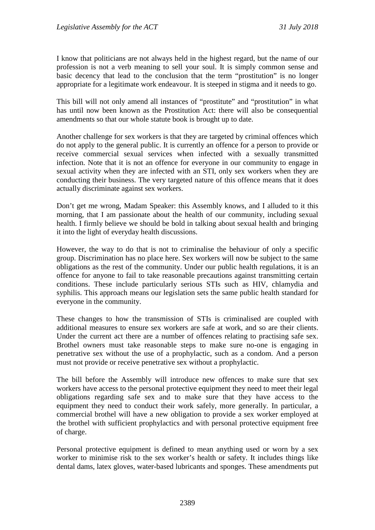I know that politicians are not always held in the highest regard, but the name of our profession is not a verb meaning to sell your soul. It is simply common sense and basic decency that lead to the conclusion that the term "prostitution" is no longer appropriate for a legitimate work endeavour. It is steeped in stigma and it needs to go.

This bill will not only amend all instances of "prostitute" and "prostitution" in what has until now been known as the Prostitution Act: there will also be consequential amendments so that our whole statute book is brought up to date.

Another challenge for sex workers is that they are targeted by criminal offences which do not apply to the general public. It is currently an offence for a person to provide or receive commercial sexual services when infected with a sexually transmitted infection. Note that it is not an offence for everyone in our community to engage in sexual activity when they are infected with an STI, only sex workers when they are conducting their business. The very targeted nature of this offence means that it does actually discriminate against sex workers.

Don't get me wrong, Madam Speaker: this Assembly knows, and I alluded to it this morning, that I am passionate about the health of our community, including sexual health. I firmly believe we should be bold in talking about sexual health and bringing it into the light of everyday health discussions.

However, the way to do that is not to criminalise the behaviour of only a specific group. Discrimination has no place here. Sex workers will now be subject to the same obligations as the rest of the community. Under our public health regulations, it is an offence for anyone to fail to take reasonable precautions against transmitting certain conditions. These include particularly serious STIs such as HIV, chlamydia and syphilis. This approach means our legislation sets the same public health standard for everyone in the community.

These changes to how the transmission of STIs is criminalised are coupled with additional measures to ensure sex workers are safe at work, and so are their clients. Under the current act there are a number of offences relating to practising safe sex. Brothel owners must take reasonable steps to make sure no-one is engaging in penetrative sex without the use of a prophylactic, such as a condom. And a person must not provide or receive penetrative sex without a prophylactic.

The bill before the Assembly will introduce new offences to make sure that sex workers have access to the personal protective equipment they need to meet their legal obligations regarding safe sex and to make sure that they have access to the equipment they need to conduct their work safely, more generally. In particular, a commercial brothel will have a new obligation to provide a sex worker employed at the brothel with sufficient prophylactics and with personal protective equipment free of charge.

Personal protective equipment is defined to mean anything used or worn by a sex worker to minimise risk to the sex worker's health or safety. It includes things like dental dams, latex gloves, water-based lubricants and sponges. These amendments put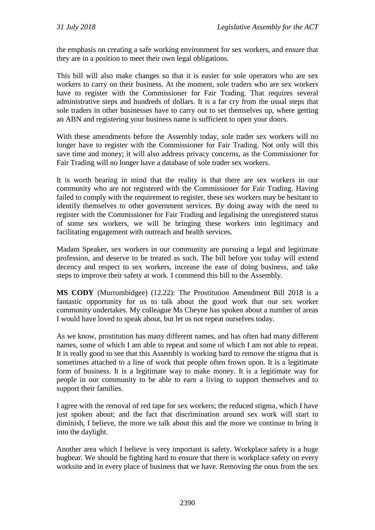the emphasis on creating a safe working environment for sex workers, and ensure that they are in a position to meet their own legal obligations.

This bill will also make changes so that it is easier for sole operators who are sex workers to carry on their business. At the moment, sole traders who are sex workers have to register with the Commissioner for Fair Trading. That requires several administrative steps and hundreds of dollars. It is a far cry from the usual steps that sole traders in other businesses have to carry out to set themselves up, where getting an ABN and registering your business name is sufficient to open your doors.

With these amendments before the Assembly today, sole trader sex workers will no longer have to register with the Commissioner for Fair Trading. Not only will this save time and money; it will also address privacy concerns, as the Commissioner for Fair Trading will no longer have a database of sole trader sex workers.

It is worth bearing in mind that the reality is that there are sex workers in our community who are not registered with the Commissioner for Fair Trading. Having failed to comply with the requirement to register, these sex workers may be hesitant to identify themselves to other government services. By doing away with the need to register with the Commissioner for Fair Trading and legalising the unregistered status of some sex workers, we will be bringing these workers into legitimacy and facilitating engagement with outreach and health services.

Madam Speaker, sex workers in our community are pursuing a legal and legitimate profession, and deserve to be treated as such. The bill before you today will extend decency and respect to sex workers, increase the ease of doing business, and take steps to improve their safety at work. I commend this bill to the Assembly.

**MS CODY** (Murrumbidgee) (12.22): The Prostitution Amendment Bill 2018 is a fantastic opportunity for us to talk about the good work that our sex worker community undertakes. My colleague Ms Cheyne has spoken about a number of areas I would have loved to speak about, but let us not repeat ourselves today.

As we know, prostitution has many different names, and has often had many different names, some of which I am able to repeat and some of which I am not able to repeat. It is really good to see that this Assembly is working hard to remove the stigma that is sometimes attached to a line of work that people often frown upon. It is a legitimate form of business. It is a legitimate way to make money. It is a legitimate way for people in our community to be able to earn a living to support themselves and to support their families.

I agree with the removal of red tape for sex workers; the reduced stigma, which I have just spoken about; and the fact that discrimination around sex work will start to diminish, I believe, the more we talk about this and the more we continue to bring it into the daylight.

Another area which I believe is very important is safety. Workplace safety is a huge bugbear. We should be fighting hard to ensure that there is workplace safety on every worksite and in every place of business that we have. Removing the onus from the sex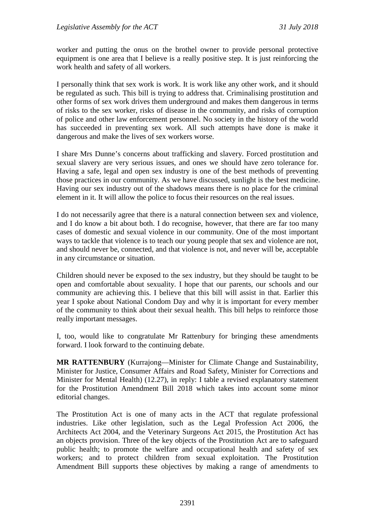worker and putting the onus on the brothel owner to provide personal protective equipment is one area that I believe is a really positive step. It is just reinforcing the work health and safety of all workers.

I personally think that sex work is work. It is work like any other work, and it should be regulated as such. This bill is trying to address that. Criminalising prostitution and other forms of sex work drives them underground and makes them dangerous in terms of risks to the sex worker, risks of disease in the community, and risks of corruption of police and other law enforcement personnel. No society in the history of the world has succeeded in preventing sex work. All such attempts have done is make it dangerous and make the lives of sex workers worse.

I share Mrs Dunne's concerns about trafficking and slavery. Forced prostitution and sexual slavery are very serious issues, and ones we should have zero tolerance for. Having a safe, legal and open sex industry is one of the best methods of preventing those practices in our community. As we have discussed, sunlight is the best medicine. Having our sex industry out of the shadows means there is no place for the criminal element in it. It will allow the police to focus their resources on the real issues.

I do not necessarily agree that there is a natural connection between sex and violence, and I do know a bit about both. I do recognise, however, that there are far too many cases of domestic and sexual violence in our community. One of the most important ways to tackle that violence is to teach our young people that sex and violence are not, and should never be, connected, and that violence is not, and never will be, acceptable in any circumstance or situation.

Children should never be exposed to the sex industry, but they should be taught to be open and comfortable about sexuality. I hope that our parents, our schools and our community are achieving this. I believe that this bill will assist in that. Earlier this year I spoke about National Condom Day and why it is important for every member of the community to think about their sexual health. This bill helps to reinforce those really important messages.

I, too, would like to congratulate Mr Rattenbury for bringing these amendments forward. I look forward to the continuing debate.

**MR RATTENBURY** (Kurrajong—Minister for Climate Change and Sustainability, Minister for Justice, Consumer Affairs and Road Safety, Minister for Corrections and Minister for Mental Health) (12.27), in reply: I table a revised explanatory statement for the Prostitution Amendment Bill 2018 which takes into account some minor editorial changes.

The Prostitution Act is one of many acts in the ACT that regulate professional industries. Like other legislation, such as the Legal Profession Act 2006, the Architects Act 2004, and the Veterinary Surgeons Act 2015, the Prostitution Act has an objects provision. Three of the key objects of the Prostitution Act are to safeguard public health; to promote the welfare and occupational health and safety of sex workers; and to protect children from sexual exploitation. The Prostitution Amendment Bill supports these objectives by making a range of amendments to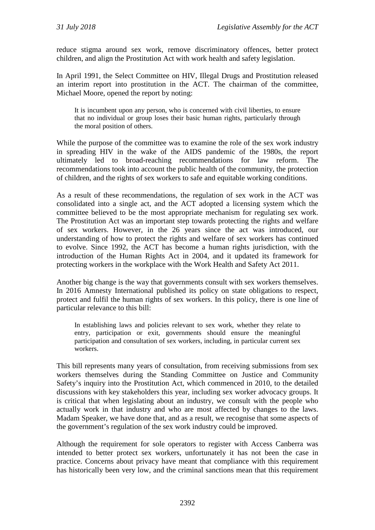reduce stigma around sex work, remove discriminatory offences, better protect children, and align the Prostitution Act with work health and safety legislation.

In April 1991, the Select Committee on HIV, Illegal Drugs and Prostitution released an interim report into prostitution in the ACT. The chairman of the committee, Michael Moore, opened the report by noting:

It is incumbent upon any person, who is concerned with civil liberties, to ensure that no individual or group loses their basic human rights, particularly through the moral position of others.

While the purpose of the committee was to examine the role of the sex work industry in spreading HIV in the wake of the AIDS pandemic of the 1980s, the report ultimately led to broad-reaching recommendations for law reform. The recommendations took into account the public health of the community, the protection of children, and the rights of sex workers to safe and equitable working conditions.

As a result of these recommendations, the regulation of sex work in the ACT was consolidated into a single act, and the ACT adopted a licensing system which the committee believed to be the most appropriate mechanism for regulating sex work. The Prostitution Act was an important step towards protecting the rights and welfare of sex workers. However, in the 26 years since the act was introduced, our understanding of how to protect the rights and welfare of sex workers has continued to evolve. Since 1992, the ACT has become a human rights jurisdiction, with the introduction of the Human Rights Act in 2004, and it updated its framework for protecting workers in the workplace with the Work Health and Safety Act 2011.

Another big change is the way that governments consult with sex workers themselves. In 2016 Amnesty International published its policy on state obligations to respect, protect and fulfil the human rights of sex workers. In this policy, there is one line of particular relevance to this bill:

In establishing laws and policies relevant to sex work, whether they relate to entry, participation or exit, governments should ensure the meaningful participation and consultation of sex workers, including, in particular current sex workers.

This bill represents many years of consultation, from receiving submissions from sex workers themselves during the Standing Committee on Justice and Community Safety's inquiry into the Prostitution Act, which commenced in 2010, to the detailed discussions with key stakeholders this year, including sex worker advocacy groups. It is critical that when legislating about an industry, we consult with the people who actually work in that industry and who are most affected by changes to the laws. Madam Speaker, we have done that, and as a result, we recognise that some aspects of the government's regulation of the sex work industry could be improved.

Although the requirement for sole operators to register with Access Canberra was intended to better protect sex workers, unfortunately it has not been the case in practice. Concerns about privacy have meant that compliance with this requirement has historically been very low, and the criminal sanctions mean that this requirement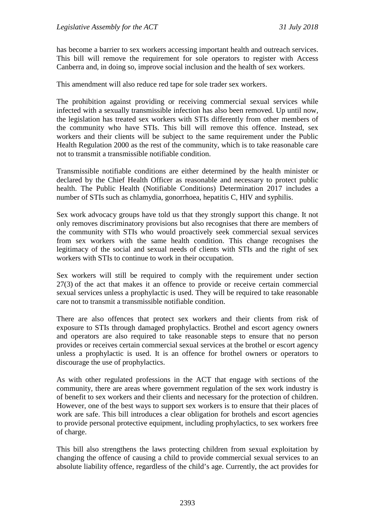has become a barrier to sex workers accessing important health and outreach services. This bill will remove the requirement for sole operators to register with Access Canberra and, in doing so, improve social inclusion and the health of sex workers.

This amendment will also reduce red tape for sole trader sex workers.

The prohibition against providing or receiving commercial sexual services while infected with a sexually transmissible infection has also been removed. Up until now, the legislation has treated sex workers with STIs differently from other members of the community who have STIs. This bill will remove this offence. Instead, sex workers and their clients will be subject to the same requirement under the Public Health Regulation 2000 as the rest of the community, which is to take reasonable care not to transmit a transmissible notifiable condition.

Transmissible notifiable conditions are either determined by the health minister or declared by the Chief Health Officer as reasonable and necessary to protect public health. The Public Health (Notifiable Conditions) Determination 2017 includes a number of STIs such as chlamydia, gonorrhoea, hepatitis C, HIV and syphilis.

Sex work advocacy groups have told us that they strongly support this change. It not only removes discriminatory provisions but also recognises that there are members of the community with STIs who would proactively seek commercial sexual services from sex workers with the same health condition. This change recognises the legitimacy of the social and sexual needs of clients with STIs and the right of sex workers with STIs to continue to work in their occupation.

Sex workers will still be required to comply with the requirement under section 27(3) of the act that makes it an offence to provide or receive certain commercial sexual services unless a prophylactic is used. They will be required to take reasonable care not to transmit a transmissible notifiable condition.

There are also offences that protect sex workers and their clients from risk of exposure to STIs through damaged prophylactics. Brothel and escort agency owners and operators are also required to take reasonable steps to ensure that no person provides or receives certain commercial sexual services at the brothel or escort agency unless a prophylactic is used. It is an offence for brothel owners or operators to discourage the use of prophylactics.

As with other regulated professions in the ACT that engage with sections of the community, there are areas where government regulation of the sex work industry is of benefit to sex workers and their clients and necessary for the protection of children. However, one of the best ways to support sex workers is to ensure that their places of work are safe. This bill introduces a clear obligation for brothels and escort agencies to provide personal protective equipment, including prophylactics, to sex workers free of charge.

This bill also strengthens the laws protecting children from sexual exploitation by changing the offence of causing a child to provide commercial sexual services to an absolute liability offence, regardless of the child's age. Currently, the act provides for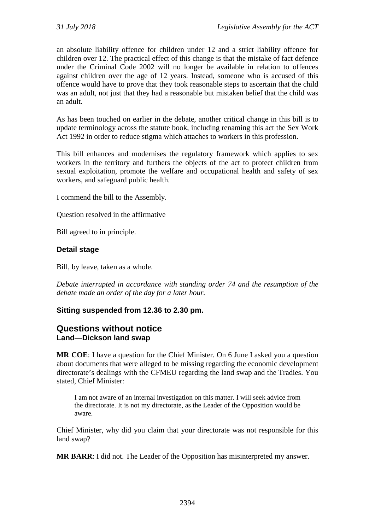an absolute liability offence for children under 12 and a strict liability offence for children over 12. The practical effect of this change is that the mistake of fact defence under the Criminal Code 2002 will no longer be available in relation to offences against children over the age of 12 years. Instead, someone who is accused of this offence would have to prove that they took reasonable steps to ascertain that the child was an adult, not just that they had a reasonable but mistaken belief that the child was an adult.

As has been touched on earlier in the debate, another critical change in this bill is to update terminology across the statute book, including renaming this act the Sex Work Act 1992 in order to reduce stigma which attaches to workers in this profession.

This bill enhances and modernises the regulatory framework which applies to sex workers in the territory and furthers the objects of the act to protect children from sexual exploitation, promote the welfare and occupational health and safety of sex workers, and safeguard public health.

I commend the bill to the Assembly.

Question resolved in the affirmative

Bill agreed to in principle.

### **Detail stage**

Bill, by leave, taken as a whole.

*Debate interrupted in accordance with standing order 74 and the resumption of the debate made an order of the day for a later hour.*

### **Sitting suspended from 12.36 to 2.30 pm.**

## **Questions without notice Land—Dickson land swap**

**MR COE**: I have a question for the Chief Minister. On 6 June I asked you a question about documents that were alleged to be missing regarding the economic development directorate's dealings with the CFMEU regarding the land swap and the Tradies. You stated, Chief Minister:

I am not aware of an internal investigation on this matter. I will seek advice from the directorate. It is not my directorate, as the Leader of the Opposition would be aware.

Chief Minister, why did you claim that your directorate was not responsible for this land swap?

**MR BARR**: I did not. The Leader of the Opposition has misinterpreted my answer.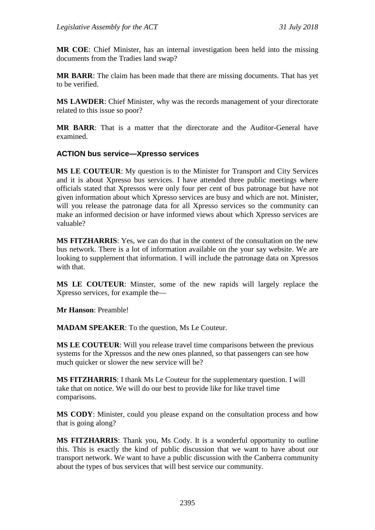**MR COE**: Chief Minister, has an internal investigation been held into the missing documents from the Tradies land swap?

**MR BARR**: The claim has been made that there are missing documents. That has yet to be verified.

**MS LAWDER**: Chief Minister, why was the records management of your directorate related to this issue so poor?

**MR BARR**: That is a matter that the directorate and the Auditor-General have examined.

### **ACTION bus service—Xpresso services**

**MS LE COUTEUR**: My question is to the Minister for Transport and City Services and it is about Xpresso bus services. I have attended three public meetings where officials stated that Xpressos were only four per cent of bus patronage but have not given information about which Xpresso services are busy and which are not. Minister, will you release the patronage data for all Xpresso services so the community can make an informed decision or have informed views about which Xpresso services are valuable?

**MS FITZHARRIS**: Yes, we can do that in the context of the consultation on the new bus network. There is a lot of information available on the your say website. We are looking to supplement that information. I will include the patronage data on Xpressos with that.

**MS LE COUTEUR**: Minster, some of the new rapids will largely replace the Xpresso services, for example the—

**Mr Hanson**: Preamble!

**MADAM SPEAKER**: To the question, Ms Le Couteur.

**MS LE COUTEUR**: Will you release travel time comparisons between the previous systems for the Xpressos and the new ones planned, so that passengers can see how much quicker or slower the new service will be?

**MS FITZHARRIS**: I thank Ms Le Couteur for the supplementary question. I will take that on notice. We will do our best to provide like for like travel time comparisons.

**MS CODY**: Minister, could you please expand on the consultation process and how that is going along?

**MS FITZHARRIS**: Thank you, Ms Cody. It is a wonderful opportunity to outline this. This is exactly the kind of public discussion that we want to have about our transport network. We want to have a public discussion with the Canberra community about the types of bus services that will best service our community.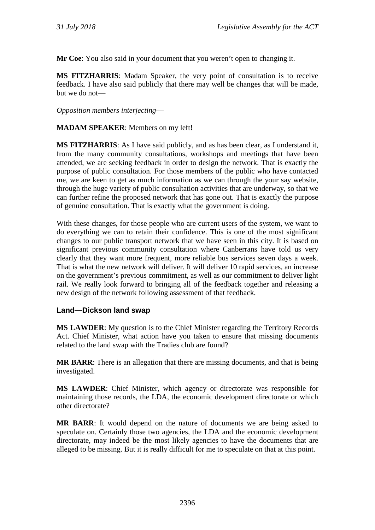**Mr Coe**: You also said in your document that you weren't open to changing it.

**MS FITZHARRIS**: Madam Speaker, the very point of consultation is to receive feedback. I have also said publicly that there may well be changes that will be made, but we do not—

*Opposition members interjecting*—

#### **MADAM SPEAKER**: Members on my left!

**MS FITZHARRIS**: As I have said publicly, and as has been clear, as I understand it, from the many community consultations, workshops and meetings that have been attended, we are seeking feedback in order to design the network. That is exactly the purpose of public consultation. For those members of the public who have contacted me, we are keen to get as much information as we can through the your say website, through the huge variety of public consultation activities that are underway, so that we can further refine the proposed network that has gone out. That is exactly the purpose of genuine consultation. That is exactly what the government is doing.

With these changes, for those people who are current users of the system, we want to do everything we can to retain their confidence. This is one of the most significant changes to our public transport network that we have seen in this city. It is based on significant previous community consultation where Canberrans have told us very clearly that they want more frequent, more reliable bus services seven days a week. That is what the new network will deliver. It will deliver 10 rapid services, an increase on the government's previous commitment, as well as our commitment to deliver light rail. We really look forward to bringing all of the feedback together and releasing a new design of the network following assessment of that feedback.

#### **Land—Dickson land swap**

**MS LAWDER**: My question is to the Chief Minister regarding the Territory Records Act. Chief Minister, what action have you taken to ensure that missing documents related to the land swap with the Tradies club are found?

**MR BARR**: There is an allegation that there are missing documents, and that is being investigated.

**MS LAWDER**: Chief Minister, which agency or directorate was responsible for maintaining those records, the LDA, the economic development directorate or which other directorate?

**MR BARR**: It would depend on the nature of documents we are being asked to speculate on. Certainly those two agencies, the LDA and the economic development directorate, may indeed be the most likely agencies to have the documents that are alleged to be missing. But it is really difficult for me to speculate on that at this point.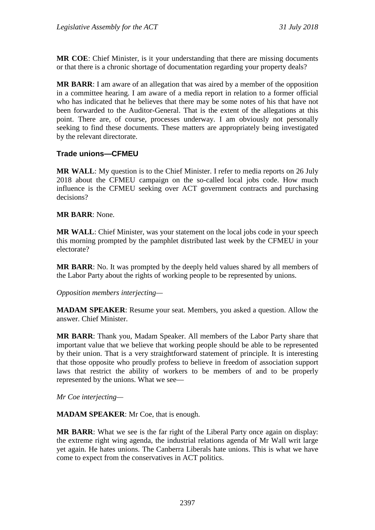**MR COE**: Chief Minister, is it your understanding that there are missing documents or that there is a chronic shortage of documentation regarding your property deals?

**MR BARR**: I am aware of an allegation that was aired by a member of the opposition in a committee hearing. I am aware of a media report in relation to a former official who has indicated that he believes that there may be some notes of his that have not been forwarded to the Auditor-General. That is the extent of the allegations at this point. There are, of course, processes underway. I am obviously not personally seeking to find these documents. These matters are appropriately being investigated by the relevant directorate.

## **Trade unions—CFMEU**

**MR WALL**: My question is to the Chief Minister. I refer to media reports on 26 July 2018 about the CFMEU campaign on the so-called local jobs code. How much influence is the CFMEU seeking over ACT government contracts and purchasing decisions?

### **MR BARR**: None.

**MR WALL**: Chief Minister, was your statement on the local jobs code in your speech this morning prompted by the pamphlet distributed last week by the CFMEU in your electorate?

**MR BARR**: No. It was prompted by the deeply held values shared by all members of the Labor Party about the rights of working people to be represented by unions.

### *Opposition members interjecting—*

**MADAM SPEAKER**: Resume your seat. Members, you asked a question. Allow the answer. Chief Minister.

**MR BARR**: Thank you, Madam Speaker. All members of the Labor Party share that important value that we believe that working people should be able to be represented by their union. That is a very straightforward statement of principle. It is interesting that those opposite who proudly profess to believe in freedom of association support laws that restrict the ability of workers to be members of and to be properly represented by the unions. What we see—

*Mr Coe interjecting—*

**MADAM SPEAKER**: Mr Coe, that is enough.

**MR BARR**: What we see is the far right of the Liberal Party once again on display: the extreme right wing agenda, the industrial relations agenda of Mr Wall writ large yet again. He hates unions. The Canberra Liberals hate unions. This is what we have come to expect from the conservatives in ACT politics.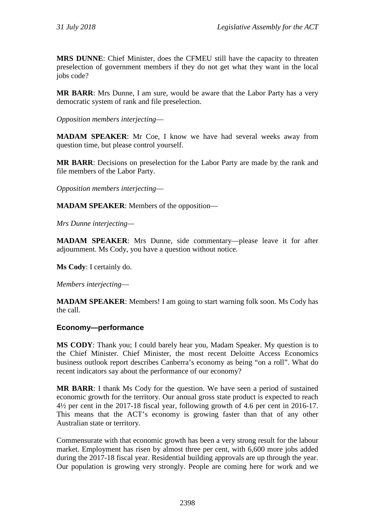**MRS DUNNE**: Chief Minister, does the CFMEU still have the capacity to threaten preselection of government members if they do not get what they want in the local jobs code?

**MR BARR**: Mrs Dunne, I am sure, would be aware that the Labor Party has a very democratic system of rank and file preselection.

*Opposition members interjecting*—

**MADAM SPEAKER**: Mr Coe, I know we have had several weeks away from question time, but please control yourself.

**MR BARR**: Decisions on preselection for the Labor Party are made by the rank and file members of the Labor Party.

*Opposition members interjecting*—

**MADAM SPEAKER**: Members of the opposition—

*Mrs Dunne interjecting—*

**MADAM SPEAKER**: Mrs Dunne, side commentary—please leave it for after adjournment. Ms Cody, you have a question without notice.

**Ms Cody**: I certainly do.

*Members interjecting*—

**MADAM SPEAKER:** Members! I am going to start warning folk soon. Ms Cody has the call.

### **Economy—performance**

**MS CODY**: Thank you; I could barely hear you, Madam Speaker. My question is to the Chief Minister. Chief Minister, the most recent Deloitte Access Economics business outlook report describes Canberra's economy as being "on a roll". What do recent indicators say about the performance of our economy?

**MR BARR**: I thank Ms Cody for the question. We have seen a period of sustained economic growth for the territory. Our annual gross state product is expected to reach 4½ per cent in the 2017-18 fiscal year, following growth of 4.6 per cent in 2016-17. This means that the ACT's economy is growing faster than that of any other Australian state or territory.

Commensurate with that economic growth has been a very strong result for the labour market. Employment has risen by almost three per cent, with 6,600 more jobs added during the 2017-18 fiscal year. Residential building approvals are up through the year. Our population is growing very strongly. People are coming here for work and we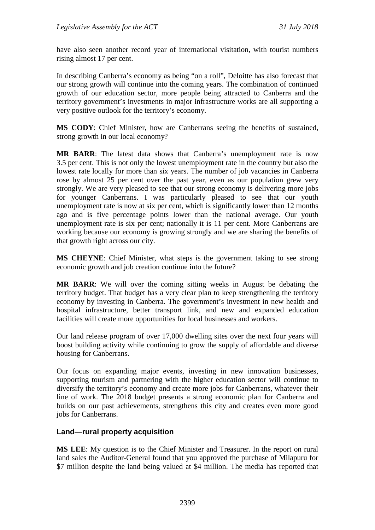have also seen another record year of international visitation, with tourist numbers rising almost 17 per cent.

In describing Canberra's economy as being "on a roll", Deloitte has also forecast that our strong growth will continue into the coming years. The combination of continued growth of our education sector, more people being attracted to Canberra and the territory government's investments in major infrastructure works are all supporting a very positive outlook for the territory's economy.

**MS CODY**: Chief Minister, how are Canberrans seeing the benefits of sustained, strong growth in our local economy?

**MR BARR**: The latest data shows that Canberra's unemployment rate is now 3.5 per cent. This is not only the lowest unemployment rate in the country but also the lowest rate locally for more than six years. The number of job vacancies in Canberra rose by almost 25 per cent over the past year, even as our population grew very strongly. We are very pleased to see that our strong economy is delivering more jobs for younger Canberrans. I was particularly pleased to see that our youth unemployment rate is now at six per cent, which is significantly lower than 12 months ago and is five percentage points lower than the national average. Our youth unemployment rate is six per cent; nationally it is 11 per cent. More Canberrans are working because our economy is growing strongly and we are sharing the benefits of that growth right across our city.

**MS CHEYNE**: Chief Minister, what steps is the government taking to see strong economic growth and job creation continue into the future?

**MR BARR**: We will over the coming sitting weeks in August be debating the territory budget. That budget has a very clear plan to keep strengthening the territory economy by investing in Canberra. The government's investment in new health and hospital infrastructure, better transport link, and new and expanded education facilities will create more opportunities for local businesses and workers.

Our land release program of over 17,000 dwelling sites over the next four years will boost building activity while continuing to grow the supply of affordable and diverse housing for Canberrans.

Our focus on expanding major events, investing in new innovation businesses, supporting tourism and partnering with the higher education sector will continue to diversify the territory's economy and create more jobs for Canberrans, whatever their line of work. The 2018 budget presents a strong economic plan for Canberra and builds on our past achievements, strengthens this city and creates even more good jobs for Canberrans.

### **Land—rural property acquisition**

**MS LEE**: My question is to the Chief Minister and Treasurer. In the report on rural land sales the Auditor-General found that you approved the purchase of Milapuru for \$7 million despite the land being valued at \$4 million. The media has reported that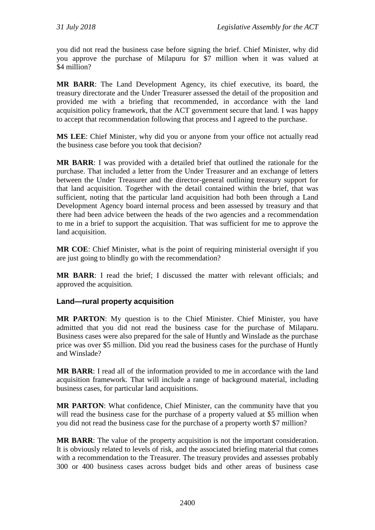you did not read the business case before signing the brief. Chief Minister, why did you approve the purchase of Milapuru for \$7 million when it was valued at \$4 million?

**MR BARR**: The Land Development Agency, its chief executive, its board, the treasury directorate and the Under Treasurer assessed the detail of the proposition and provided me with a briefing that recommended, in accordance with the land acquisition policy framework, that the ACT government secure that land. I was happy to accept that recommendation following that process and I agreed to the purchase.

**MS LEE**: Chief Minister, why did you or anyone from your office not actually read the business case before you took that decision?

**MR BARR**: I was provided with a detailed brief that outlined the rationale for the purchase. That included a letter from the Under Treasurer and an exchange of letters between the Under Treasurer and the director-general outlining treasury support for that land acquisition. Together with the detail contained within the brief, that was sufficient, noting that the particular land acquisition had both been through a Land Development Agency board internal process and been assessed by treasury and that there had been advice between the heads of the two agencies and a recommendation to me in a brief to support the acquisition. That was sufficient for me to approve the land acquisition.

**MR COE**: Chief Minister, what is the point of requiring ministerial oversight if you are just going to blindly go with the recommendation?

**MR BARR**: I read the brief; I discussed the matter with relevant officials; and approved the acquisition.

### **Land—rural property acquisition**

**MR PARTON**: My question is to the Chief Minister. Chief Minister, you have admitted that you did not read the business case for the purchase of Milaparu. Business cases were also prepared for the sale of Huntly and Winslade as the purchase price was over \$5 million. Did you read the business cases for the purchase of Huntly and Winslade?

**MR BARR**: I read all of the information provided to me in accordance with the land acquisition framework. That will include a range of background material, including business cases, for particular land acquisitions.

**MR PARTON**: What confidence, Chief Minister, can the community have that you will read the business case for the purchase of a property valued at \$5 million when you did not read the business case for the purchase of a property worth \$7 million?

**MR BARR**: The value of the property acquisition is not the important consideration. It is obviously related to levels of risk, and the associated briefing material that comes with a recommendation to the Treasurer. The treasury provides and assesses probably 300 or 400 business cases across budget bids and other areas of business case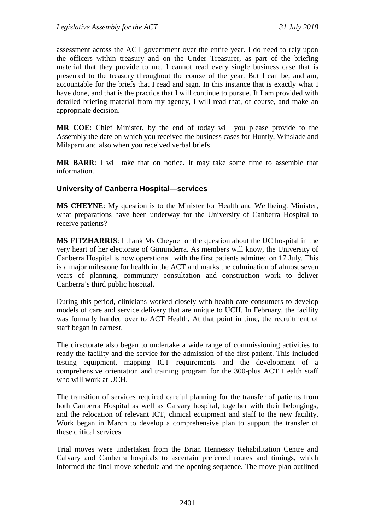assessment across the ACT government over the entire year. I do need to rely upon the officers within treasury and on the Under Treasurer, as part of the briefing material that they provide to me. I cannot read every single business case that is presented to the treasury throughout the course of the year. But I can be, and am, accountable for the briefs that I read and sign. In this instance that is exactly what I have done, and that is the practice that I will continue to pursue. If I am provided with detailed briefing material from my agency, I will read that, of course, and make an appropriate decision.

**MR COE**: Chief Minister, by the end of today will you please provide to the Assembly the date on which you received the business cases for Huntly, Winslade and Milaparu and also when you received verbal briefs.

**MR BARR**: I will take that on notice. It may take some time to assemble that information.

#### **University of Canberra Hospital—services**

**MS CHEYNE**: My question is to the Minister for Health and Wellbeing. Minister, what preparations have been underway for the University of Canberra Hospital to receive patients?

**MS FITZHARRIS**: I thank Ms Cheyne for the question about the UC hospital in the very heart of her electorate of Ginninderra. As members will know, the University of Canberra Hospital is now operational, with the first patients admitted on 17 July. This is a major milestone for health in the ACT and marks the culmination of almost seven years of planning, community consultation and construction work to deliver Canberra's third public hospital.

During this period, clinicians worked closely with health-care consumers to develop models of care and service delivery that are unique to UCH. In February, the facility was formally handed over to ACT Health. At that point in time, the recruitment of staff began in earnest.

The directorate also began to undertake a wide range of commissioning activities to ready the facility and the service for the admission of the first patient. This included testing equipment, mapping ICT requirements and the development of a comprehensive orientation and training program for the 300-plus ACT Health staff who will work at UCH.

The transition of services required careful planning for the transfer of patients from both Canberra Hospital as well as Calvary hospital, together with their belongings, and the relocation of relevant ICT, clinical equipment and staff to the new facility. Work began in March to develop a comprehensive plan to support the transfer of these critical services.

Trial moves were undertaken from the Brian Hennessy Rehabilitation Centre and Calvary and Canberra hospitals to ascertain preferred routes and timings, which informed the final move schedule and the opening sequence. The move plan outlined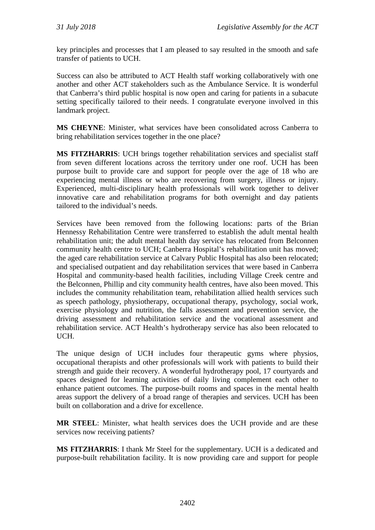key principles and processes that I am pleased to say resulted in the smooth and safe transfer of patients to UCH.

Success can also be attributed to ACT Health staff working collaboratively with one another and other ACT stakeholders such as the Ambulance Service. It is wonderful that Canberra's third public hospital is now open and caring for patients in a subacute setting specifically tailored to their needs. I congratulate everyone involved in this landmark project.

**MS CHEYNE**: Minister, what services have been consolidated across Canberra to bring rehabilitation services together in the one place?

**MS FITZHARRIS**: UCH brings together rehabilitation services and specialist staff from seven different locations across the territory under one roof. UCH has been purpose built to provide care and support for people over the age of 18 who are experiencing mental illness or who are recovering from surgery, illness or injury. Experienced, multi-disciplinary health professionals will work together to deliver innovative care and rehabilitation programs for both overnight and day patients tailored to the individual's needs.

Services have been removed from the following locations: parts of the Brian Hennessy Rehabilitation Centre were transferred to establish the adult mental health rehabilitation unit; the adult mental health day service has relocated from Belconnen community health centre to UCH; Canberra Hospital's rehabilitation unit has moved; the aged care rehabilitation service at Calvary Public Hospital has also been relocated; and specialised outpatient and day rehabilitation services that were based in Canberra Hospital and community-based health facilities, including Village Creek centre and the Belconnen, Phillip and city community health centres, have also been moved. This includes the community rehabilitation team, rehabilitation allied health services such as speech pathology, physiotherapy, occupational therapy, psychology, social work, exercise physiology and nutrition, the falls assessment and prevention service, the driving assessment and rehabilitation service and the vocational assessment and rehabilitation service. ACT Health's hydrotherapy service has also been relocated to UCH.

The unique design of UCH includes four therapeutic gyms where physios, occupational therapists and other professionals will work with patients to build their strength and guide their recovery. A wonderful hydrotherapy pool, 17 courtyards and spaces designed for learning activities of daily living complement each other to enhance patient outcomes. The purpose-built rooms and spaces in the mental health areas support the delivery of a broad range of therapies and services. UCH has been built on collaboration and a drive for excellence.

**MR STEEL**: Minister, what health services does the UCH provide and are these services now receiving patients?

**MS FITZHARRIS**: I thank Mr Steel for the supplementary. UCH is a dedicated and purpose-built rehabilitation facility. It is now providing care and support for people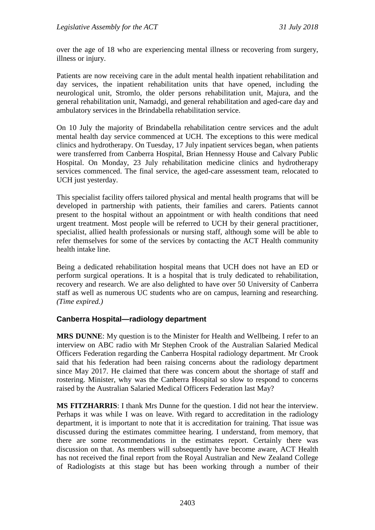over the age of 18 who are experiencing mental illness or recovering from surgery, illness or injury.

Patients are now receiving care in the adult mental health inpatient rehabilitation and day services, the inpatient rehabilitation units that have opened, including the neurological unit, Stromlo, the older persons rehabilitation unit, Majura, and the general rehabilitation unit, Namadgi, and general rehabilitation and aged-care day and ambulatory services in the Brindabella rehabilitation service.

On 10 July the majority of Brindabella rehabilitation centre services and the adult mental health day service commenced at UCH. The exceptions to this were medical clinics and hydrotherapy. On Tuesday, 17 July inpatient services began, when patients were transferred from Canberra Hospital, Brian Hennessy House and Calvary Public Hospital. On Monday, 23 July rehabilitation medicine clinics and hydrotherapy services commenced. The final service, the aged-care assessment team, relocated to UCH just yesterday.

This specialist facility offers tailored physical and mental health programs that will be developed in partnership with patients, their families and carers. Patients cannot present to the hospital without an appointment or with health conditions that need urgent treatment. Most people will be referred to UCH by their general practitioner, specialist, allied health professionals or nursing staff, although some will be able to refer themselves for some of the services by contacting the ACT Health community health intake line.

Being a dedicated rehabilitation hospital means that UCH does not have an ED or perform surgical operations. It is a hospital that is truly dedicated to rehabilitation, recovery and research. We are also delighted to have over 50 University of Canberra staff as well as numerous UC students who are on campus, learning and researching. *(Time expired.)*

### **Canberra Hospital—radiology department**

**MRS DUNNE**: My question is to the Minister for Health and Wellbeing. I refer to an interview on ABC radio with Mr Stephen Crook of the Australian Salaried Medical Officers Federation regarding the Canberra Hospital radiology department. Mr Crook said that his federation had been raising concerns about the radiology department since May 2017. He claimed that there was concern about the shortage of staff and rostering. Minister, why was the Canberra Hospital so slow to respond to concerns raised by the Australian Salaried Medical Officers Federation last May?

**MS FITZHARRIS**: I thank Mrs Dunne for the question. I did not hear the interview. Perhaps it was while I was on leave. With regard to accreditation in the radiology department, it is important to note that it is accreditation for training. That issue was discussed during the estimates committee hearing. I understand, from memory, that there are some recommendations in the estimates report. Certainly there was discussion on that. As members will subsequently have become aware, ACT Health has not received the final report from the Royal Australian and New Zealand College of Radiologists at this stage but has been working through a number of their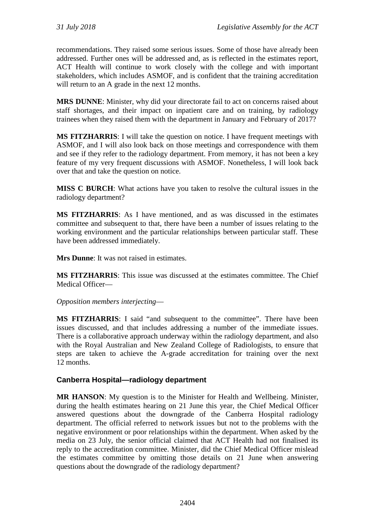recommendations. They raised some serious issues. Some of those have already been addressed. Further ones will be addressed and, as is reflected in the estimates report, ACT Health will continue to work closely with the college and with important stakeholders, which includes ASMOF, and is confident that the training accreditation will return to an A grade in the next 12 months.

**MRS DUNNE**: Minister, why did your directorate fail to act on concerns raised about staff shortages, and their impact on inpatient care and on training, by radiology trainees when they raised them with the department in January and February of 2017?

**MS FITZHARRIS**: I will take the question on notice. I have frequent meetings with ASMOF, and I will also look back on those meetings and correspondence with them and see if they refer to the radiology department. From memory, it has not been a key feature of my very frequent discussions with ASMOF. Nonetheless, I will look back over that and take the question on notice.

**MISS C BURCH**: What actions have you taken to resolve the cultural issues in the radiology department?

**MS FITZHARRIS**: As I have mentioned, and as was discussed in the estimates committee and subsequent to that, there have been a number of issues relating to the working environment and the particular relationships between particular staff. These have been addressed immediately.

**Mrs Dunne**: It was not raised in estimates.

**MS FITZHARRIS**: This issue was discussed at the estimates committee. The Chief Medical Officer—

*Opposition members interjecting*—

**MS FITZHARRIS**: I said "and subsequent to the committee". There have been issues discussed, and that includes addressing a number of the immediate issues. There is a collaborative approach underway within the radiology department, and also with the Royal Australian and New Zealand College of Radiologists, to ensure that steps are taken to achieve the A-grade accreditation for training over the next 12 months.

### **Canberra Hospital—radiology department**

**MR HANSON**: My question is to the Minister for Health and Wellbeing. Minister, during the health estimates hearing on 21 June this year, the Chief Medical Officer answered questions about the downgrade of the Canberra Hospital radiology department. The official referred to network issues but not to the problems with the negative environment or poor relationships within the department. When asked by the media on 23 July, the senior official claimed that ACT Health had not finalised its reply to the accreditation committee. Minister, did the Chief Medical Officer mislead the estimates committee by omitting those details on 21 June when answering questions about the downgrade of the radiology department?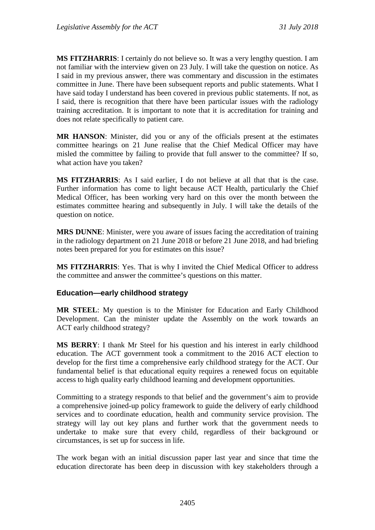**MS FITZHARRIS**: I certainly do not believe so. It was a very lengthy question. I am not familiar with the interview given on 23 July. I will take the question on notice. As I said in my previous answer, there was commentary and discussion in the estimates committee in June. There have been subsequent reports and public statements. What I have said today I understand has been covered in previous public statements. If not, as I said, there is recognition that there have been particular issues with the radiology training accreditation. It is important to note that it is accreditation for training and does not relate specifically to patient care.

**MR HANSON**: Minister, did you or any of the officials present at the estimates committee hearings on 21 June realise that the Chief Medical Officer may have misled the committee by failing to provide that full answer to the committee? If so, what action have you taken?

**MS FITZHARRIS**: As I said earlier, I do not believe at all that that is the case. Further information has come to light because ACT Health, particularly the Chief Medical Officer, has been working very hard on this over the month between the estimates committee hearing and subsequently in July. I will take the details of the question on notice.

**MRS DUNNE**: Minister, were you aware of issues facing the accreditation of training in the radiology department on 21 June 2018 or before 21 June 2018, and had briefing notes been prepared for you for estimates on this issue?

**MS FITZHARRIS**: Yes. That is why I invited the Chief Medical Officer to address the committee and answer the committee's questions on this matter.

### **Education—early childhood strategy**

**MR STEEL**: My question is to the Minister for Education and Early Childhood Development. Can the minister update the Assembly on the work towards an ACT early childhood strategy?

**MS BERRY**: I thank Mr Steel for his question and his interest in early childhood education. The ACT government took a commitment to the 2016 ACT election to develop for the first time a comprehensive early childhood strategy for the ACT. Our fundamental belief is that educational equity requires a renewed focus on equitable access to high quality early childhood learning and development opportunities.

Committing to a strategy responds to that belief and the government's aim to provide a comprehensive joined-up policy framework to guide the delivery of early childhood services and to coordinate education, health and community service provision. The strategy will lay out key plans and further work that the government needs to undertake to make sure that every child, regardless of their background or circumstances, is set up for success in life.

The work began with an initial discussion paper last year and since that time the education directorate has been deep in discussion with key stakeholders through a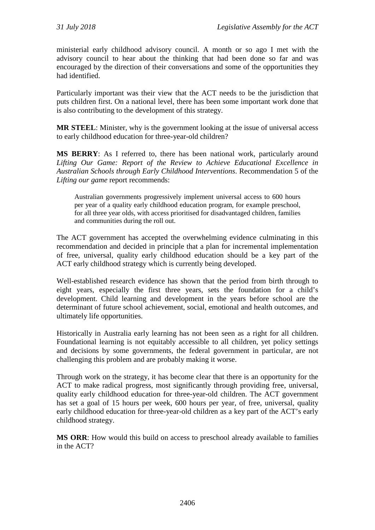ministerial early childhood advisory council. A month or so ago I met with the advisory council to hear about the thinking that had been done so far and was encouraged by the direction of their conversations and some of the opportunities they had identified.

Particularly important was their view that the ACT needs to be the jurisdiction that puts children first. On a national level, there has been some important work done that is also contributing to the development of this strategy.

**MR STEEL**: Minister, why is the government looking at the issue of universal access to early childhood education for three-year-old children?

**MS BERRY**: As I referred to, there has been national work, particularly around *Lifting Our Game: Report of the Review to Achieve Educational Excellence in Australian Schools through Early Childhood Interventions*. Recommendation 5 of the *Lifting our game* report recommends:

Australian governments progressively implement universal access to 600 hours per year of a quality early childhood education program, for example preschool, for all three year olds, with access prioritised for disadvantaged children, families and communities during the roll out.

The ACT government has accepted the overwhelming evidence culminating in this recommendation and decided in principle that a plan for incremental implementation of free, universal, quality early childhood education should be a key part of the ACT early childhood strategy which is currently being developed.

Well-established research evidence has shown that the period from birth through to eight years, especially the first three years, sets the foundation for a child's development. Child learning and development in the years before school are the determinant of future school achievement, social, emotional and health outcomes, and ultimately life opportunities.

Historically in Australia early learning has not been seen as a right for all children. Foundational learning is not equitably accessible to all children, yet policy settings and decisions by some governments, the federal government in particular, are not challenging this problem and are probably making it worse.

Through work on the strategy, it has become clear that there is an opportunity for the ACT to make radical progress, most significantly through providing free, universal, quality early childhood education for three-year-old children. The ACT government has set a goal of 15 hours per week, 600 hours per year, of free, universal, quality early childhood education for three-year-old children as a key part of the ACT's early childhood strategy.

**MS ORR**: How would this build on access to preschool already available to families in the ACT?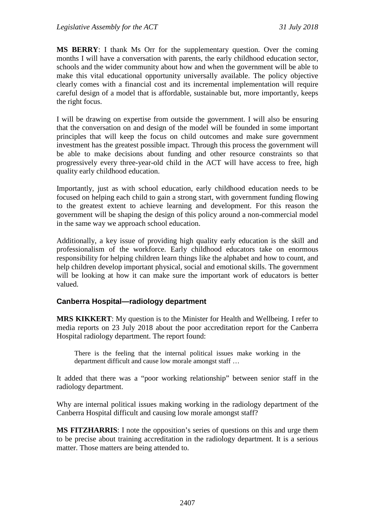**MS BERRY**: I thank Ms Orr for the supplementary question. Over the coming months I will have a conversation with parents, the early childhood education sector, schools and the wider community about how and when the government will be able to make this vital educational opportunity universally available. The policy objective clearly comes with a financial cost and its incremental implementation will require careful design of a model that is affordable, sustainable but, more importantly, keeps the right focus.

I will be drawing on expertise from outside the government. I will also be ensuring that the conversation on and design of the model will be founded in some important principles that will keep the focus on child outcomes and make sure government investment has the greatest possible impact. Through this process the government will be able to make decisions about funding and other resource constraints so that progressively every three-year-old child in the ACT will have access to free, high quality early childhood education.

Importantly, just as with school education, early childhood education needs to be focused on helping each child to gain a strong start, with government funding flowing to the greatest extent to achieve learning and development. For this reason the government will be shaping the design of this policy around a non-commercial model in the same way we approach school education.

Additionally, a key issue of providing high quality early education is the skill and professionalism of the workforce. Early childhood educators take on enormous responsibility for helping children learn things like the alphabet and how to count, and help children develop important physical, social and emotional skills. The government will be looking at how it can make sure the important work of educators is better valued.

### **Canberra Hospital—radiology department**

**MRS KIKKERT**: My question is to the Minister for Health and Wellbeing. I refer to media reports on 23 July 2018 about the poor accreditation report for the Canberra Hospital radiology department. The report found:

There is the feeling that the internal political issues make working in the department difficult and cause low morale amongst staff …

It added that there was a "poor working relationship" between senior staff in the radiology department.

Why are internal political issues making working in the radiology department of the Canberra Hospital difficult and causing low morale amongst staff?

**MS FITZHARRIS**: I note the opposition's series of questions on this and urge them to be precise about training accreditation in the radiology department. It is a serious matter. Those matters are being attended to.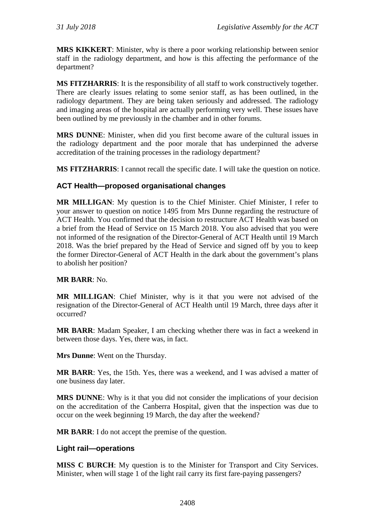**MRS KIKKERT**: Minister, why is there a poor working relationship between senior staff in the radiology department, and how is this affecting the performance of the department?

**MS FITZHARRIS**: It is the responsibility of all staff to work constructively together. There are clearly issues relating to some senior staff, as has been outlined, in the radiology department. They are being taken seriously and addressed. The radiology and imaging areas of the hospital are actually performing very well. These issues have been outlined by me previously in the chamber and in other forums.

**MRS DUNNE**: Minister, when did you first become aware of the cultural issues in the radiology department and the poor morale that has underpinned the adverse accreditation of the training processes in the radiology department?

**MS FITZHARRIS**: I cannot recall the specific date. I will take the question on notice.

### **ACT Health—proposed organisational changes**

**MR MILLIGAN**: My question is to the Chief Minister. Chief Minister, I refer to your answer to question on notice 1495 from Mrs Dunne regarding the restructure of ACT Health. You confirmed that the decision to restructure ACT Health was based on a brief from the Head of Service on 15 March 2018. You also advised that you were not informed of the resignation of the Director-General of ACT Health until 19 March 2018. Was the brief prepared by the Head of Service and signed off by you to keep the former Director-General of ACT Health in the dark about the government's plans to abolish her position?

### **MR BARR**: No.

**MR MILLIGAN**: Chief Minister, why is it that you were not advised of the resignation of the Director-General of ACT Health until 19 March, three days after it occurred?

**MR BARR**: Madam Speaker, I am checking whether there was in fact a weekend in between those days. Yes, there was, in fact.

**Mrs Dunne**: Went on the Thursday.

**MR BARR**: Yes, the 15th. Yes, there was a weekend, and I was advised a matter of one business day later.

**MRS DUNNE**: Why is it that you did not consider the implications of your decision on the accreditation of the Canberra Hospital, given that the inspection was due to occur on the week beginning 19 March, the day after the weekend?

**MR BARR**: I do not accept the premise of the question.

### **Light rail—operations**

**MISS C BURCH**: My question is to the Minister for Transport and City Services. Minister, when will stage 1 of the light rail carry its first fare-paying passengers?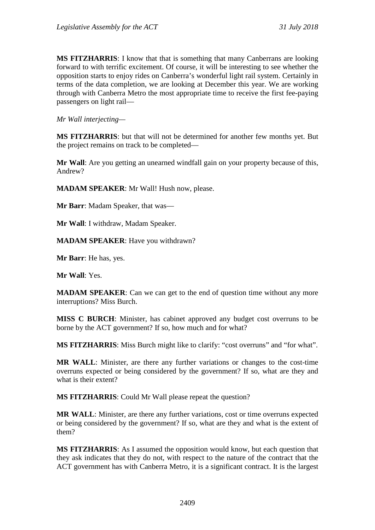**MS FITZHARRIS**: I know that that is something that many Canberrans are looking forward to with terrific excitement. Of course, it will be interesting to see whether the opposition starts to enjoy rides on Canberra's wonderful light rail system. Certainly in terms of the data completion, we are looking at December this year. We are working through with Canberra Metro the most appropriate time to receive the first fee-paying passengers on light rail—

*Mr Wall interjecting—*

**MS FITZHARRIS**: but that will not be determined for another few months yet. But the project remains on track to be completed—

**Mr Wall**: Are you getting an unearned windfall gain on your property because of this, Andrew?

**MADAM SPEAKER**: Mr Wall! Hush now, please.

**Mr Barr**: Madam Speaker, that was—

**Mr Wall**: I withdraw, Madam Speaker.

**MADAM SPEAKER**: Have you withdrawn?

**Mr Barr**: He has, yes.

**Mr Wall**: Yes.

**MADAM SPEAKER:** Can we can get to the end of question time without any more interruptions? Miss Burch.

**MISS C BURCH**: Minister, has cabinet approved any budget cost overruns to be borne by the ACT government? If so, how much and for what?

**MS FITZHARRIS**: Miss Burch might like to clarify: "cost overruns" and "for what".

**MR WALL**: Minister, are there any further variations or changes to the cost-time overruns expected or being considered by the government? If so, what are they and what is their extent?

**MS FITZHARRIS**: Could Mr Wall please repeat the question?

**MR WALL**: Minister, are there any further variations, cost or time overruns expected or being considered by the government? If so, what are they and what is the extent of them?

**MS FITZHARRIS**: As I assumed the opposition would know, but each question that they ask indicates that they do not, with respect to the nature of the contract that the ACT government has with Canberra Metro, it is a significant contract. It is the largest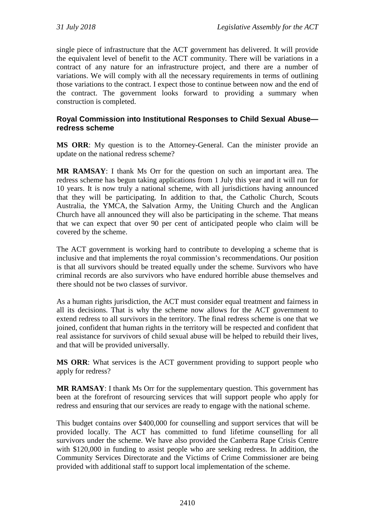single piece of infrastructure that the ACT government has delivered. It will provide the equivalent level of benefit to the ACT community. There will be variations in a contract of any nature for an infrastructure project, and there are a number of variations. We will comply with all the necessary requirements in terms of outlining those variations to the contract. I expect those to continue between now and the end of the contract. The government looks forward to providing a summary when construction is completed.

### **Royal Commission into Institutional Responses to Child Sexual Abuse redress scheme**

**MS ORR**: My question is to the Attorney-General. Can the minister provide an update on the national redress scheme?

**MR RAMSAY**: I thank Ms Orr for the question on such an important area. The redress scheme has begun taking applications from 1 July this year and it will run for 10 years. It is now truly a national scheme, with all jurisdictions having announced that they will be participating. In addition to that, the Catholic Church, Scouts Australia, the YMCA, the Salvation Army, the Uniting Church and the Anglican Church have all announced they will also be participating in the scheme. That means that we can expect that over 90 per cent of anticipated people who claim will be covered by the scheme.

The ACT government is working hard to contribute to developing a scheme that is inclusive and that implements the royal commission's recommendations. Our position is that all survivors should be treated equally under the scheme. Survivors who have criminal records are also survivors who have endured horrible abuse themselves and there should not be two classes of survivor.

As a human rights jurisdiction, the ACT must consider equal treatment and fairness in all its decisions. That is why the scheme now allows for the ACT government to extend redress to all survivors in the territory. The final redress scheme is one that we joined, confident that human rights in the territory will be respected and confident that real assistance for survivors of child sexual abuse will be helped to rebuild their lives, and that will be provided universally.

**MS ORR**: What services is the ACT government providing to support people who apply for redress?

**MR RAMSAY**: I thank Ms Orr for the supplementary question. This government has been at the forefront of resourcing services that will support people who apply for redress and ensuring that our services are ready to engage with the national scheme.

This budget contains over \$400,000 for counselling and support services that will be provided locally. The ACT has committed to fund lifetime counselling for all survivors under the scheme. We have also provided the Canberra Rape Crisis Centre with \$120,000 in funding to assist people who are seeking redress. In addition, the Community Services Directorate and the Victims of Crime Commissioner are being provided with additional staff to support local implementation of the scheme.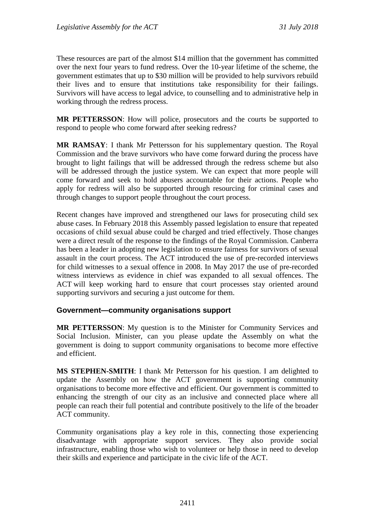These resources are part of the almost \$14 million that the government has committed over the next four years to fund redress. Over the 10-year lifetime of the scheme, the government estimates that up to \$30 million will be provided to help survivors rebuild their lives and to ensure that institutions take responsibility for their failings. Survivors will have access to legal advice, to counselling and to administrative help in working through the redress process.

**MR PETTERSSON**: How will police, prosecutors and the courts be supported to respond to people who come forward after seeking redress?

**MR RAMSAY**: I thank Mr Pettersson for his supplementary question. The Royal Commission and the brave survivors who have come forward during the process have brought to light failings that will be addressed through the redress scheme but also will be addressed through the justice system. We can expect that more people will come forward and seek to hold abusers accountable for their actions. People who apply for redress will also be supported through resourcing for criminal cases and through changes to support people throughout the court process.

Recent changes have improved and strengthened our laws for prosecuting child sex abuse cases. In February 2018 this Assembly passed legislation to ensure that repeated occasions of child sexual abuse could be charged and tried effectively. Those changes were a direct result of the response to the findings of the Royal Commission. Canberra has been a leader in adopting new legislation to ensure fairness for survivors of sexual assault in the court process. The ACT introduced the use of pre-recorded interviews for child witnesses to a sexual offence in 2008. In May 2017 the use of pre-recorded witness interviews as evidence in chief was expanded to all sexual offences. The ACT will keep working hard to ensure that court processes stay oriented around supporting survivors and securing a just outcome for them.

### **Government—community organisations support**

**MR PETTERSSON**: My question is to the Minister for Community Services and Social Inclusion. Minister, can you please update the Assembly on what the government is doing to support community organisations to become more effective and efficient.

**MS STEPHEN-SMITH**: I thank Mr Pettersson for his question. I am delighted to update the Assembly on how the ACT government is supporting community organisations to become more effective and efficient. Our government is committed to enhancing the strength of our city as an inclusive and connected place where all people can reach their full potential and contribute positively to the life of the broader ACT community.

Community organisations play a key role in this, connecting those experiencing disadvantage with appropriate support services. They also provide social infrastructure, enabling those who wish to volunteer or help those in need to develop their skills and experience and participate in the civic life of the ACT.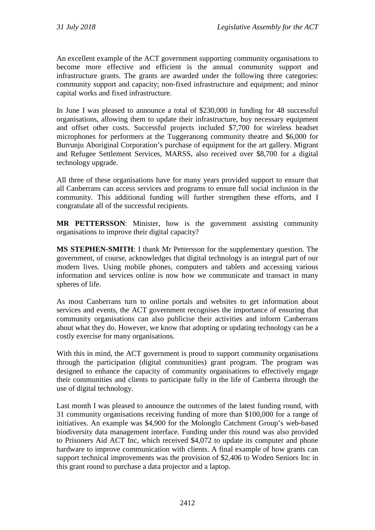An excellent example of the ACT government supporting community organisations to become more effective and efficient is the annual community support and infrastructure grants. The grants are awarded under the following three categories: community support and capacity; non-fixed infrastructure and equipment; and minor capital works and fixed infrastructure.

In June I was pleased to announce a total of \$230,000 in funding for 48 successful organisations, allowing them to update their infrastructure, buy necessary equipment and offset other costs. Successful projects included \$7,700 for wireless headset microphones for performers at the Tuggeranong community theatre and \$6,000 for Burrunju Aboriginal Corporation's purchase of equipment for the art gallery. Migrant and Refugee Settlement Services, MARSS, also received over \$8,700 for a digital technology upgrade.

All three of these organisations have for many years provided support to ensure that all Canberrans can access services and programs to ensure full social inclusion in the community. This additional funding will further strengthen these efforts, and I congratulate all of the successful recipients.

**MR PETTERSSON**: Minister, how is the government assisting community organisations to improve their digital capacity?

**MS STEPHEN-SMITH**: I thank Mr Pettersson for the supplementary question. The government, of course, acknowledges that digital technology is an integral part of our modern lives. Using mobile phones, computers and tablets and accessing various information and services online is now how we communicate and transact in many spheres of life.

As most Canberrans turn to online portals and websites to get information about services and events, the ACT government recognises the importance of ensuring that community organisations can also publicise their activities and inform Canberrans about what they do. However, we know that adopting or updating technology can be a costly exercise for many organisations.

With this in mind, the ACT government is proud to support community organisations through the participation (digital communities) grant program. The program was designed to enhance the capacity of community organisations to effectively engage their communities and clients to participate fully in the life of Canberra through the use of digital technology.

Last month I was pleased to announce the outcomes of the latest funding round, with 31 community organisations receiving funding of more than \$100,000 for a range of initiatives. An example was \$4,900 for the Molonglo Catchment Group's web-based biodiversity data management interface. Funding under this round was also provided to Prisoners Aid ACT Inc, which received \$4,072 to update its computer and phone hardware to improve communication with clients. A final example of how grants can support technical improvements was the provision of \$2,406 to Woden Seniors Inc in this grant round to purchase a data projector and a laptop.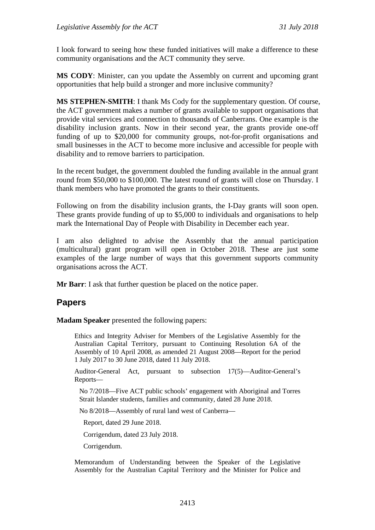I look forward to seeing how these funded initiatives will make a difference to these community organisations and the ACT community they serve.

**MS CODY**: Minister, can you update the Assembly on current and upcoming grant opportunities that help build a stronger and more inclusive community?

**MS STEPHEN-SMITH**: I thank Ms Cody for the supplementary question. Of course, the ACT government makes a number of grants available to support organisations that provide vital services and connection to thousands of Canberrans. One example is the disability inclusion grants. Now in their second year, the grants provide one-off funding of up to \$20,000 for community groups, not-for-profit organisations and small businesses in the ACT to become more inclusive and accessible for people with disability and to remove barriers to participation.

In the recent budget, the government doubled the funding available in the annual grant round from \$50,000 to \$100,000. The latest round of grants will close on Thursday. I thank members who have promoted the grants to their constituents.

Following on from the disability inclusion grants, the I-Day grants will soon open. These grants provide funding of up to \$5,000 to individuals and organisations to help mark the International Day of People with Disability in December each year.

I am also delighted to advise the Assembly that the annual participation (multicultural) grant program will open in October 2018. These are just some examples of the large number of ways that this government supports community organisations across the ACT.

**Mr Barr**: I ask that further question be placed on the notice paper.

## **Papers**

**Madam Speaker** presented the following papers:

Ethics and Integrity Adviser for Members of the Legislative Assembly for the Australian Capital Territory, pursuant to Continuing Resolution 6A of the Assembly of 10 April 2008, as amended 21 August 2008—Report for the period 1 July 2017 to 30 June 2018, dated 11 July 2018.

Auditor-General Act, pursuant to subsection 17(5)—Auditor-General's Reports—

No 7/2018—Five ACT public schools' engagement with Aboriginal and Torres Strait Islander students, families and community, dated 28 June 2018.

No 8/2018—Assembly of rural land west of Canberra—

Report, dated 29 June 2018.

Corrigendum, dated 23 July 2018.

Corrigendum.

Memorandum of Understanding between the Speaker of the Legislative Assembly for the Australian Capital Territory and the Minister for Police and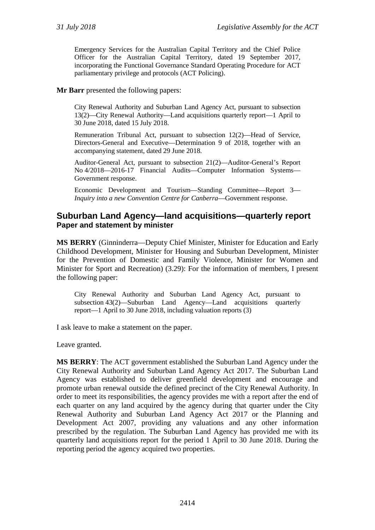Emergency Services for the Australian Capital Territory and the Chief Police Officer for the Australian Capital Territory, dated 19 September 2017, incorporating the Functional Governance Standard Operating Procedure for ACT parliamentary privilege and protocols (ACT Policing).

#### **Mr Barr** presented the following papers:

City Renewal Authority and Suburban Land Agency Act, pursuant to subsection 13(2)—City Renewal Authority—Land acquisitions quarterly report—1 April to 30 June 2018, dated 15 July 2018.

Remuneration Tribunal Act, pursuant to subsection 12(2)—Head of Service, Directors-General and Executive—Determination 9 of 2018, together with an accompanying statement, dated 29 June 2018.

Auditor-General Act, pursuant to subsection 21(2)—Auditor-General's Report No 4/2018—2016-17 Financial Audits—Computer Information Systems— Government response.

Economic Development and Tourism—Standing Committee—Report 3— *Inquiry into a new Convention Centre for Canberra*—Government response.

#### **Suburban Land Agency—land acquisitions—quarterly report Paper and statement by minister**

**MS BERRY** (Ginninderra—Deputy Chief Minister, Minister for Education and Early Childhood Development, Minister for Housing and Suburban Development, Minister for the Prevention of Domestic and Family Violence, Minister for Women and Minister for Sport and Recreation) (3.29): For the information of members, I present the following paper:

City Renewal Authority and Suburban Land Agency Act, pursuant to subsection 43(2)—Suburban Land Agency—Land acquisitions quarterly report—1 April to 30 June 2018, including valuation reports (3)

I ask leave to make a statement on the paper.

Leave granted.

**MS BERRY**: The ACT government established the Suburban Land Agency under the City Renewal Authority and Suburban Land Agency Act 2017. The Suburban Land Agency was established to deliver greenfield development and encourage and promote urban renewal outside the defined precinct of the City Renewal Authority. In order to meet its responsibilities, the agency provides me with a report after the end of each quarter on any land acquired by the agency during that quarter under the City Renewal Authority and Suburban Land Agency Act 2017 or the Planning and Development Act 2007, providing any valuations and any other information prescribed by the regulation. The Suburban Land Agency has provided me with its quarterly land acquisitions report for the period 1 April to 30 June 2018. During the reporting period the agency acquired two properties.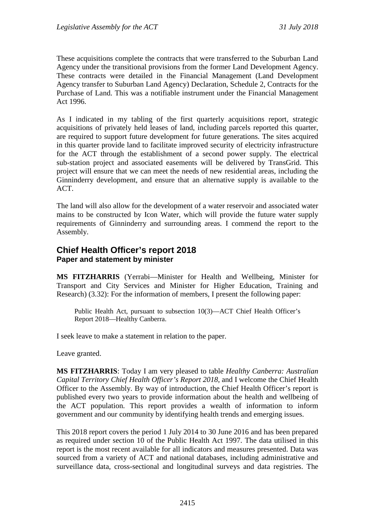These acquisitions complete the contracts that were transferred to the Suburban Land Agency under the transitional provisions from the former Land Development Agency. These contracts were detailed in the Financial Management (Land Development Agency transfer to Suburban Land Agency) Declaration, Schedule 2, Contracts for the Purchase of Land. This was a notifiable instrument under the Financial Management Act 1996.

As I indicated in my tabling of the first quarterly acquisitions report, strategic acquisitions of privately held leases of land, including parcels reported this quarter, are required to support future development for future generations. The sites acquired in this quarter provide land to facilitate improved security of electricity infrastructure for the ACT through the establishment of a second power supply. The electrical sub-station project and associated easements will be delivered by TransGrid. This project will ensure that we can meet the needs of new residential areas, including the Ginninderry development, and ensure that an alternative supply is available to the ACT.

The land will also allow for the development of a water reservoir and associated water mains to be constructed by Icon Water, which will provide the future water supply requirements of Ginninderry and surrounding areas. I commend the report to the Assembly.

## **Chief Health Officer's report 2018 Paper and statement by minister**

**MS FITZHARRIS** (Yerrabi—Minister for Health and Wellbeing, Minister for Transport and City Services and Minister for Higher Education, Training and Research) (3.32): For the information of members, I present the following paper:

Public Health Act, pursuant to subsection 10(3)—ACT Chief Health Officer's Report 2018—Healthy Canberra.

I seek leave to make a statement in relation to the paper.

Leave granted.

**MS FITZHARRIS**: Today I am very pleased to table *Healthy Canberra: Australian Capital Territory Chief Health Officer's Report 2018*, and I welcome the Chief Health Officer to the Assembly. By way of introduction, the Chief Health Officer's report is published every two years to provide information about the health and wellbeing of the ACT population. This report provides a wealth of information to inform government and our community by identifying health trends and emerging issues.

This 2018 report covers the period 1 July 2014 to 30 June 2016 and has been prepared as required under section 10 of the Public Health Act 1997. The data utilised in this report is the most recent available for all indicators and measures presented. Data was sourced from a variety of ACT and national databases, including administrative and surveillance data, cross-sectional and longitudinal surveys and data registries. The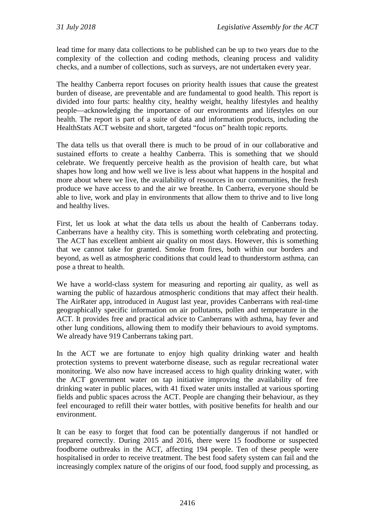lead time for many data collections to be published can be up to two years due to the complexity of the collection and coding methods, cleaning process and validity checks, and a number of collections, such as surveys, are not undertaken every year.

The healthy Canberra report focuses on priority health issues that cause the greatest burden of disease, are preventable and are fundamental to good health. This report is divided into four parts: healthy city, healthy weight, healthy lifestyles and healthy people—acknowledging the importance of our environments and lifestyles on our health. The report is part of a suite of data and information products, including the HealthStats ACT website and short, targeted "focus on" health topic reports.

The data tells us that overall there is much to be proud of in our collaborative and sustained efforts to create a healthy Canberra. This is something that we should celebrate. We frequently perceive health as the provision of health care, but what shapes how long and how well we live is less about what happens in the hospital and more about where we live, the availability of resources in our communities, the fresh produce we have access to and the air we breathe. In Canberra, everyone should be able to live, work and play in environments that allow them to thrive and to live long and healthy lives.

First, let us look at what the data tells us about the health of Canberrans today. Canberrans have a healthy city. This is something worth celebrating and protecting. The ACT has excellent ambient air quality on most days. However, this is something that we cannot take for granted. Smoke from fires, both within our borders and beyond, as well as atmospheric conditions that could lead to thunderstorm asthma, can pose a threat to health.

We have a world-class system for measuring and reporting air quality, as well as warning the public of hazardous atmospheric conditions that may affect their health. The AirRater app, introduced in August last year, provides Canberrans with real-time geographically specific information on air pollutants, pollen and temperature in the ACT. It provides free and practical advice to Canberrans with asthma, hay fever and other lung conditions, allowing them to modify their behaviours to avoid symptoms. We already have 919 Canberrans taking part.

In the ACT we are fortunate to enjoy high quality drinking water and health protection systems to prevent waterborne disease, such as regular recreational water monitoring. We also now have increased access to high quality drinking water, with the ACT government water on tap initiative improving the availability of free drinking water in public places, with 41 fixed water units installed at various sporting fields and public spaces across the ACT. People are changing their behaviour, as they feel encouraged to refill their water bottles, with positive benefits for health and our environment.

It can be easy to forget that food can be potentially dangerous if not handled or prepared correctly. During 2015 and 2016, there were 15 foodborne or suspected foodborne outbreaks in the ACT, affecting 194 people. Ten of these people were hospitalised in order to receive treatment. The best food safety system can fail and the increasingly complex nature of the origins of our food, food supply and processing, as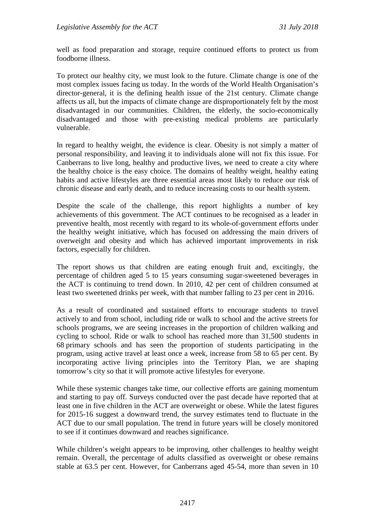well as food preparation and storage, require continued efforts to protect us from foodborne illness.

To protect our healthy city, we must look to the future. Climate change is one of the most complex issues facing us today. In the words of the World Health Organisation's director-general, it is the defining health issue of the 21st century. Climate change affects us all, but the impacts of climate change are disproportionately felt by the most disadvantaged in our communities. Children, the elderly, the socio-economically disadvantaged and those with pre-existing medical problems are particularly vulnerable.

In regard to healthy weight, the evidence is clear. Obesity is not simply a matter of personal responsibility, and leaving it to individuals alone will not fix this issue. For Canberrans to live long, healthy and productive lives, we need to create a city where the healthy choice is the easy choice. The domains of healthy weight, healthy eating habits and active lifestyles are three essential areas most likely to reduce our risk of chronic disease and early death, and to reduce increasing costs to our health system.

Despite the scale of the challenge, this report highlights a number of key achievements of this government. The ACT continues to be recognised as a leader in preventive health, most recently with regard to its whole-of-government efforts under the healthy weight initiative, which has focused on addressing the main drivers of overweight and obesity and which has achieved important improvements in risk factors, especially for children.

The report shows us that children are eating enough fruit and, excitingly, the percentage of children aged 5 to 15 years consuming sugar-sweetened beverages in the ACT is continuing to trend down. In 2010, 42 per cent of children consumed at least two sweetened drinks per week, with that number falling to 23 per cent in 2016.

As a result of coordinated and sustained efforts to encourage students to travel actively to and from school, including ride or walk to school and the active streets for schools programs, we are seeing increases in the proportion of children walking and cycling to school. Ride or walk to school has reached more than 31,500 students in 68 primary schools and has seen the proportion of students participating in the program, using active travel at least once a week, increase from 58 to 65 per cent. By incorporating active living principles into the Territory Plan, we are shaping tomorrow's city so that it will promote active lifestyles for everyone.

While these systemic changes take time, our collective efforts are gaining momentum and starting to pay off. Surveys conducted over the past decade have reported that at least one in five children in the ACT are overweight or obese. While the latest figures for 2015-16 suggest a downward trend, the survey estimates tend to fluctuate in the ACT due to our small population. The trend in future years will be closely monitored to see if it continues downward and reaches significance.

While children's weight appears to be improving, other challenges to healthy weight remain. Overall, the percentage of adults classified as overweight or obese remains stable at 63.5 per cent. However, for Canberrans aged 45-54, more than seven in 10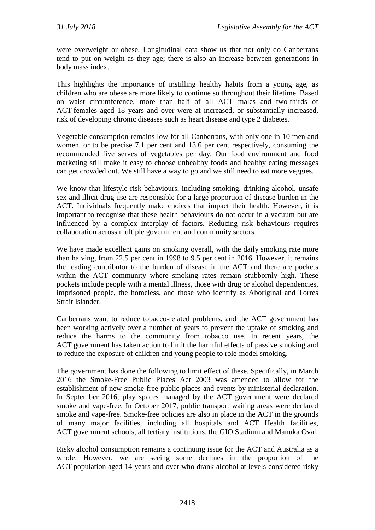were overweight or obese. Longitudinal data show us that not only do Canberrans tend to put on weight as they age; there is also an increase between generations in body mass index.

This highlights the importance of instilling healthy habits from a young age, as children who are obese are more likely to continue so throughout their lifetime. Based on waist circumference, more than half of all ACT males and two-thirds of ACT females aged 18 years and over were at increased, or substantially increased, risk of developing chronic diseases such as heart disease and type 2 diabetes.

Vegetable consumption remains low for all Canberrans, with only one in 10 men and women, or to be precise 7.1 per cent and 13.6 per cent respectively, consuming the recommended five serves of vegetables per day. Our food environment and food marketing still make it easy to choose unhealthy foods and healthy eating messages can get crowded out. We still have a way to go and we still need to eat more veggies.

We know that lifestyle risk behaviours, including smoking, drinking alcohol, unsafe sex and illicit drug use are responsible for a large proportion of disease burden in the ACT. Individuals frequently make choices that impact their health. However, it is important to recognise that these health behaviours do not occur in a vacuum but are influenced by a complex interplay of factors. Reducing risk behaviours requires collaboration across multiple government and community sectors.

We have made excellent gains on smoking overall, with the daily smoking rate more than halving, from 22.5 per cent in 1998 to 9.5 per cent in 2016. However, it remains the leading contributor to the burden of disease in the ACT and there are pockets within the ACT community where smoking rates remain stubbornly high. These pockets include people with a mental illness, those with drug or alcohol dependencies, imprisoned people, the homeless, and those who identify as Aboriginal and Torres Strait Islander.

Canberrans want to reduce tobacco-related problems, and the ACT government has been working actively over a number of years to prevent the uptake of smoking and reduce the harms to the community from tobacco use. In recent years, the ACT government has taken action to limit the harmful effects of passive smoking and to reduce the exposure of children and young people to role-model smoking.

The government has done the following to limit effect of these. Specifically, in March 2016 the Smoke-Free Public Places Act 2003 was amended to allow for the establishment of new smoke-free public places and events by ministerial declaration. In September 2016, play spaces managed by the ACT government were declared smoke and vape-free. In October 2017, public transport waiting areas were declared smoke and vape-free. Smoke-free policies are also in place in the ACT in the grounds of many major facilities, including all hospitals and ACT Health facilities, ACT government schools, all tertiary institutions, the GIO Stadium and Manuka Oval.

Risky alcohol consumption remains a continuing issue for the ACT and Australia as a whole. However, we are seeing some declines in the proportion of the ACT population aged 14 years and over who drank alcohol at levels considered risky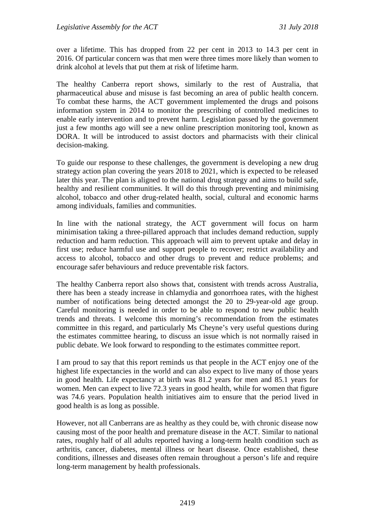over a lifetime. This has dropped from 22 per cent in 2013 to 14.3 per cent in 2016. Of particular concern was that men were three times more likely than women to drink alcohol at levels that put them at risk of lifetime harm.

The healthy Canberra report shows, similarly to the rest of Australia, that pharmaceutical abuse and misuse is fast becoming an area of public health concern. To combat these harms, the ACT government implemented the drugs and poisons information system in 2014 to monitor the prescribing of controlled medicines to enable early intervention and to prevent harm. Legislation passed by the government just a few months ago will see a new online prescription monitoring tool, known as DORA. It will be introduced to assist doctors and pharmacists with their clinical decision-making.

To guide our response to these challenges, the government is developing a new drug strategy action plan covering the years 2018 to 2021, which is expected to be released later this year. The plan is aligned to the national drug strategy and aims to build safe, healthy and resilient communities. It will do this through preventing and minimising alcohol, tobacco and other drug-related health, social, cultural and economic harms among individuals, families and communities.

In line with the national strategy, the ACT government will focus on harm minimisation taking a three-pillared approach that includes demand reduction, supply reduction and harm reduction. This approach will aim to prevent uptake and delay in first use; reduce harmful use and support people to recover; restrict availability and access to alcohol, tobacco and other drugs to prevent and reduce problems; and encourage safer behaviours and reduce preventable risk factors.

The healthy Canberra report also shows that, consistent with trends across Australia, there has been a steady increase in chlamydia and gonorrhoea rates, with the highest number of notifications being detected amongst the 20 to 29-year-old age group. Careful monitoring is needed in order to be able to respond to new public health trends and threats. I welcome this morning's recommendation from the estimates committee in this regard, and particularly Ms Cheyne's very useful questions during the estimates committee hearing, to discuss an issue which is not normally raised in public debate. We look forward to responding to the estimates committee report.

I am proud to say that this report reminds us that people in the ACT enjoy one of the highest life expectancies in the world and can also expect to live many of those years in good health. Life expectancy at birth was 81.2 years for men and 85.1 years for women. Men can expect to live 72.3 years in good health, while for women that figure was 74.6 years. Population health initiatives aim to ensure that the period lived in good health is as long as possible.

However, not all Canberrans are as healthy as they could be, with chronic disease now causing most of the poor health and premature disease in the ACT. Similar to national rates, roughly half of all adults reported having a long-term health condition such as arthritis, cancer, diabetes, mental illness or heart disease. Once established, these conditions, illnesses and diseases often remain throughout a person's life and require long-term management by health professionals.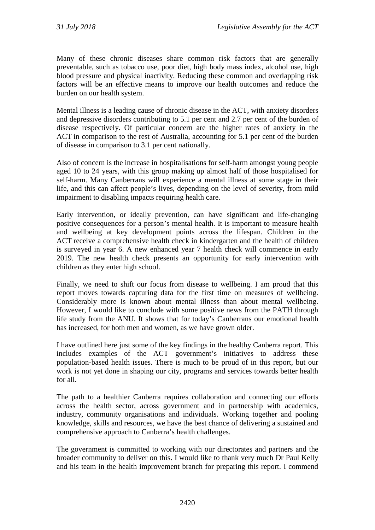Many of these chronic diseases share common risk factors that are generally preventable, such as tobacco use, poor diet, high body mass index, alcohol use, high blood pressure and physical inactivity. Reducing these common and overlapping risk factors will be an effective means to improve our health outcomes and reduce the burden on our health system.

Mental illness is a leading cause of chronic disease in the ACT, with anxiety disorders and depressive disorders contributing to 5.1 per cent and 2.7 per cent of the burden of disease respectively. Of particular concern are the higher rates of anxiety in the ACT in comparison to the rest of Australia, accounting for 5.1 per cent of the burden of disease in comparison to 3.1 per cent nationally.

Also of concern is the increase in hospitalisations for self-harm amongst young people aged 10 to 24 years, with this group making up almost half of those hospitalised for self-harm. Many Canberrans will experience a mental illness at some stage in their life, and this can affect people's lives, depending on the level of severity, from mild impairment to disabling impacts requiring health care.

Early intervention, or ideally prevention, can have significant and life-changing positive consequences for a person's mental health. It is important to measure health and wellbeing at key development points across the lifespan. Children in the ACT receive a comprehensive health check in kindergarten and the health of children is surveyed in year 6. A new enhanced year 7 health check will commence in early 2019. The new health check presents an opportunity for early intervention with children as they enter high school.

Finally, we need to shift our focus from disease to wellbeing. I am proud that this report moves towards capturing data for the first time on measures of wellbeing. Considerably more is known about mental illness than about mental wellbeing. However, I would like to conclude with some positive news from the PATH through life study from the ANU. It shows that for today's Canberrans our emotional health has increased, for both men and women, as we have grown older.

I have outlined here just some of the key findings in the healthy Canberra report. This includes examples of the ACT government's initiatives to address these population-based health issues. There is much to be proud of in this report, but our work is not yet done in shaping our city, programs and services towards better health for all.

The path to a healthier Canberra requires collaboration and connecting our efforts across the health sector, across government and in partnership with academics, industry, community organisations and individuals. Working together and pooling knowledge, skills and resources, we have the best chance of delivering a sustained and comprehensive approach to Canberra's health challenges.

The government is committed to working with our directorates and partners and the broader community to deliver on this. I would like to thank very much Dr Paul Kelly and his team in the health improvement branch for preparing this report. I commend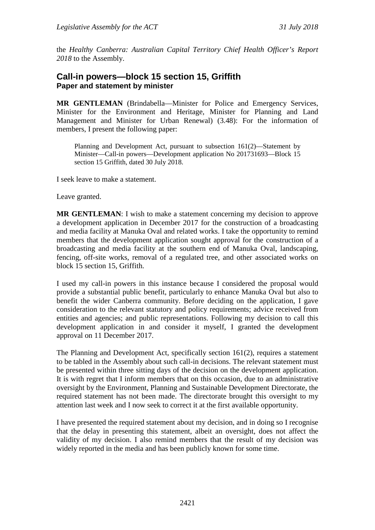the *Healthy Canberra: Australian Capital Territory Chief Health Officer's Report 2018* to the Assembly.

## **Call-in powers—block 15 section 15, Griffith Paper and statement by minister**

**MR GENTLEMAN** (Brindabella—Minister for Police and Emergency Services, Minister for the Environment and Heritage, Minister for Planning and Land Management and Minister for Urban Renewal) (3.48): For the information of members, I present the following paper:

Planning and Development Act, pursuant to subsection 161(2)—Statement by Minister—Call-in powers—Development application No 201731693—Block 15 section 15 Griffith, dated 30 July 2018.

I seek leave to make a statement.

Leave granted.

**MR GENTLEMAN**: I wish to make a statement concerning my decision to approve a development application in December 2017 for the construction of a broadcasting and media facility at Manuka Oval and related works. I take the opportunity to remind members that the development application sought approval for the construction of a broadcasting and media facility at the southern end of Manuka Oval, landscaping, fencing, off-site works, removal of a regulated tree, and other associated works on block 15 section 15, Griffith.

I used my call-in powers in this instance because I considered the proposal would provide a substantial public benefit, particularly to enhance Manuka Oval but also to benefit the wider Canberra community. Before deciding on the application, I gave consideration to the relevant statutory and policy requirements; advice received from entities and agencies; and public representations. Following my decision to call this development application in and consider it myself, I granted the development approval on 11 December 2017.

The Planning and Development Act, specifically section 161(2), requires a statement to be tabled in the Assembly about such call-in decisions. The relevant statement must be presented within three sitting days of the decision on the development application. It is with regret that I inform members that on this occasion, due to an administrative oversight by the Environment, Planning and Sustainable Development Directorate, the required statement has not been made. The directorate brought this oversight to my attention last week and I now seek to correct it at the first available opportunity.

I have presented the required statement about my decision, and in doing so I recognise that the delay in presenting this statement, albeit an oversight, does not affect the validity of my decision. I also remind members that the result of my decision was widely reported in the media and has been publicly known for some time.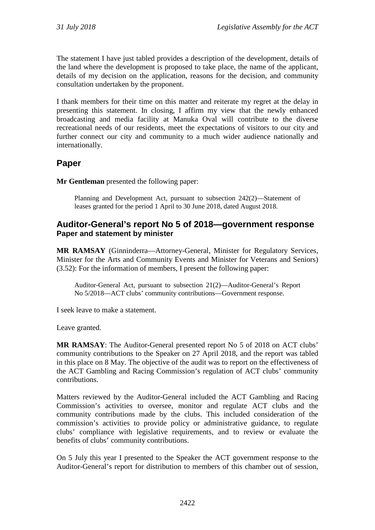The statement I have just tabled provides a description of the development, details of the land where the development is proposed to take place, the name of the applicant, details of my decision on the application, reasons for the decision, and community consultation undertaken by the proponent.

I thank members for their time on this matter and reiterate my regret at the delay in presenting this statement. In closing, I affirm my view that the newly enhanced broadcasting and media facility at Manuka Oval will contribute to the diverse recreational needs of our residents, meet the expectations of visitors to our city and further connect our city and community to a much wider audience nationally and internationally.

## **Paper**

**Mr Gentleman** presented the following paper:

Planning and Development Act, pursuant to subsection 242(2)—Statement of leases granted for the period 1 April to 30 June 2018, dated August 2018.

## **Auditor-General's report No 5 of 2018—government response Paper and statement by minister**

**MR RAMSAY** (Ginninderra—Attorney-General, Minister for Regulatory Services, Minister for the Arts and Community Events and Minister for Veterans and Seniors) (3.52): For the information of members, I present the following paper:

Auditor-General Act, pursuant to subsection 21(2)—Auditor-General's Report No 5/2018—ACT clubs' community contributions—Government response.

I seek leave to make a statement.

Leave granted.

**MR RAMSAY**: The Auditor-General presented report No 5 of 2018 on ACT clubs' community contributions to the Speaker on 27 April 2018, and the report was tabled in this place on 8 May. The objective of the audit was to report on the effectiveness of the ACT Gambling and Racing Commission's regulation of ACT clubs' community contributions.

Matters reviewed by the Auditor-General included the ACT Gambling and Racing Commission's activities to oversee, monitor and regulate ACT clubs and the community contributions made by the clubs. This included consideration of the commission's activities to provide policy or administrative guidance, to regulate clubs' compliance with legislative requirements, and to review or evaluate the benefits of clubs' community contributions.

On 5 July this year I presented to the Speaker the ACT government response to the Auditor-General's report for distribution to members of this chamber out of session,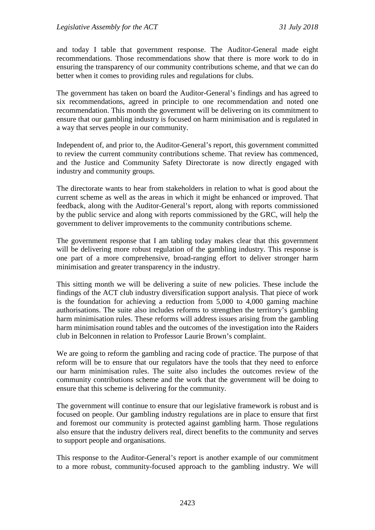and today I table that government response. The Auditor-General made eight recommendations. Those recommendations show that there is more work to do in ensuring the transparency of our community contributions scheme, and that we can do better when it comes to providing rules and regulations for clubs.

The government has taken on board the Auditor-General's findings and has agreed to six recommendations, agreed in principle to one recommendation and noted one recommendation. This month the government will be delivering on its commitment to ensure that our gambling industry is focused on harm minimisation and is regulated in a way that serves people in our community.

Independent of, and prior to, the Auditor-General's report, this government committed to review the current community contributions scheme. That review has commenced, and the Justice and Community Safety Directorate is now directly engaged with industry and community groups.

The directorate wants to hear from stakeholders in relation to what is good about the current scheme as well as the areas in which it might be enhanced or improved. That feedback, along with the Auditor-General's report, along with reports commissioned by the public service and along with reports commissioned by the GRC, will help the government to deliver improvements to the community contributions scheme.

The government response that I am tabling today makes clear that this government will be delivering more robust regulation of the gambling industry. This response is one part of a more comprehensive, broad-ranging effort to deliver stronger harm minimisation and greater transparency in the industry.

This sitting month we will be delivering a suite of new policies. These include the findings of the ACT club industry diversification support analysis. That piece of work is the foundation for achieving a reduction from 5,000 to 4,000 gaming machine authorisations. The suite also includes reforms to strengthen the territory's gambling harm minimisation rules. These reforms will address issues arising from the gambling harm minimisation round tables and the outcomes of the investigation into the Raiders club in Belconnen in relation to Professor Laurie Brown's complaint.

We are going to reform the gambling and racing code of practice. The purpose of that reform will be to ensure that our regulators have the tools that they need to enforce our harm minimisation rules. The suite also includes the outcomes review of the community contributions scheme and the work that the government will be doing to ensure that this scheme is delivering for the community.

The government will continue to ensure that our legislative framework is robust and is focused on people. Our gambling industry regulations are in place to ensure that first and foremost our community is protected against gambling harm. Those regulations also ensure that the industry delivers real, direct benefits to the community and serves to support people and organisations.

This response to the Auditor-General's report is another example of our commitment to a more robust, community-focused approach to the gambling industry. We will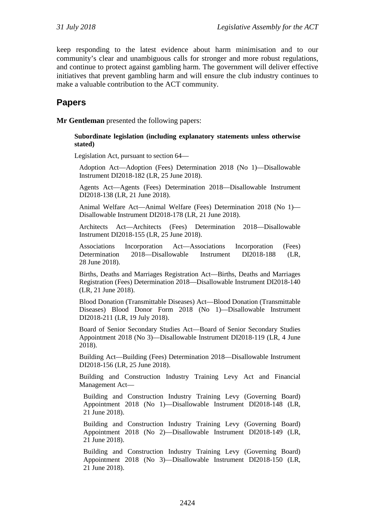keep responding to the latest evidence about harm minimisation and to our community's clear and unambiguous calls for stronger and more robust regulations, and continue to protect against gambling harm. The government will deliver effective initiatives that prevent gambling harm and will ensure the club industry continues to make a valuable contribution to the ACT community.

## **Papers**

**Mr Gentleman** presented the following papers:

#### **Subordinate legislation (including explanatory statements unless otherwise stated)**

Legislation Act, pursuant to section 64—

Adoption Act—Adoption (Fees) Determination 2018 (No 1)—Disallowable Instrument DI2018-182 (LR, 25 June 2018).

Agents Act—Agents (Fees) Determination 2018—Disallowable Instrument DI2018-138 (LR, 21 June 2018).

Animal Welfare Act—Animal Welfare (Fees) Determination 2018 (No 1)— Disallowable Instrument DI2018-178 (LR, 21 June 2018).

Architects Act—Architects (Fees) Determination 2018—Disallowable Instrument DI2018-155 (LR, 25 June 2018).

Associations Incorporation Act—Associations Incorporation (Fees) Determination 2018—Disallowable Instrument DI2018-188 (LR, 28 June 2018).

Births, Deaths and Marriages Registration Act—Births, Deaths and Marriages Registration (Fees) Determination 2018—Disallowable Instrument DI2018-140 (LR, 21 June 2018).

Blood Donation (Transmittable Diseases) Act—Blood Donation (Transmittable Diseases) Blood Donor Form 2018 (No 1)—Disallowable Instrument DI2018-211 (LR, 19 July 2018).

Board of Senior Secondary Studies Act—Board of Senior Secondary Studies Appointment 2018 (No 3)—Disallowable Instrument DI2018-119 (LR, 4 June 2018).

Building Act—Building (Fees) Determination 2018—Disallowable Instrument DI2018-156 (LR, 25 June 2018).

Building and Construction Industry Training Levy Act and Financial Management Act—

Building and Construction Industry Training Levy (Governing Board) Appointment 2018 (No 1)—Disallowable Instrument DI2018-148 (LR, 21 June 2018).

Building and Construction Industry Training Levy (Governing Board) Appointment 2018 (No 2)—Disallowable Instrument DI2018-149 (LR, 21 June 2018).

Building and Construction Industry Training Levy (Governing Board) Appointment 2018 (No 3)—Disallowable Instrument DI2018-150 (LR, 21 June 2018).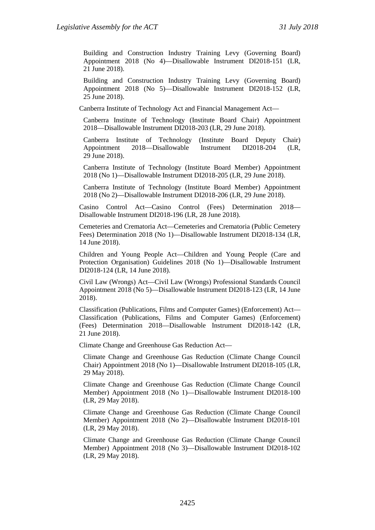Building and Construction Industry Training Levy (Governing Board) Appointment 2018 (No 4)—Disallowable Instrument DI2018-151 (LR, 21 June 2018).

Building and Construction Industry Training Levy (Governing Board) Appointment 2018 (No 5)—Disallowable Instrument DI2018-152 (LR, 25 June 2018).

Canberra Institute of Technology Act and Financial Management Act—

Canberra Institute of Technology (Institute Board Chair) Appointment 2018—Disallowable Instrument DI2018-203 (LR, 29 June 2018).

Canberra Institute of Technology (Institute Board Deputy Chair) Appointment 2018—Disallowable Instrument DI2018-204 (LR, 29 June 2018).

Canberra Institute of Technology (Institute Board Member) Appointment 2018 (No 1)—Disallowable Instrument DI2018-205 (LR, 29 June 2018).

Canberra Institute of Technology (Institute Board Member) Appointment 2018 (No 2)—Disallowable Instrument DI2018-206 (LR, 29 June 2018).

Casino Control Act—Casino Control (Fees) Determination 2018— Disallowable Instrument DI2018-196 (LR, 28 June 2018).

Cemeteries and Crematoria Act—Cemeteries and Crematoria (Public Cemetery Fees) Determination 2018 (No 1)—Disallowable Instrument DI2018-134 (LR, 14 June 2018).

Children and Young People Act—Children and Young People (Care and Protection Organisation) Guidelines 2018 (No 1)—Disallowable Instrument DI2018-124 (LR, 14 June 2018).

Civil Law (Wrongs) Act—Civil Law (Wrongs) Professional Standards Council Appointment 2018 (No 5)—Disallowable Instrument DI2018-123 (LR, 14 June 2018).

Classification (Publications, Films and Computer Games) (Enforcement) Act— Classification (Publications, Films and Computer Games) (Enforcement) (Fees) Determination 2018—Disallowable Instrument DI2018-142 (LR, 21 June 2018).

Climate Change and Greenhouse Gas Reduction Act—

Climate Change and Greenhouse Gas Reduction (Climate Change Council Chair) Appointment 2018 (No 1)—Disallowable Instrument DI2018-105 (LR, 29 May 2018).

Climate Change and Greenhouse Gas Reduction (Climate Change Council Member) Appointment 2018 (No 1)—Disallowable Instrument DI2018-100 (LR, 29 May 2018).

Climate Change and Greenhouse Gas Reduction (Climate Change Council Member) Appointment 2018 (No 2)—Disallowable Instrument DI2018-101 (LR, 29 May 2018).

Climate Change and Greenhouse Gas Reduction (Climate Change Council Member) Appointment 2018 (No 3)—Disallowable Instrument DI2018-102 (LR, 29 May 2018).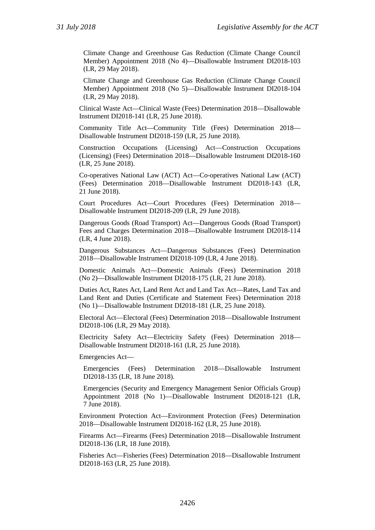Climate Change and Greenhouse Gas Reduction (Climate Change Council Member) Appointment 2018 (No 4)—Disallowable Instrument DI2018-103 (LR, 29 May 2018).

Climate Change and Greenhouse Gas Reduction (Climate Change Council Member) Appointment 2018 (No 5)—Disallowable Instrument DI2018-104 (LR, 29 May 2018).

Clinical Waste Act—Clinical Waste (Fees) Determination 2018—Disallowable Instrument DI2018-141 (LR, 25 June 2018).

Community Title Act—Community Title (Fees) Determination 2018— Disallowable Instrument DI2018-159 (LR, 25 June 2018).

Construction Occupations (Licensing) Act—Construction Occupations (Licensing) (Fees) Determination 2018—Disallowable Instrument DI2018-160 (LR, 25 June 2018).

Co-operatives National Law (ACT) Act—Co-operatives National Law (ACT) (Fees) Determination 2018—Disallowable Instrument DI2018-143 (LR, 21 June 2018).

Court Procedures Act—Court Procedures (Fees) Determination 2018— Disallowable Instrument DI2018-209 (LR, 29 June 2018).

Dangerous Goods (Road Transport) Act—Dangerous Goods (Road Transport) Fees and Charges Determination 2018—Disallowable Instrument DI2018-114 (LR, 4 June 2018).

Dangerous Substances Act—Dangerous Substances (Fees) Determination 2018—Disallowable Instrument DI2018-109 (LR, 4 June 2018).

Domestic Animals Act—Domestic Animals (Fees) Determination 2018 (No 2)—Disallowable Instrument DI2018-175 (LR, 21 June 2018).

Duties Act, Rates Act, Land Rent Act and Land Tax Act—Rates, Land Tax and Land Rent and Duties (Certificate and Statement Fees) Determination 2018 (No 1)—Disallowable Instrument DI2018-181 (LR, 25 June 2018).

Electoral Act—Electoral (Fees) Determination 2018—Disallowable Instrument DI2018-106 (LR, 29 May 2018).

Electricity Safety Act—Electricity Safety (Fees) Determination 2018— Disallowable Instrument DI2018-161 (LR, 25 June 2018).

Emergencies Act—

Emergencies (Fees) Determination 2018—Disallowable Instrument DI2018-135 (LR, 18 June 2018).

Emergencies (Security and Emergency Management Senior Officials Group) Appointment 2018 (No 1)—Disallowable Instrument DI2018-121 (LR, 7 June 2018).

Environment Protection Act—Environment Protection (Fees) Determination 2018—Disallowable Instrument DI2018-162 (LR, 25 June 2018).

Firearms Act—Firearms (Fees) Determination 2018—Disallowable Instrument DI2018-136 (LR, 18 June 2018).

Fisheries Act—Fisheries (Fees) Determination 2018—Disallowable Instrument DI2018-163 (LR, 25 June 2018).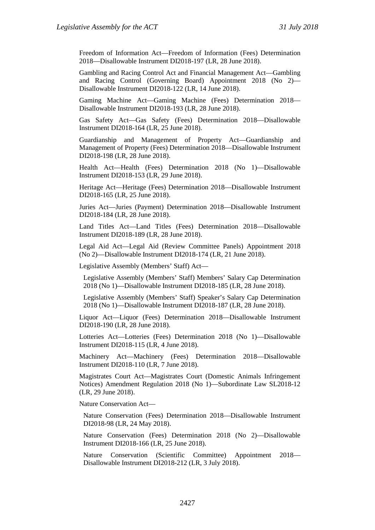Freedom of Information Act—Freedom of Information (Fees) Determination 2018—Disallowable Instrument DI2018-197 (LR, 28 June 2018).

Gambling and Racing Control Act and Financial Management Act—Gambling and Racing Control (Governing Board) Appointment 2018 (No 2)— Disallowable Instrument DI2018-122 (LR, 14 June 2018).

Gaming Machine Act—Gaming Machine (Fees) Determination 2018— Disallowable Instrument DI2018-193 (LR, 28 June 2018).

Gas Safety Act—Gas Safety (Fees) Determination 2018—Disallowable Instrument DI2018-164 (LR, 25 June 2018).

Guardianship and Management of Property Act—Guardianship and Management of Property (Fees) Determination 2018—Disallowable Instrument DI2018-198 (LR, 28 June 2018).

Health Act—Health (Fees) Determination 2018 (No 1)—Disallowable Instrument DI2018-153 (LR, 29 June 2018).

Heritage Act—Heritage (Fees) Determination 2018—Disallowable Instrument DI2018-165 (LR, 25 June 2018).

Juries Act—Juries (Payment) Determination 2018—Disallowable Instrument DI2018-184 (LR, 28 June 2018).

Land Titles Act—Land Titles (Fees) Determination 2018—Disallowable Instrument DI2018-189 (LR, 28 June 2018).

Legal Aid Act—Legal Aid (Review Committee Panels) Appointment 2018 (No 2)—Disallowable Instrument DI2018-174 (LR, 21 June 2018).

Legislative Assembly (Members' Staff) Act—

Legislative Assembly (Members' Staff) Members' Salary Cap Determination 2018 (No 1)—Disallowable Instrument DI2018-185 (LR, 28 June 2018).

Legislative Assembly (Members' Staff) Speaker's Salary Cap Determination 2018 (No 1)—Disallowable Instrument DI2018-187 (LR, 28 June 2018).

Liquor Act—Liquor (Fees) Determination 2018—Disallowable Instrument DI2018-190 (LR, 28 June 2018).

Lotteries Act—Lotteries (Fees) Determination 2018 (No 1)—Disallowable Instrument DI2018-115 (LR, 4 June 2018).

Machinery Act—Machinery (Fees) Determination 2018—Disallowable Instrument DI2018-110 (LR, 7 June 2018).

Magistrates Court Act—Magistrates Court (Domestic Animals Infringement Notices) Amendment Regulation 2018 (No 1)—Subordinate Law SL2018-12 (LR, 29 June 2018).

Nature Conservation Act—

Nature Conservation (Fees) Determination 2018—Disallowable Instrument DI2018-98 (LR, 24 May 2018).

Nature Conservation (Fees) Determination 2018 (No 2)—Disallowable Instrument DI2018-166 (LR, 25 June 2018).

Nature Conservation (Scientific Committee) Appointment 2018— Disallowable Instrument DI2018-212 (LR, 3 July 2018).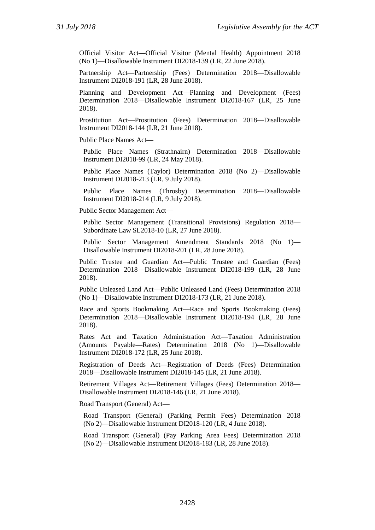Official Visitor Act—Official Visitor (Mental Health) Appointment 2018 (No 1)—Disallowable Instrument DI2018-139 (LR, 22 June 2018).

Partnership Act—Partnership (Fees) Determination 2018—Disallowable Instrument DI2018-191 (LR, 28 June 2018).

Planning and Development Act—Planning and Development (Fees) Determination 2018—Disallowable Instrument DI2018-167 (LR, 25 June 2018).

Prostitution Act—Prostitution (Fees) Determination 2018—Disallowable Instrument DI2018-144 (LR, 21 June 2018).

Public Place Names Act—

Public Place Names (Strathnairn) Determination 2018—Disallowable Instrument DI2018-99 (LR, 24 May 2018).

Public Place Names (Taylor) Determination 2018 (No 2)—Disallowable Instrument DI2018-213 (LR, 9 July 2018).

Public Place Names (Throsby) Determination 2018—Disallowable Instrument DI2018-214 (LR, 9 July 2018).

Public Sector Management Act—

Public Sector Management (Transitional Provisions) Regulation 2018— Subordinate Law SL2018-10 (LR, 27 June 2018).

Public Sector Management Amendment Standards 2018 (No 1)— Disallowable Instrument DI2018-201 (LR, 28 June 2018).

Public Trustee and Guardian Act—Public Trustee and Guardian (Fees) Determination 2018—Disallowable Instrument DI2018-199 (LR, 28 June 2018).

Public Unleased Land Act—Public Unleased Land (Fees) Determination 2018 (No 1)—Disallowable Instrument DI2018-173 (LR, 21 June 2018).

Race and Sports Bookmaking Act—Race and Sports Bookmaking (Fees) Determination 2018—Disallowable Instrument DI2018-194 (LR, 28 June 2018).

Rates Act and Taxation Administration Act—Taxation Administration (Amounts Payable—Rates) Determination 2018 (No 1)—Disallowable Instrument DI2018-172 (LR, 25 June 2018).

Registration of Deeds Act—Registration of Deeds (Fees) Determination 2018—Disallowable Instrument DI2018-145 (LR, 21 June 2018).

Retirement Villages Act—Retirement Villages (Fees) Determination 2018— Disallowable Instrument DI2018-146 (LR, 21 June 2018).

Road Transport (General) Act—

Road Transport (General) (Parking Permit Fees) Determination 2018 (No 2)—Disallowable Instrument DI2018-120 (LR, 4 June 2018).

Road Transport (General) (Pay Parking Area Fees) Determination 2018 (No 2)—Disallowable Instrument DI2018-183 (LR, 28 June 2018).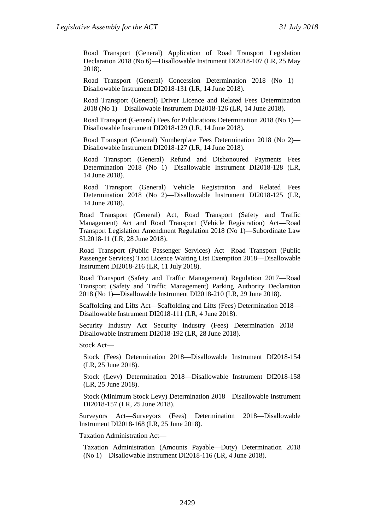Road Transport (General) Application of Road Transport Legislation Declaration 2018 (No 6)—Disallowable Instrument DI2018-107 (LR, 25 May 2018).

Road Transport (General) Concession Determination 2018 (No 1)— Disallowable Instrument DI2018-131 (LR, 14 June 2018).

Road Transport (General) Driver Licence and Related Fees Determination 2018 (No 1)—Disallowable Instrument DI2018-126 (LR, 14 June 2018).

Road Transport (General) Fees for Publications Determination 2018 (No 1)— Disallowable Instrument DI2018-129 (LR, 14 June 2018).

Road Transport (General) Numberplate Fees Determination 2018 (No 2)— Disallowable Instrument DI2018-127 (LR, 14 June 2018).

Road Transport (General) Refund and Dishonoured Payments Fees Determination 2018 (No 1)—Disallowable Instrument DI2018-128 (LR, 14 June 2018).

Road Transport (General) Vehicle Registration and Related Fees Determination 2018 (No 2)—Disallowable Instrument DI2018-125 (LR, 14 June 2018).

Road Transport (General) Act, Road Transport (Safety and Traffic Management) Act and Road Transport (Vehicle Registration) Act—Road Transport Legislation Amendment Regulation 2018 (No 1)—Subordinate Law SL2018-11 (LR, 28 June 2018).

Road Transport (Public Passenger Services) Act—Road Transport (Public Passenger Services) Taxi Licence Waiting List Exemption 2018—Disallowable Instrument DI2018-216 (LR, 11 July 2018).

Road Transport (Safety and Traffic Management) Regulation 2017—Road Transport (Safety and Traffic Management) Parking Authority Declaration 2018 (No 1)—Disallowable Instrument DI2018-210 (LR, 29 June 2018).

Scaffolding and Lifts Act—Scaffolding and Lifts (Fees) Determination 2018— Disallowable Instrument DI2018-111 (LR, 4 June 2018).

Security Industry Act—Security Industry (Fees) Determination 2018— Disallowable Instrument DI2018-192 (LR, 28 June 2018).

Stock Act—

Stock (Fees) Determination 2018—Disallowable Instrument DI2018-154 (LR, 25 June 2018).

Stock (Levy) Determination 2018—Disallowable Instrument DI2018-158 (LR, 25 June 2018).

Stock (Minimum Stock Levy) Determination 2018—Disallowable Instrument DI2018-157 (LR, 25 June 2018).

Surveyors Act—Surveyors (Fees) Determination 2018—Disallowable Instrument DI2018-168 (LR, 25 June 2018).

Taxation Administration Act—

Taxation Administration (Amounts Payable—Duty) Determination 2018 (No 1)—Disallowable Instrument DI2018-116 (LR, 4 June 2018).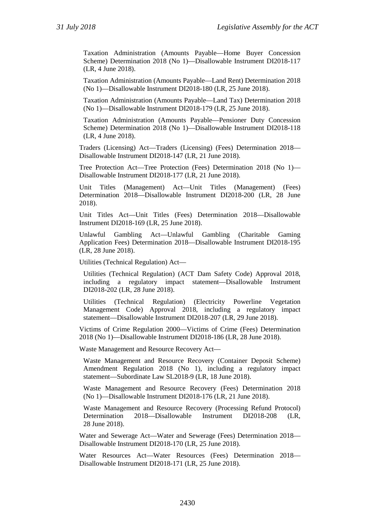Taxation Administration (Amounts Payable—Home Buyer Concession Scheme) Determination 2018 (No 1)—Disallowable Instrument DI2018-117 (LR, 4 June 2018).

Taxation Administration (Amounts Payable—Land Rent) Determination 2018 (No 1)—Disallowable Instrument DI2018-180 (LR, 25 June 2018).

Taxation Administration (Amounts Payable—Land Tax) Determination 2018 (No 1)—Disallowable Instrument DI2018-179 (LR, 25 June 2018).

Taxation Administration (Amounts Payable—Pensioner Duty Concession Scheme) Determination 2018 (No 1)—Disallowable Instrument DI2018-118 (LR, 4 June 2018).

Traders (Licensing) Act—Traders (Licensing) (Fees) Determination 2018— Disallowable Instrument DI2018-147 (LR, 21 June 2018).

Tree Protection Act—Tree Protection (Fees) Determination 2018 (No 1)— Disallowable Instrument DI2018-177 (LR, 21 June 2018).

Unit Titles (Management) Act—Unit Titles (Management) (Fees) Determination 2018—Disallowable Instrument DI2018-200 (LR, 28 June 2018).

Unit Titles Act—Unit Titles (Fees) Determination 2018—Disallowable Instrument DI2018-169 (LR, 25 June 2018).

Unlawful Gambling Act—Unlawful Gambling (Charitable Gaming Application Fees) Determination 2018—Disallowable Instrument DI2018-195 (LR, 28 June 2018).

Utilities (Technical Regulation) Act—

Utilities (Technical Regulation) (ACT Dam Safety Code) Approval 2018, including a regulatory impact statement—Disallowable Instrument DI2018-202 (LR, 28 June 2018).

Utilities (Technical Regulation) (Electricity Powerline Vegetation Management Code) Approval 2018, including a regulatory impact statement—Disallowable Instrument DI2018-207 (LR, 29 June 2018).

Victims of Crime Regulation 2000—Victims of Crime (Fees) Determination 2018 (No 1)—Disallowable Instrument DI2018-186 (LR, 28 June 2018).

Waste Management and Resource Recovery Act—

Waste Management and Resource Recovery (Container Deposit Scheme) Amendment Regulation 2018 (No 1), including a regulatory impact statement—Subordinate Law SL2018-9 (LR, 18 June 2018).

Waste Management and Resource Recovery (Fees) Determination 2018 (No 1)—Disallowable Instrument DI2018-176 (LR, 21 June 2018).

Waste Management and Resource Recovery (Processing Refund Protocol) Determination 2018—Disallowable Instrument DI2018-208 (LR, 28 June 2018).

Water and Sewerage Act—Water and Sewerage (Fees) Determination 2018— Disallowable Instrument DI2018-170 (LR, 25 June 2018).

Water Resources Act—Water Resources (Fees) Determination 2018— Disallowable Instrument DI2018-171 (LR, 25 June 2018).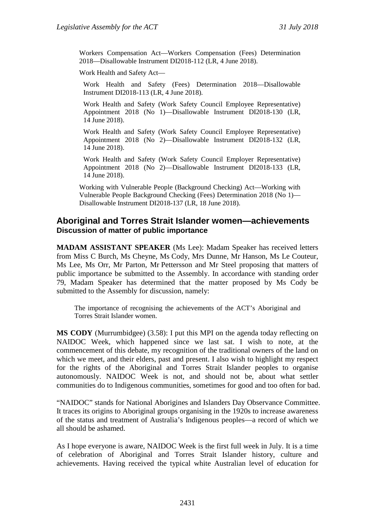Workers Compensation Act—Workers Compensation (Fees) Determination 2018—Disallowable Instrument DI2018-112 (LR, 4 June 2018).

Work Health and Safety Act—

Work Health and Safety (Fees) Determination 2018—Disallowable Instrument DI2018-113 (LR, 4 June 2018).

Work Health and Safety (Work Safety Council Employee Representative) Appointment 2018 (No 1)—Disallowable Instrument DI2018-130 (LR, 14 June 2018).

Work Health and Safety (Work Safety Council Employee Representative) Appointment 2018 (No 2)—Disallowable Instrument DI2018-132 (LR, 14 June 2018).

Work Health and Safety (Work Safety Council Employer Representative) Appointment 2018 (No 2)—Disallowable Instrument DI2018-133 (LR, 14 June 2018).

Working with Vulnerable People (Background Checking) Act—Working with Vulnerable People Background Checking (Fees) Determination 2018 (No 1)— Disallowable Instrument DI2018-137 (LR, 18 June 2018).

#### **Aboriginal and Torres Strait Islander women—achievements Discussion of matter of public importance**

**MADAM ASSISTANT SPEAKER** (Ms Lee): Madam Speaker has received letters from Miss C Burch, Ms Cheyne, Ms Cody, Mrs Dunne, Mr Hanson, Ms Le Couteur, Ms Lee, Ms Orr, Mr Parton, Mr Pettersson and Mr Steel proposing that matters of public importance be submitted to the Assembly. In accordance with standing order 79, Madam Speaker has determined that the matter proposed by Ms Cody be submitted to the Assembly for discussion, namely:

The importance of recognising the achievements of the ACT's Aboriginal and Torres Strait Islander women.

**MS CODY** (Murrumbidgee) (3.58): I put this MPI on the agenda today reflecting on NAIDOC Week, which happened since we last sat. I wish to note, at the commencement of this debate, my recognition of the traditional owners of the land on which we meet, and their elders, past and present. I also wish to highlight my respect for the rights of the Aboriginal and Torres Strait Islander peoples to organise autonomously. NAIDOC Week is not, and should not be, about what settler communities do to Indigenous communities, sometimes for good and too often for bad.

"NAIDOC" stands for National Aborigines and Islanders Day Observance Committee. It traces its origins to Aboriginal groups organising in the 1920s to increase awareness of the status and treatment of Australia's Indigenous peoples—a record of which we all should be ashamed.

As I hope everyone is aware, NAIDOC Week is the first full week in July. It is a time of celebration of Aboriginal and Torres Strait Islander history, culture and achievements. Having received the typical white Australian level of education for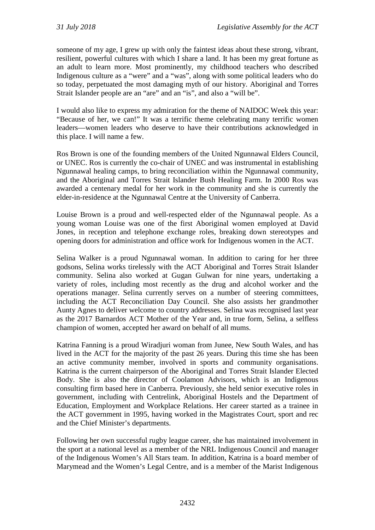someone of my age, I grew up with only the faintest ideas about these strong, vibrant, resilient, powerful cultures with which I share a land. It has been my great fortune as an adult to learn more. Most prominently, my childhood teachers who described Indigenous culture as a "were" and a "was", along with some political leaders who do so today, perpetuated the most damaging myth of our history. Aboriginal and Torres Strait Islander people are an "are" and an "is", and also a "will be".

I would also like to express my admiration for the theme of NAIDOC Week this year: "Because of her, we can!" It was a terrific theme celebrating many terrific women leaders—women leaders who deserve to have their contributions acknowledged in this place. I will name a few.

Ros Brown is one of the founding members of the United Ngunnawal Elders Council, or UNEC. Ros is currently the co-chair of UNEC and was instrumental in establishing Ngunnawal healing camps, to bring reconciliation within the Ngunnawal community, and the Aboriginal and Torres Strait Islander Bush Healing Farm. In 2000 Ros was awarded a centenary medal for her work in the community and she is currently the elder-in-residence at the Ngunnawal Centre at the University of Canberra.

Louise Brown is a proud and well-respected elder of the Ngunnawal people. As a young woman Louise was one of the first Aboriginal women employed at David Jones, in reception and telephone exchange roles, breaking down stereotypes and opening doors for administration and office work for Indigenous women in the ACT.

Selina Walker is a proud Ngunnawal woman. In addition to caring for her three godsons, Selina works tirelessly with the ACT Aboriginal and Torres Strait Islander community. Selina also worked at Gugan Gulwan for nine years, undertaking a variety of roles, including most recently as the drug and alcohol worker and the operations manager. Selina currently serves on a number of steering committees, including the ACT Reconciliation Day Council. She also assists her grandmother Aunty Agnes to deliver welcome to country addresses. Selina was recognised last year as the 2017 Barnardos ACT Mother of the Year and, in true form, Selina, a selfless champion of women, accepted her award on behalf of all mums.

Katrina Fanning is a proud Wiradjuri woman from Junee, New South Wales, and has lived in the ACT for the majority of the past 26 years. During this time she has been an active community member, involved in sports and community organisations. Katrina is the current chairperson of the Aboriginal and Torres Strait Islander Elected Body. She is also the director of Coolamon Advisors, which is an Indigenous consulting firm based here in Canberra. Previously, she held senior executive roles in government, including with Centrelink, Aboriginal Hostels and the Department of Education, Employment and Workplace Relations. Her career started as a trainee in the ACT government in 1995, having worked in the Magistrates Court, sport and rec and the Chief Minister's departments.

Following her own successful rugby league career, she has maintained involvement in the sport at a national level as a member of the NRL Indigenous Council and manager of the Indigenous Women's All Stars team. In addition, Katrina is a board member of Marymead and the Women's Legal Centre, and is a member of the Marist Indigenous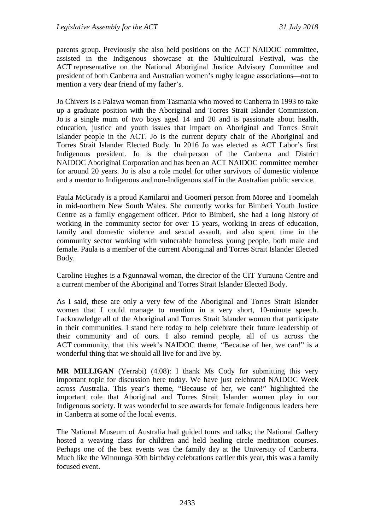parents group. Previously she also held positions on the ACT NAIDOC committee, assisted in the Indigenous showcase at the Multicultural Festival, was the ACT representative on the National Aboriginal Justice Advisory Committee and president of both Canberra and Australian women's rugby league associations—not to mention a very dear friend of my father's.

Jo Chivers is a Palawa woman from Tasmania who moved to Canberra in 1993 to take up a graduate position with the Aboriginal and Torres Strait Islander Commission. Jo is a single mum of two boys aged 14 and 20 and is passionate about health, education, justice and youth issues that impact on Aboriginal and Torres Strait Islander people in the ACT. Jo is the current deputy chair of the Aboriginal and Torres Strait Islander Elected Body. In 2016 Jo was elected as ACT Labor's first Indigenous president. Jo is the chairperson of the Canberra and District NAIDOC Aboriginal Corporation and has been an ACT NAIDOC committee member for around 20 years. Jo is also a role model for other survivors of domestic violence and a mentor to Indigenous and non-Indigenous staff in the Australian public service.

Paula McGrady is a proud Kamilaroi and Goomeri person from Moree and Toomelah in mid-northern New South Wales. She currently works for Bimberi Youth Justice Centre as a family engagement officer. Prior to Bimberi, she had a long history of working in the community sector for over 15 years, working in areas of education, family and domestic violence and sexual assault, and also spent time in the community sector working with vulnerable homeless young people, both male and female. Paula is a member of the current Aboriginal and Torres Strait Islander Elected Body.

Caroline Hughes is a Ngunnawal woman, the director of the CIT Yurauna Centre and a current member of the Aboriginal and Torres Strait Islander Elected Body.

As I said, these are only a very few of the Aboriginal and Torres Strait Islander women that I could manage to mention in a very short, 10-minute speech. I acknowledge all of the Aboriginal and Torres Strait Islander women that participate in their communities. I stand here today to help celebrate their future leadership of their community and of ours. I also remind people, all of us across the ACT community, that this week's NAIDOC theme, "Because of her, we can!" is a wonderful thing that we should all live for and live by.

**MR MILLIGAN** (Yerrabi) (4.08): I thank Ms Cody for submitting this very important topic for discussion here today. We have just celebrated NAIDOC Week across Australia. This year's theme, "Because of her, we can!" highlighted the important role that Aboriginal and Torres Strait Islander women play in our Indigenous society. It was wonderful to see awards for female Indigenous leaders here in Canberra at some of the local events.

The National Museum of Australia had guided tours and talks; the National Gallery hosted a weaving class for children and held healing circle meditation courses. Perhaps one of the best events was the family day at the University of Canberra. Much like the Winnunga 30th birthday celebrations earlier this year, this was a family focused event.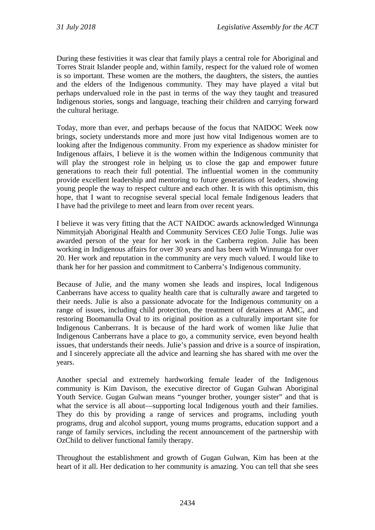During these festivities it was clear that family plays a central role for Aboriginal and Torres Strait Islander people and, within family, respect for the valued role of women is so important. These women are the mothers, the daughters, the sisters, the aunties and the elders of the Indigenous community. They may have played a vital but perhaps undervalued role in the past in terms of the way they taught and treasured Indigenous stories, songs and language, teaching their children and carrying forward the cultural heritage.

Today, more than ever, and perhaps because of the focus that NAIDOC Week now brings, society understands more and more just how vital Indigenous women are to looking after the Indigenous community. From my experience as shadow minister for Indigenous affairs, I believe it is the women within the Indigenous community that will play the strongest role in helping us to close the gap and empower future generations to reach their full potential. The influential women in the community provide excellent leadership and mentoring to future generations of leaders, showing young people the way to respect culture and each other. It is with this optimism, this hope, that I want to recognise several special local female Indigenous leaders that I have had the privilege to meet and learn from over recent years.

I believe it was very fitting that the ACT NAIDOC awards acknowledged Winnunga Nimmityjah Aboriginal Health and Community Services CEO Julie Tongs. Julie was awarded person of the year for her work in the Canberra region. Julie has been working in Indigenous affairs for over 30 years and has been with Winnunga for over 20. Her work and reputation in the community are very much valued. I would like to thank her for her passion and commitment to Canberra's Indigenous community.

Because of Julie, and the many women she leads and inspires, local Indigenous Canberrans have access to quality health care that is culturally aware and targeted to their needs. Julie is also a passionate advocate for the Indigenous community on a range of issues, including child protection, the treatment of detainees at AMC, and restoring Boomanulla Oval to its original position as a culturally important site for Indigenous Canberrans. It is because of the hard work of women like Julie that Indigenous Canberrans have a place to go, a community service, even beyond health issues, that understands their needs. Julie's passion and drive is a source of inspiration, and I sincerely appreciate all the advice and learning she has shared with me over the years.

Another special and extremely hardworking female leader of the Indigenous community is Kim Davison, the executive director of Gugan Gulwan Aboriginal Youth Service. Gugan Gulwan means "younger brother, younger sister" and that is what the service is all about—supporting local Indigenous youth and their families. They do this by providing a range of services and programs, including youth programs, drug and alcohol support, young mums programs, education support and a range of family services, including the recent announcement of the partnership with OzChild to deliver functional family therapy.

Throughout the establishment and growth of Gugan Gulwan, Kim has been at the heart of it all. Her dedication to her community is amazing. You can tell that she sees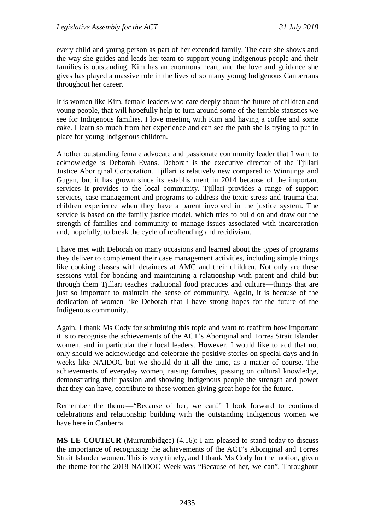every child and young person as part of her extended family. The care she shows and the way she guides and leads her team to support young Indigenous people and their families is outstanding. Kim has an enormous heart, and the love and guidance she gives has played a massive role in the lives of so many young Indigenous Canberrans throughout her career.

It is women like Kim, female leaders who care deeply about the future of children and young people, that will hopefully help to turn around some of the terrible statistics we see for Indigenous families. I love meeting with Kim and having a coffee and some cake. I learn so much from her experience and can see the path she is trying to put in place for young Indigenous children.

Another outstanding female advocate and passionate community leader that I want to acknowledge is Deborah Evans. Deborah is the executive director of the Tjillari Justice Aboriginal Corporation. Tjillari is relatively new compared to Winnunga and Gugan, but it has grown since its establishment in 2014 because of the important services it provides to the local community. Tjillari provides a range of support services, case management and programs to address the toxic stress and trauma that children experience when they have a parent involved in the justice system. The service is based on the family justice model, which tries to build on and draw out the strength of families and community to manage issues associated with incarceration and, hopefully, to break the cycle of reoffending and recidivism.

I have met with Deborah on many occasions and learned about the types of programs they deliver to complement their case management activities, including simple things like cooking classes with detainees at AMC and their children. Not only are these sessions vital for bonding and maintaining a relationship with parent and child but through them Tjillari teaches traditional food practices and culture—things that are just so important to maintain the sense of community. Again, it is because of the dedication of women like Deborah that I have strong hopes for the future of the Indigenous community.

Again, I thank Ms Cody for submitting this topic and want to reaffirm how important it is to recognise the achievements of the ACT's Aboriginal and Torres Strait Islander women, and in particular their local leaders. However, I would like to add that not only should we acknowledge and celebrate the positive stories on special days and in weeks like NAIDOC but we should do it all the time, as a matter of course. The achievements of everyday women, raising families, passing on cultural knowledge, demonstrating their passion and showing Indigenous people the strength and power that they can have, contribute to these women giving great hope for the future.

Remember the theme—"Because of her, we can!" I look forward to continued celebrations and relationship building with the outstanding Indigenous women we have here in Canberra.

**MS LE COUTEUR** (Murrumbidgee) (4.16): I am pleased to stand today to discuss the importance of recognising the achievements of the ACT's Aboriginal and Torres Strait Islander women. This is very timely, and I thank Ms Cody for the motion, given the theme for the 2018 NAIDOC Week was "Because of her, we can". Throughout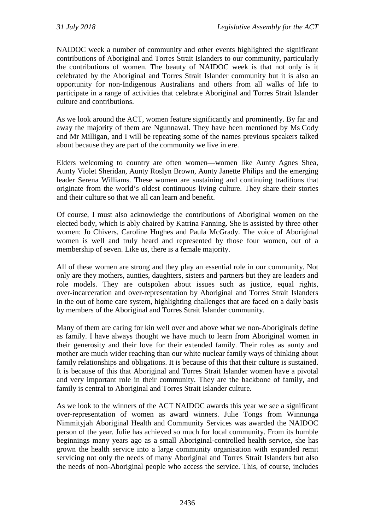NAIDOC week a number of community and other events highlighted the significant contributions of Aboriginal and Torres Strait Islanders to our community, particularly the contributions of women. The beauty of NAIDOC week is that not only is it celebrated by the Aboriginal and Torres Strait Islander community but it is also an opportunity for non-Indigenous Australians and others from all walks of life to participate in a range of activities that celebrate Aboriginal and Torres Strait Islander culture and contributions.

As we look around the ACT, women feature significantly and prominently. By far and away the majority of them are Ngunnawal. They have been mentioned by Ms Cody and Mr Milligan, and I will be repeating some of the names previous speakers talked about because they are part of the community we live in ere.

Elders welcoming to country are often women—women like Aunty Agnes Shea, Aunty Violet Sheridan, Aunty Roslyn Brown, Aunty Janette Philips and the emerging leader Serena Williams. These women are sustaining and continuing traditions that originate from the world's oldest continuous living culture. They share their stories and their culture so that we all can learn and benefit.

Of course, I must also acknowledge the contributions of Aboriginal women on the elected body, which is ably chaired by Katrina Fanning. She is assisted by three other women: Jo Chivers, Caroline Hughes and Paula McGrady. The voice of Aboriginal women is well and truly heard and represented by those four women, out of a membership of seven. Like us, there is a female majority.

All of these women are strong and they play an essential role in our community. Not only are they mothers, aunties, daughters, sisters and partners but they are leaders and role models. They are outspoken about issues such as justice, equal rights, over-incarceration and over-representation by Aboriginal and Torres Strait Islanders in the out of home care system, highlighting challenges that are faced on a daily basis by members of the Aboriginal and Torres Strait Islander community.

Many of them are caring for kin well over and above what we non-Aboriginals define as family. I have always thought we have much to learn from Aboriginal women in their generosity and their love for their extended family. Their roles as aunty and mother are much wider reaching than our white nuclear family ways of thinking about family relationships and obligations. It is because of this that their culture is sustained. It is because of this that Aboriginal and Torres Strait Islander women have a pivotal and very important role in their community. They are the backbone of family, and family is central to Aboriginal and Torres Strait Islander culture.

As we look to the winners of the ACT NAIDOC awards this year we see a significant over-representation of women as award winners. Julie Tongs from Winnunga Nimmityjah Aboriginal Health and Community Services was awarded the NAIDOC person of the year. Julie has achieved so much for local community. From its humble beginnings many years ago as a small Aboriginal-controlled health service, she has grown the health service into a large community organisation with expanded remit servicing not only the needs of many Aboriginal and Torres Strait Islanders but also the needs of non-Aboriginal people who access the service. This, of course, includes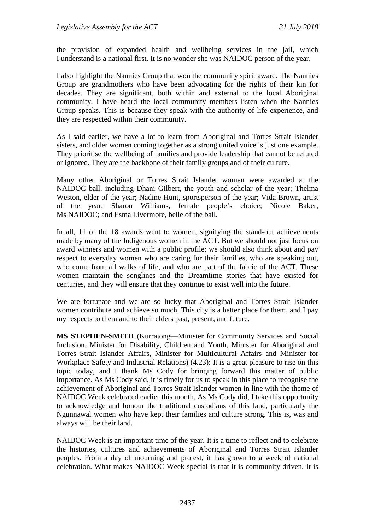the provision of expanded health and wellbeing services in the jail, which I understand is a national first. It is no wonder she was NAIDOC person of the year.

I also highlight the Nannies Group that won the community spirit award. The Nannies Group are grandmothers who have been advocating for the rights of their kin for decades. They are significant, both within and external to the local Aboriginal community. I have heard the local community members listen when the Nannies Group speaks. This is because they speak with the authority of life experience, and they are respected within their community.

As I said earlier, we have a lot to learn from Aboriginal and Torres Strait Islander sisters, and older women coming together as a strong united voice is just one example. They prioritise the wellbeing of families and provide leadership that cannot be refuted or ignored. They are the backbone of their family groups and of their culture.

Many other Aboriginal or Torres Strait Islander women were awarded at the NAIDOC ball, including Dhani Gilbert, the youth and scholar of the year; Thelma Weston, elder of the year; Nadine Hunt, sportsperson of the year; Vida Brown, artist of the year; Sharon Williams, female people's choice; Nicole Baker, Ms NAIDOC; and Esma Livermore, belle of the ball.

In all, 11 of the 18 awards went to women, signifying the stand-out achievements made by many of the Indigenous women in the ACT. But we should not just focus on award winners and women with a public profile; we should also think about and pay respect to everyday women who are caring for their families, who are speaking out, who come from all walks of life, and who are part of the fabric of the ACT. These women maintain the songlines and the Dreamtime stories that have existed for centuries, and they will ensure that they continue to exist well into the future.

We are fortunate and we are so lucky that Aboriginal and Torres Strait Islander women contribute and achieve so much. This city is a better place for them, and I pay my respects to them and to their elders past, present, and future.

**MS STEPHEN-SMITH** (Kurrajong—Minister for Community Services and Social Inclusion, Minister for Disability, Children and Youth, Minister for Aboriginal and Torres Strait Islander Affairs, Minister for Multicultural Affairs and Minister for Workplace Safety and Industrial Relations) (4.23): It is a great pleasure to rise on this topic today, and I thank Ms Cody for bringing forward this matter of public importance. As Ms Cody said, it is timely for us to speak in this place to recognise the achievement of Aboriginal and Torres Strait Islander women in line with the theme of NAIDOC Week celebrated earlier this month. As Ms Cody did, I take this opportunity to acknowledge and honour the traditional custodians of this land, particularly the Ngunnawal women who have kept their families and culture strong. This is, was and always will be their land.

NAIDOC Week is an important time of the year. It is a time to reflect and to celebrate the histories, cultures and achievements of Aboriginal and Torres Strait Islander peoples. From a day of mourning and protest, it has grown to a week of national celebration. What makes NAIDOC Week special is that it is community driven. It is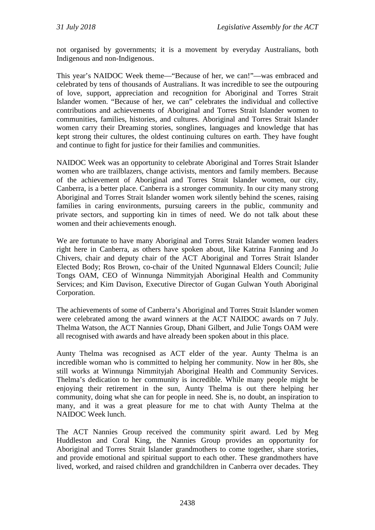not organised by governments; it is a movement by everyday Australians, both Indigenous and non-Indigenous.

This year's NAIDOC Week theme—"Because of her, we can!"—was embraced and celebrated by tens of thousands of Australians. It was incredible to see the outpouring of love, support, appreciation and recognition for Aboriginal and Torres Strait Islander women. "Because of her, we can" celebrates the individual and collective contributions and achievements of Aboriginal and Torres Strait Islander women to communities, families, histories, and cultures. Aboriginal and Torres Strait Islander women carry their Dreaming stories, songlines, languages and knowledge that has kept strong their cultures, the oldest continuing cultures on earth. They have fought and continue to fight for justice for their families and communities.

NAIDOC Week was an opportunity to celebrate Aboriginal and Torres Strait Islander women who are trailblazers, change activists, mentors and family members. Because of the achievement of Aboriginal and Torres Strait Islander women, our city, Canberra, is a better place. Canberra is a stronger community. In our city many strong Aboriginal and Torres Strait Islander women work silently behind the scenes, raising families in caring environments, pursuing careers in the public, community and private sectors, and supporting kin in times of need. We do not talk about these women and their achievements enough.

We are fortunate to have many Aboriginal and Torres Strait Islander women leaders right here in Canberra, as others have spoken about, like Katrina Fanning and Jo Chivers, chair and deputy chair of the ACT Aboriginal and Torres Strait Islander Elected Body; Ros Brown, co-chair of the United Ngunnawal Elders Council; Julie Tongs OAM, CEO of Winnunga Nimmityjah Aboriginal Health and Community Services; and Kim Davison, Executive Director of Gugan Gulwan Youth Aboriginal Corporation.

The achievements of some of Canberra's Aboriginal and Torres Strait Islander women were celebrated among the award winners at the ACT NAIDOC awards on 7 July. Thelma Watson, the ACT Nannies Group, Dhani Gilbert, and Julie Tongs OAM were all recognised with awards and have already been spoken about in this place.

Aunty Thelma was recognised as ACT elder of the year. Aunty Thelma is an incredible woman who is committed to helping her community. Now in her 80s, she still works at Winnunga Nimmityjah Aboriginal Health and Community Services. Thelma's dedication to her community is incredible. While many people might be enjoying their retirement in the sun, Aunty Thelma is out there helping her community, doing what she can for people in need. She is, no doubt, an inspiration to many, and it was a great pleasure for me to chat with Aunty Thelma at the NAIDOC Week lunch.

The ACT Nannies Group received the community spirit award. Led by Meg Huddleston and Coral King, the Nannies Group provides an opportunity for Aboriginal and Torres Strait Islander grandmothers to come together, share stories, and provide emotional and spiritual support to each other. These grandmothers have lived, worked, and raised children and grandchildren in Canberra over decades. They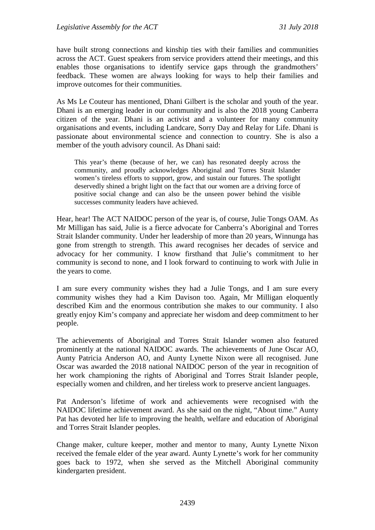have built strong connections and kinship ties with their families and communities across the ACT. Guest speakers from service providers attend their meetings, and this enables those organisations to identify service gaps through the grandmothers' feedback. These women are always looking for ways to help their families and improve outcomes for their communities.

As Ms Le Couteur has mentioned, Dhani Gilbert is the scholar and youth of the year. Dhani is an emerging leader in our community and is also the 2018 young Canberra citizen of the year. Dhani is an activist and a volunteer for many community organisations and events, including Landcare, Sorry Day and Relay for Life. Dhani is passionate about environmental science and connection to country. She is also a member of the youth advisory council. As Dhani said:

This year's theme (because of her, we can) has resonated deeply across the community, and proudly acknowledges Aboriginal and Torres Strait Islander women's tireless efforts to support, grow, and sustain our futures. The spotlight deservedly shined a bright light on the fact that our women are a driving force of positive social change and can also be the unseen power behind the visible successes community leaders have achieved.

Hear, hear! The ACT NAIDOC person of the year is, of course, Julie Tongs OAM. As Mr Milligan has said, Julie is a fierce advocate for Canberra's Aboriginal and Torres Strait Islander community. Under her leadership of more than 20 years, Winnunga has gone from strength to strength. This award recognises her decades of service and advocacy for her community. I know firsthand that Julie's commitment to her community is second to none, and I look forward to continuing to work with Julie in the years to come.

I am sure every community wishes they had a Julie Tongs, and I am sure every community wishes they had a Kim Davison too. Again, Mr Milligan eloquently described Kim and the enormous contribution she makes to our community. I also greatly enjoy Kim's company and appreciate her wisdom and deep commitment to her people.

The achievements of Aboriginal and Torres Strait Islander women also featured prominently at the national NAIDOC awards. The achievements of June Oscar AO, Aunty Patricia Anderson AO, and Aunty Lynette Nixon were all recognised. June Oscar was awarded the 2018 national NAIDOC person of the year in recognition of her work championing the rights of Aboriginal and Torres Strait Islander people, especially women and children, and her tireless work to preserve ancient languages.

Pat Anderson's lifetime of work and achievements were recognised with the NAIDOC lifetime achievement award. As she said on the night, "About time." Aunty Pat has devoted her life to improving the health, welfare and education of Aboriginal and Torres Strait Islander peoples.

Change maker, culture keeper, mother and mentor to many, Aunty Lynette Nixon received the female elder of the year award. Aunty Lynette's work for her community goes back to 1972, when she served as the Mitchell Aboriginal community kindergarten president.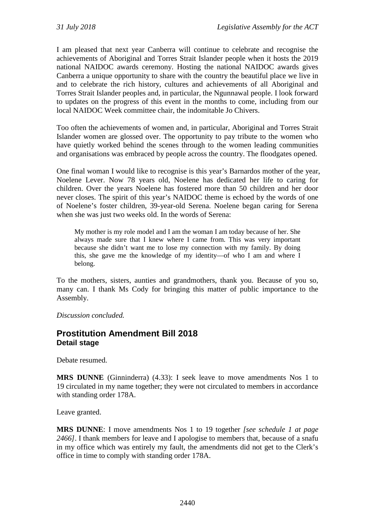I am pleased that next year Canberra will continue to celebrate and recognise the achievements of Aboriginal and Torres Strait Islander people when it hosts the 2019 national NAIDOC awards ceremony. Hosting the national NAIDOC awards gives Canberra a unique opportunity to share with the country the beautiful place we live in and to celebrate the rich history, cultures and achievements of all Aboriginal and Torres Strait Islander peoples and, in particular, the Ngunnawal people. I look forward to updates on the progress of this event in the months to come, including from our local NAIDOC Week committee chair, the indomitable Jo Chivers.

Too often the achievements of women and, in particular, Aboriginal and Torres Strait Islander women are glossed over. The opportunity to pay tribute to the women who have quietly worked behind the scenes through to the women leading communities and organisations was embraced by people across the country. The floodgates opened.

One final woman I would like to recognise is this year's Barnardos mother of the year, Noelene Lever. Now 78 years old, Noelene has dedicated her life to caring for children. Over the years Noelene has fostered more than 50 children and her door never closes. The spirit of this year's NAIDOC theme is echoed by the words of one of Noelene's foster children, 39-year-old Serena. Noelene began caring for Serena when she was just two weeks old. In the words of Serena:

My mother is my role model and I am the woman I am today because of her. She always made sure that I knew where I came from. This was very important because she didn't want me to lose my connection with my family. By doing this, she gave me the knowledge of my identity—of who I am and where I belong.

To the mothers, sisters, aunties and grandmothers, thank you. Because of you so, many can. I thank Ms Cody for bringing this matter of public importance to the Assembly.

*Discussion concluded.*

## **Prostitution Amendment Bill 2018 Detail stage**

Debate resumed.

**MRS DUNNE** (Ginninderra) (4.33): I seek leave to move amendments Nos 1 to 19 circulated in my name together; they were not circulated to members in accordance with standing order 178A.

Leave granted.

**MRS DUNNE**: I move amendments Nos 1 to 19 together *[see schedule 1 at page 2466]*. I thank members for leave and I apologise to members that, because of a snafu in my office which was entirely my fault, the amendments did not get to the Clerk's office in time to comply with standing order 178A.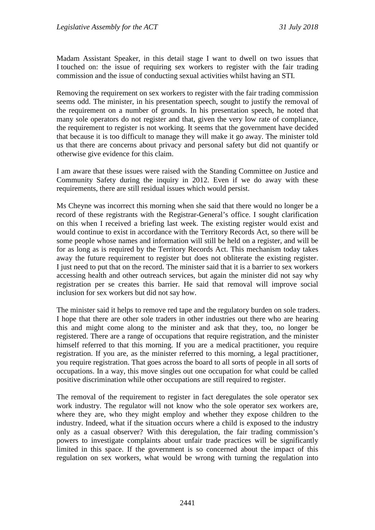Madam Assistant Speaker, in this detail stage I want to dwell on two issues that I touched on: the issue of requiring sex workers to register with the fair trading commission and the issue of conducting sexual activities whilst having an STI.

Removing the requirement on sex workers to register with the fair trading commission seems odd. The minister, in his presentation speech, sought to justify the removal of the requirement on a number of grounds. In his presentation speech, he noted that many sole operators do not register and that, given the very low rate of compliance, the requirement to register is not working. It seems that the government have decided that because it is too difficult to manage they will make it go away. The minister told us that there are concerns about privacy and personal safety but did not quantify or otherwise give evidence for this claim.

I am aware that these issues were raised with the Standing Committee on Justice and Community Safety during the inquiry in 2012. Even if we do away with these requirements, there are still residual issues which would persist.

Ms Cheyne was incorrect this morning when she said that there would no longer be a record of these registrants with the Registrar-General's office. I sought clarification on this when I received a briefing last week. The existing register would exist and would continue to exist in accordance with the Territory Records Act, so there will be some people whose names and information will still be held on a register, and will be for as long as is required by the Territory Records Act. This mechanism today takes away the future requirement to register but does not obliterate the existing register. I just need to put that on the record. The minister said that it is a barrier to sex workers accessing health and other outreach services, but again the minister did not say why registration per se creates this barrier. He said that removal will improve social inclusion for sex workers but did not say how.

The minister said it helps to remove red tape and the regulatory burden on sole traders. I hope that there are other sole traders in other industries out there who are hearing this and might come along to the minister and ask that they, too, no longer be registered. There are a range of occupations that require registration, and the minister himself referred to that this morning. If you are a medical practitioner, you require registration. If you are, as the minister referred to this morning, a legal practitioner, you require registration. That goes across the board to all sorts of people in all sorts of occupations. In a way, this move singles out one occupation for what could be called positive discrimination while other occupations are still required to register.

The removal of the requirement to register in fact deregulates the sole operator sex work industry. The regulator will not know who the sole operator sex workers are, where they are, who they might employ and whether they expose children to the industry. Indeed, what if the situation occurs where a child is exposed to the industry only as a casual observer? With this deregulation, the fair trading commission's powers to investigate complaints about unfair trade practices will be significantly limited in this space. If the government is so concerned about the impact of this regulation on sex workers, what would be wrong with turning the regulation into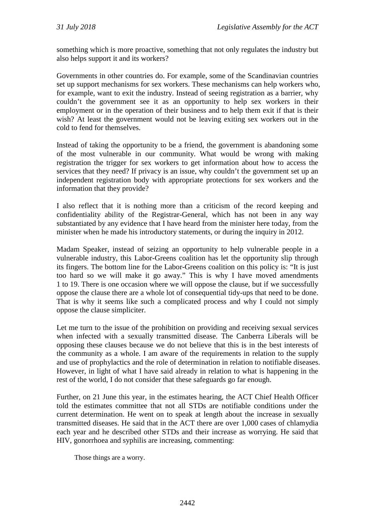something which is more proactive, something that not only regulates the industry but also helps support it and its workers?

Governments in other countries do. For example, some of the Scandinavian countries set up support mechanisms for sex workers. These mechanisms can help workers who, for example, want to exit the industry. Instead of seeing registration as a barrier, why couldn't the government see it as an opportunity to help sex workers in their employment or in the operation of their business and to help them exit if that is their wish? At least the government would not be leaving exiting sex workers out in the cold to fend for themselves.

Instead of taking the opportunity to be a friend, the government is abandoning some of the most vulnerable in our community. What would be wrong with making registration the trigger for sex workers to get information about how to access the services that they need? If privacy is an issue, why couldn't the government set up an independent registration body with appropriate protections for sex workers and the information that they provide?

I also reflect that it is nothing more than a criticism of the record keeping and confidentiality ability of the Registrar-General, which has not been in any way substantiated by any evidence that I have heard from the minister here today, from the minister when he made his introductory statements, or during the inquiry in 2012.

Madam Speaker, instead of seizing an opportunity to help vulnerable people in a vulnerable industry, this Labor-Greens coalition has let the opportunity slip through its fingers. The bottom line for the Labor-Greens coalition on this policy is: "It is just too hard so we will make it go away." This is why I have moved amendments 1 to 19. There is one occasion where we will oppose the clause, but if we successfully oppose the clause there are a whole lot of consequential tidy-ups that need to be done. That is why it seems like such a complicated process and why I could not simply oppose the clause simpliciter.

Let me turn to the issue of the prohibition on providing and receiving sexual services when infected with a sexually transmitted disease. The Canberra Liberals will be opposing these clauses because we do not believe that this is in the best interests of the community as a whole. I am aware of the requirements in relation to the supply and use of prophylactics and the role of determination in relation to notifiable diseases. However, in light of what I have said already in relation to what is happening in the rest of the world, I do not consider that these safeguards go far enough.

Further, on 21 June this year, in the estimates hearing, the ACT Chief Health Officer told the estimates committee that not all STDs are notifiable conditions under the current determination. He went on to speak at length about the increase in sexually transmitted diseases. He said that in the ACT there are over 1,000 cases of chlamydia each year and he described other STDs and their increase as worrying. He said that HIV, gonorrhoea and syphilis are increasing, commenting:

Those things are a worry.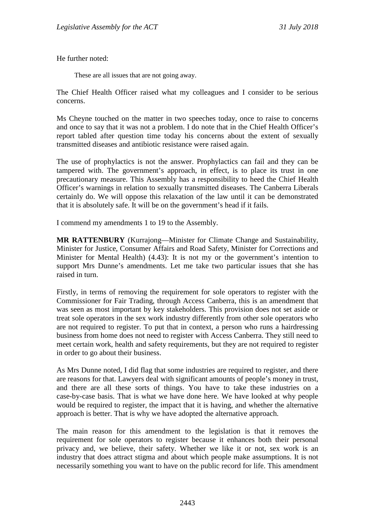He further noted:

These are all issues that are not going away.

The Chief Health Officer raised what my colleagues and I consider to be serious concerns.

Ms Cheyne touched on the matter in two speeches today, once to raise to concerns and once to say that it was not a problem. I do note that in the Chief Health Officer's report tabled after question time today his concerns about the extent of sexually transmitted diseases and antibiotic resistance were raised again.

The use of prophylactics is not the answer. Prophylactics can fail and they can be tampered with. The government's approach, in effect, is to place its trust in one precautionary measure. This Assembly has a responsibility to heed the Chief Health Officer's warnings in relation to sexually transmitted diseases. The Canberra Liberals certainly do. We will oppose this relaxation of the law until it can be demonstrated that it is absolutely safe. It will be on the government's head if it fails.

I commend my amendments 1 to 19 to the Assembly.

**MR RATTENBURY** (Kurrajong—Minister for Climate Change and Sustainability, Minister for Justice, Consumer Affairs and Road Safety, Minister for Corrections and Minister for Mental Health) (4.43): It is not my or the government's intention to support Mrs Dunne's amendments. Let me take two particular issues that she has raised in turn.

Firstly, in terms of removing the requirement for sole operators to register with the Commissioner for Fair Trading, through Access Canberra, this is an amendment that was seen as most important by key stakeholders. This provision does not set aside or treat sole operators in the sex work industry differently from other sole operators who are not required to register. To put that in context, a person who runs a hairdressing business from home does not need to register with Access Canberra. They still need to meet certain work, health and safety requirements, but they are not required to register in order to go about their business.

As Mrs Dunne noted, I did flag that some industries are required to register, and there are reasons for that. Lawyers deal with significant amounts of people's money in trust, and there are all these sorts of things. You have to take these industries on a case-by-case basis. That is what we have done here. We have looked at why people would be required to register, the impact that it is having, and whether the alternative approach is better. That is why we have adopted the alternative approach.

The main reason for this amendment to the legislation is that it removes the requirement for sole operators to register because it enhances both their personal privacy and, we believe, their safety. Whether we like it or not, sex work is an industry that does attract stigma and about which people make assumptions. It is not necessarily something you want to have on the public record for life. This amendment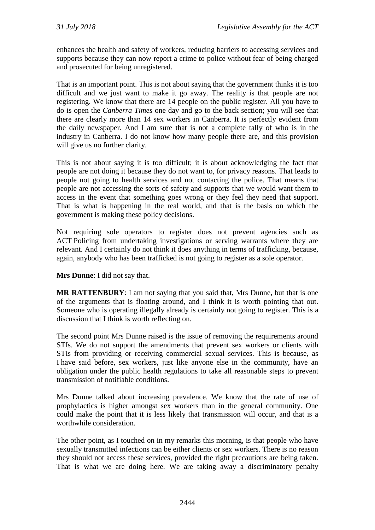enhances the health and safety of workers, reducing barriers to accessing services and supports because they can now report a crime to police without fear of being charged and prosecuted for being unregistered.

That is an important point. This is not about saying that the government thinks it is too difficult and we just want to make it go away. The reality is that people are not registering. We know that there are 14 people on the public register. All you have to do is open the *Canberra Times* one day and go to the back section; you will see that there are clearly more than 14 sex workers in Canberra. It is perfectly evident from the daily newspaper. And I am sure that is not a complete tally of who is in the industry in Canberra. I do not know how many people there are, and this provision will give us no further clarity.

This is not about saying it is too difficult; it is about acknowledging the fact that people are not doing it because they do not want to, for privacy reasons. That leads to people not going to health services and not contacting the police. That means that people are not accessing the sorts of safety and supports that we would want them to access in the event that something goes wrong or they feel they need that support. That is what is happening in the real world, and that is the basis on which the government is making these policy decisions.

Not requiring sole operators to register does not prevent agencies such as ACT Policing from undertaking investigations or serving warrants where they are relevant. And I certainly do not think it does anything in terms of trafficking, because, again, anybody who has been trafficked is not going to register as a sole operator.

**Mrs Dunne**: I did not say that.

**MR RATTENBURY**: I am not saying that you said that, Mrs Dunne, but that is one of the arguments that is floating around, and I think it is worth pointing that out. Someone who is operating illegally already is certainly not going to register. This is a discussion that I think is worth reflecting on.

The second point Mrs Dunne raised is the issue of removing the requirements around STIs. We do not support the amendments that prevent sex workers or clients with STIs from providing or receiving commercial sexual services. This is because, as I have said before, sex workers, just like anyone else in the community, have an obligation under the public health regulations to take all reasonable steps to prevent transmission of notifiable conditions.

Mrs Dunne talked about increasing prevalence. We know that the rate of use of prophylactics is higher amongst sex workers than in the general community. One could make the point that it is less likely that transmission will occur, and that is a worthwhile consideration.

The other point, as I touched on in my remarks this morning, is that people who have sexually transmitted infections can be either clients or sex workers. There is no reason they should not access these services, provided the right precautions are being taken. That is what we are doing here. We are taking away a discriminatory penalty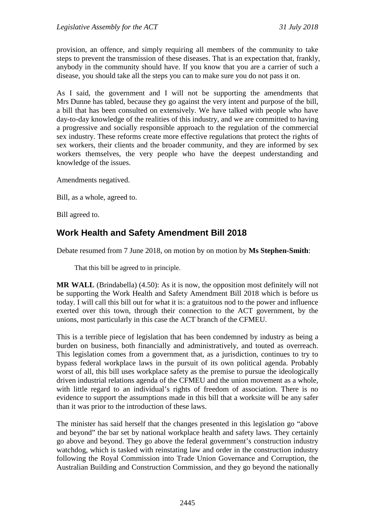provision, an offence, and simply requiring all members of the community to take steps to prevent the transmission of these diseases. That is an expectation that, frankly, anybody in the community should have. If you know that you are a carrier of such a disease, you should take all the steps you can to make sure you do not pass it on.

As I said, the government and I will not be supporting the amendments that Mrs Dunne has tabled, because they go against the very intent and purpose of the bill, a bill that has been consulted on extensively. We have talked with people who have day-to-day knowledge of the realities of this industry, and we are committed to having a progressive and socially responsible approach to the regulation of the commercial sex industry. These reforms create more effective regulations that protect the rights of sex workers, their clients and the broader community, and they are informed by sex workers themselves, the very people who have the deepest understanding and knowledge of the issues.

Amendments negatived.

Bill, as a whole, agreed to.

Bill agreed to.

# **Work Health and Safety Amendment Bill 2018**

Debate resumed from 7 June 2018, on motion by on motion by **Ms Stephen-Smith**:

That this bill be agreed to in principle.

**MR WALL** (Brindabella) (4.50): As it is now, the opposition most definitely will not be supporting the Work Health and Safety Amendment Bill 2018 which is before us today. I will call this bill out for what it is: a gratuitous nod to the power and influence exerted over this town, through their connection to the ACT government, by the unions, most particularly in this case the ACT branch of the CFMEU.

This is a terrible piece of legislation that has been condemned by industry as being a burden on business, both financially and administratively, and touted as overreach. This legislation comes from a government that, as a jurisdiction, continues to try to bypass federal workplace laws in the pursuit of its own political agenda. Probably worst of all, this bill uses workplace safety as the premise to pursue the ideologically driven industrial relations agenda of the CFMEU and the union movement as a whole, with little regard to an individual's rights of freedom of association. There is no evidence to support the assumptions made in this bill that a worksite will be any safer than it was prior to the introduction of these laws.

The minister has said herself that the changes presented in this legislation go "above and beyond" the bar set by national workplace health and safety laws. They certainly go above and beyond. They go above the federal government's construction industry watchdog, which is tasked with reinstating law and order in the construction industry following the Royal Commission into Trade Union Governance and Corruption, the Australian Building and Construction Commission, and they go beyond the nationally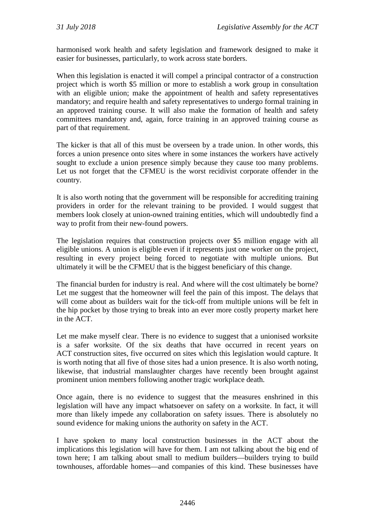harmonised work health and safety legislation and framework designed to make it easier for businesses, particularly, to work across state borders.

When this legislation is enacted it will compel a principal contractor of a construction project which is worth \$5 million or more to establish a work group in consultation with an eligible union; make the appointment of health and safety representatives mandatory; and require health and safety representatives to undergo formal training in an approved training course. It will also make the formation of health and safety committees mandatory and, again, force training in an approved training course as part of that requirement.

The kicker is that all of this must be overseen by a trade union. In other words, this forces a union presence onto sites where in some instances the workers have actively sought to exclude a union presence simply because they cause too many problems. Let us not forget that the CFMEU is the worst recidivist corporate offender in the country.

It is also worth noting that the government will be responsible for accrediting training providers in order for the relevant training to be provided. I would suggest that members look closely at union-owned training entities, which will undoubtedly find a way to profit from their new-found powers.

The legislation requires that construction projects over \$5 million engage with all eligible unions. A union is eligible even if it represents just one worker on the project, resulting in every project being forced to negotiate with multiple unions. But ultimately it will be the CFMEU that is the biggest beneficiary of this change.

The financial burden for industry is real. And where will the cost ultimately be borne? Let me suggest that the homeowner will feel the pain of this impost. The delays that will come about as builders wait for the tick-off from multiple unions will be felt in the hip pocket by those trying to break into an ever more costly property market here in the ACT.

Let me make myself clear. There is no evidence to suggest that a unionised worksite is a safer worksite. Of the six deaths that have occurred in recent years on ACT construction sites, five occurred on sites which this legislation would capture. It is worth noting that all five of those sites had a union presence. It is also worth noting, likewise, that industrial manslaughter charges have recently been brought against prominent union members following another tragic workplace death.

Once again, there is no evidence to suggest that the measures enshrined in this legislation will have any impact whatsoever on safety on a worksite. In fact, it will more than likely impede any collaboration on safety issues. There is absolutely no sound evidence for making unions the authority on safety in the ACT.

I have spoken to many local construction businesses in the ACT about the implications this legislation will have for them. I am not talking about the big end of town here; I am talking about small to medium builders—builders trying to build townhouses, affordable homes—and companies of this kind. These businesses have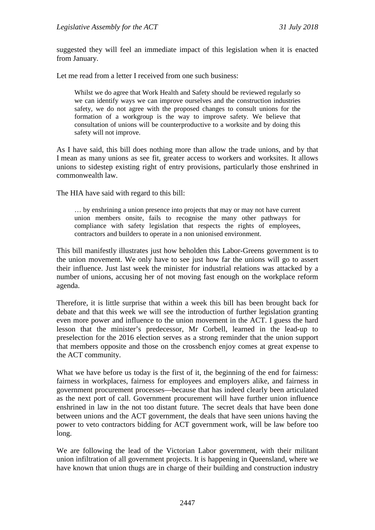suggested they will feel an immediate impact of this legislation when it is enacted from January.

Let me read from a letter I received from one such business:

Whilst we do agree that Work Health and Safety should be reviewed regularly so we can identify ways we can improve ourselves and the construction industries safety, we do not agree with the proposed changes to consult unions for the formation of a workgroup is the way to improve safety. We believe that consultation of unions will be counterproductive to a worksite and by doing this safety will not improve.

As I have said, this bill does nothing more than allow the trade unions, and by that I mean as many unions as see fit, greater access to workers and worksites. It allows unions to sidestep existing right of entry provisions, particularly those enshrined in commonwealth law.

The HIA have said with regard to this bill:

… by enshrining a union presence into projects that may or may not have current union members onsite, fails to recognise the many other pathways for compliance with safety legislation that respects the rights of employees, contractors and builders to operate in a non unionised environment.

This bill manifestly illustrates just how beholden this Labor-Greens government is to the union movement. We only have to see just how far the unions will go to assert their influence. Just last week the minister for industrial relations was attacked by a number of unions, accusing her of not moving fast enough on the workplace reform agenda.

Therefore, it is little surprise that within a week this bill has been brought back for debate and that this week we will see the introduction of further legislation granting even more power and influence to the union movement in the ACT. I guess the hard lesson that the minister's predecessor, Mr Corbell, learned in the lead-up to preselection for the 2016 election serves as a strong reminder that the union support that members opposite and those on the crossbench enjoy comes at great expense to the ACT community.

What we have before us today is the first of it, the beginning of the end for fairness: fairness in workplaces, fairness for employees and employers alike, and fairness in government procurement processes—because that has indeed clearly been articulated as the next port of call. Government procurement will have further union influence enshrined in law in the not too distant future. The secret deals that have been done between unions and the ACT government, the deals that have seen unions having the power to veto contractors bidding for ACT government work, will be law before too long.

We are following the lead of the Victorian Labor government, with their militant union infiltration of all government projects. It is happening in Queensland, where we have known that union thugs are in charge of their building and construction industry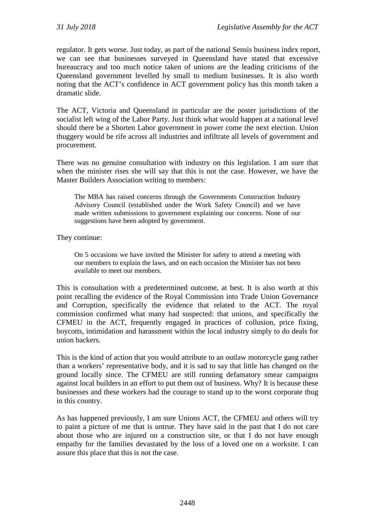regulator. It gets worse. Just today, as part of the national Sensis business index report, we can see that businesses surveyed in Queensland have stated that excessive bureaucracy and too much notice taken of unions are the leading criticisms of the Queensland government levelled by small to medium businesses. It is also worth noting that the ACT's confidence in ACT government policy has this month taken a dramatic slide.

The ACT, Victoria and Queensland in particular are the poster jurisdictions of the socialist left wing of the Labor Party. Just think what would happen at a national level should there be a Shorten Labor government in power come the next election. Union thuggery would be rife across all industries and infiltrate all levels of government and procurement.

There was no genuine consultation with industry on this legislation. I am sure that when the minister rises she will say that this is not the case. However, we have the Master Builders Association writing to members:

The MBA has raised concerns through the Governments Construction Industry Advisory Council (established under the Work Safety Council) and we have made written submissions to government explaining our concerns. None of our suggestions have been adopted by government.

They continue:

On 5 occasions we have invited the Minister for safety to attend a meeting with our members to explain the laws, and on each occasion the Minister has not been available to meet our members.

This is consultation with a predetermined outcome, at best. It is also worth at this point recalling the evidence of the Royal Commission into Trade Union Governance and Corruption, specifically the evidence that related to the ACT. The royal commission confirmed what many had suspected: that unions, and specifically the CFMEU in the ACT, frequently engaged in practices of collusion, price fixing, boycotts, intimidation and harassment within the local industry simply to do deals for union backers.

This is the kind of action that you would attribute to an outlaw motorcycle gang rather than a workers' representative body, and it is sad to say that little has changed on the ground locally since. The CFMEU are still running defamatory smear campaigns against local builders in an effort to put them out of business. Why? It is because these businesses and these workers had the courage to stand up to the worst corporate thug in this country.

As has happened previously, I am sure Unions ACT, the CFMEU and others will try to paint a picture of me that is untrue. They have said in the past that I do not care about those who are injured on a construction site, or that I do not have enough empathy for the families devastated by the loss of a loved one on a worksite. I can assure this place that this is not the case.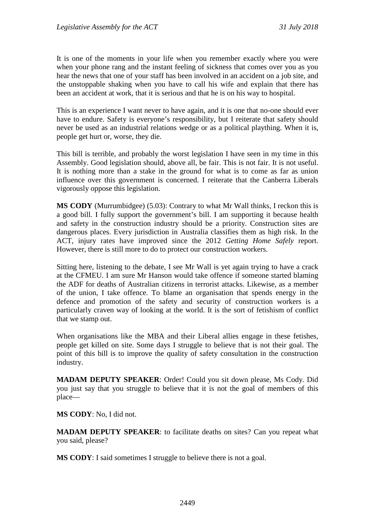It is one of the moments in your life when you remember exactly where you were when your phone rang and the instant feeling of sickness that comes over you as you hear the news that one of your staff has been involved in an accident on a job site, and the unstoppable shaking when you have to call his wife and explain that there has been an accident at work, that it is serious and that he is on his way to hospital.

This is an experience I want never to have again, and it is one that no-one should ever have to endure. Safety is everyone's responsibility, but I reiterate that safety should never be used as an industrial relations wedge or as a political plaything. When it is, people get hurt or, worse, they die.

This bill is terrible, and probably the worst legislation I have seen in my time in this Assembly. Good legislation should, above all, be fair. This is not fair. It is not useful. It is nothing more than a stake in the ground for what is to come as far as union influence over this government is concerned. I reiterate that the Canberra Liberals vigorously oppose this legislation.

**MS CODY** (Murrumbidgee) (5.03): Contrary to what Mr Wall thinks, I reckon this is a good bill. I fully support the government's bill. I am supporting it because health and safety in the construction industry should be a priority. Construction sites are dangerous places. Every jurisdiction in Australia classifies them as high risk. In the ACT, injury rates have improved since the 2012 *Getting Home Safely* report. However, there is still more to do to protect our construction workers.

Sitting here, listening to the debate, I see Mr Wall is yet again trying to have a crack at the CFMEU. I am sure Mr Hanson would take offence if someone started blaming the ADF for deaths of Australian citizens in terrorist attacks. Likewise, as a member of the union, I take offence. To blame an organisation that spends energy in the defence and promotion of the safety and security of construction workers is a particularly craven way of looking at the world. It is the sort of fetishism of conflict that we stamp out.

When organisations like the MBA and their Liberal allies engage in these fetishes, people get killed on site. Some days I struggle to believe that is not their goal. The point of this bill is to improve the quality of safety consultation in the construction industry.

**MADAM DEPUTY SPEAKER**: Order! Could you sit down please, Ms Cody. Did you just say that you struggle to believe that it is not the goal of members of this place—

**MS CODY**: No, I did not.

**MADAM DEPUTY SPEAKER**: to facilitate deaths on sites? Can you repeat what you said, please?

**MS CODY**: I said sometimes I struggle to believe there is not a goal.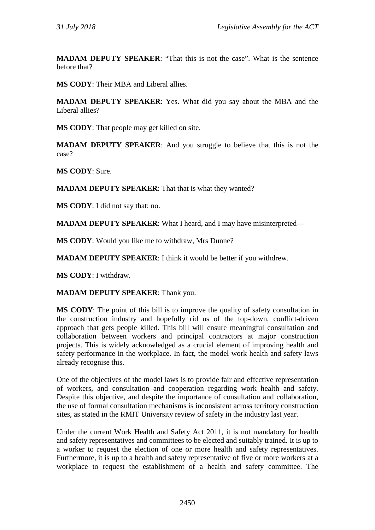**MADAM DEPUTY SPEAKER**: "That this is not the case". What is the sentence before that?

**MS CODY**: Their MBA and Liberal allies.

**MADAM DEPUTY SPEAKER**: Yes. What did you say about the MBA and the Liberal allies?

**MS CODY**: That people may get killed on site.

**MADAM DEPUTY SPEAKER**: And you struggle to believe that this is not the case?

**MS CODY**: Sure.

**MADAM DEPUTY SPEAKER**: That that is what they wanted?

**MS CODY**: I did not say that; no.

**MADAM DEPUTY SPEAKER**: What I heard, and I may have misinterpreted—

**MS CODY**: Would you like me to withdraw, Mrs Dunne?

**MADAM DEPUTY SPEAKER**: I think it would be better if you withdrew.

**MS CODY**: I withdraw.

**MADAM DEPUTY SPEAKER**: Thank you.

**MS CODY**: The point of this bill is to improve the quality of safety consultation in the construction industry and hopefully rid us of the top-down, conflict-driven approach that gets people killed. This bill will ensure meaningful consultation and collaboration between workers and principal contractors at major construction projects. This is widely acknowledged as a crucial element of improving health and safety performance in the workplace. In fact, the model work health and safety laws already recognise this.

One of the objectives of the model laws is to provide fair and effective representation of workers, and consultation and cooperation regarding work health and safety. Despite this objective, and despite the importance of consultation and collaboration, the use of formal consultation mechanisms is inconsistent across territory construction sites, as stated in the RMIT University review of safety in the industry last year.

Under the current Work Health and Safety Act 2011, it is not mandatory for health and safety representatives and committees to be elected and suitably trained. It is up to a worker to request the election of one or more health and safety representatives. Furthermore, it is up to a health and safety representative of five or more workers at a workplace to request the establishment of a health and safety committee. The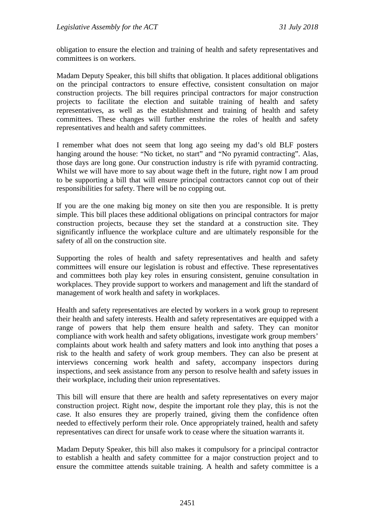obligation to ensure the election and training of health and safety representatives and committees is on workers.

Madam Deputy Speaker, this bill shifts that obligation. It places additional obligations on the principal contractors to ensure effective, consistent consultation on major construction projects. The bill requires principal contractors for major construction projects to facilitate the election and suitable training of health and safety representatives, as well as the establishment and training of health and safety committees. These changes will further enshrine the roles of health and safety representatives and health and safety committees.

I remember what does not seem that long ago seeing my dad's old BLF posters hanging around the house: "No ticket, no start" and "No pyramid contracting". Alas, those days are long gone. Our construction industry is rife with pyramid contracting. Whilst we will have more to say about wage theft in the future, right now I am proud to be supporting a bill that will ensure principal contractors cannot cop out of their responsibilities for safety. There will be no copping out.

If you are the one making big money on site then you are responsible. It is pretty simple. This bill places these additional obligations on principal contractors for major construction projects, because they set the standard at a construction site. They significantly influence the workplace culture and are ultimately responsible for the safety of all on the construction site.

Supporting the roles of health and safety representatives and health and safety committees will ensure our legislation is robust and effective. These representatives and committees both play key roles in ensuring consistent, genuine consultation in workplaces. They provide support to workers and management and lift the standard of management of work health and safety in workplaces.

Health and safety representatives are elected by workers in a work group to represent their health and safety interests. Health and safety representatives are equipped with a range of powers that help them ensure health and safety. They can monitor compliance with work health and safety obligations, investigate work group members' complaints about work health and safety matters and look into anything that poses a risk to the health and safety of work group members. They can also be present at interviews concerning work health and safety, accompany inspectors during inspections, and seek assistance from any person to resolve health and safety issues in their workplace, including their union representatives.

This bill will ensure that there are health and safety representatives on every major construction project. Right now, despite the important role they play, this is not the case. It also ensures they are properly trained, giving them the confidence often needed to effectively perform their role. Once appropriately trained, health and safety representatives can direct for unsafe work to cease where the situation warrants it.

Madam Deputy Speaker, this bill also makes it compulsory for a principal contractor to establish a health and safety committee for a major construction project and to ensure the committee attends suitable training. A health and safety committee is a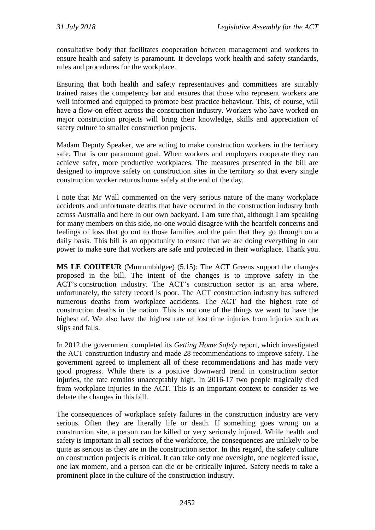consultative body that facilitates cooperation between management and workers to ensure health and safety is paramount. It develops work health and safety standards, rules and procedures for the workplace.

Ensuring that both health and safety representatives and committees are suitably trained raises the competency bar and ensures that those who represent workers are well informed and equipped to promote best practice behaviour. This, of course, will have a flow-on effect across the construction industry. Workers who have worked on major construction projects will bring their knowledge, skills and appreciation of safety culture to smaller construction projects.

Madam Deputy Speaker, we are acting to make construction workers in the territory safe. That is our paramount goal. When workers and employers cooperate they can achieve safer, more productive workplaces. The measures presented in the bill are designed to improve safety on construction sites in the territory so that every single construction worker returns home safely at the end of the day.

I note that Mr Wall commented on the very serious nature of the many workplace accidents and unfortunate deaths that have occurred in the construction industry both across Australia and here in our own backyard. I am sure that, although I am speaking for many members on this side, no-one would disagree with the heartfelt concerns and feelings of loss that go out to those families and the pain that they go through on a daily basis. This bill is an opportunity to ensure that we are doing everything in our power to make sure that workers are safe and protected in their workplace. Thank you.

**MS LE COUTEUR** (Murrumbidgee) (5.15): The ACT Greens support the changes proposed in the bill. The intent of the changes is to improve safety in the ACT's construction industry. The ACT's construction sector is an area where, unfortunately, the safety record is poor. The ACT construction industry has suffered numerous deaths from workplace accidents. The ACT had the highest rate of construction deaths in the nation. This is not one of the things we want to have the highest of. We also have the highest rate of lost time injuries from injuries such as slips and falls.

In 2012 the government completed its *Getting Home Safely* report, which investigated the ACT construction industry and made 28 recommendations to improve safety. The government agreed to implement all of these recommendations and has made very good progress. While there is a positive downward trend in construction sector injuries, the rate remains unacceptably high. In 2016-17 two people tragically died from workplace injuries in the ACT. This is an important context to consider as we debate the changes in this bill.

The consequences of workplace safety failures in the construction industry are very serious. Often they are literally life or death. If something goes wrong on a construction site, a person can be killed or very seriously injured. While health and safety is important in all sectors of the workforce, the consequences are unlikely to be quite as serious as they are in the construction sector. In this regard, the safety culture on construction projects is critical. It can take only one oversight, one neglected issue, one lax moment, and a person can die or be critically injured. Safety needs to take a prominent place in the culture of the construction industry.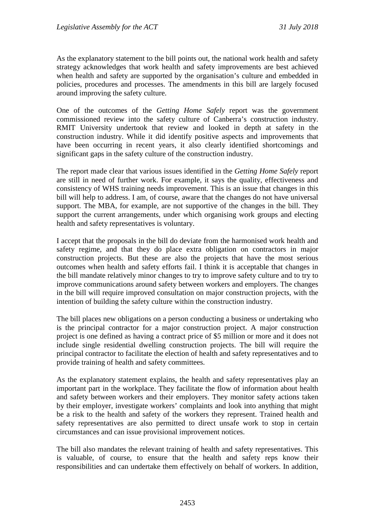As the explanatory statement to the bill points out, the national work health and safety strategy acknowledges that work health and safety improvements are best achieved when health and safety are supported by the organisation's culture and embedded in policies, procedures and processes. The amendments in this bill are largely focused around improving the safety culture.

One of the outcomes of the *Getting Home Safely* report was the government commissioned review into the safety culture of Canberra's construction industry. RMIT University undertook that review and looked in depth at safety in the construction industry. While it did identify positive aspects and improvements that have been occurring in recent years, it also clearly identified shortcomings and significant gaps in the safety culture of the construction industry.

The report made clear that various issues identified in the *Getting Home Safely* report are still in need of further work. For example, it says the quality, effectiveness and consistency of WHS training needs improvement. This is an issue that changes in this bill will help to address. I am, of course, aware that the changes do not have universal support. The MBA, for example, are not supportive of the changes in the bill. They support the current arrangements, under which organising work groups and electing health and safety representatives is voluntary.

I accept that the proposals in the bill do deviate from the harmonised work health and safety regime, and that they do place extra obligation on contractors in major construction projects. But these are also the projects that have the most serious outcomes when health and safety efforts fail. I think it is acceptable that changes in the bill mandate relatively minor changes to try to improve safety culture and to try to improve communications around safety between workers and employers. The changes in the bill will require improved consultation on major construction projects, with the intention of building the safety culture within the construction industry.

The bill places new obligations on a person conducting a business or undertaking who is the principal contractor for a major construction project. A major construction project is one defined as having a contract price of \$5 million or more and it does not include single residential dwelling construction projects. The bill will require the principal contractor to facilitate the election of health and safety representatives and to provide training of health and safety committees.

As the explanatory statement explains, the health and safety representatives play an important part in the workplace. They facilitate the flow of information about health and safety between workers and their employers. They monitor safety actions taken by their employer, investigate workers' complaints and look into anything that might be a risk to the health and safety of the workers they represent. Trained health and safety representatives are also permitted to direct unsafe work to stop in certain circumstances and can issue provisional improvement notices.

The bill also mandates the relevant training of health and safety representatives. This is valuable, of course, to ensure that the health and safety reps know their responsibilities and can undertake them effectively on behalf of workers. In addition,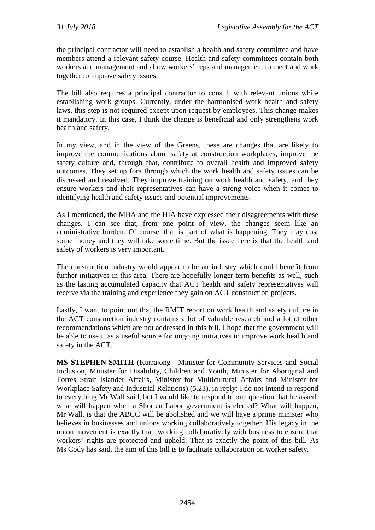the principal contractor will need to establish a health and safety committee and have members attend a relevant safety course. Health and safety committees contain both workers and management and allow workers' reps and management to meet and work together to improve safety issues.

The bill also requires a principal contractor to consult with relevant unions while establishing work groups. Currently, under the harmonised work health and safety laws, this step is not required except upon request by employees. This change makes it mandatory. In this case, I think the change is beneficial and only strengthens work health and safety.

In my view, and in the view of the Greens, these are changes that are likely to improve the communications about safety at construction workplaces, improve the safety culture and, through that, contribute to overall health and improved safety outcomes. They set up fora through which the work health and safety issues can be discussed and resolved. They improve training on work health and safety, and they ensure workers and their representatives can have a strong voice when it comes to identifying health and safety issues and potential improvements.

As I mentioned, the MBA and the HIA have expressed their disagreements with these changes. I can see that, from one point of view, the changes seem like an administrative burden. Of course, that is part of what is happening. They may cost some money and they will take some time. But the issue here is that the health and safety of workers is very important.

The construction industry would appear to be an industry which could benefit from further initiatives in this area. There are hopefully longer term benefits as well, such as the lasting accumulated capacity that ACT health and safety representatives will receive via the training and experience they gain on ACT construction projects.

Lastly, I want to point out that the RMIT report on work health and safety culture in the ACT construction industry contains a lot of valuable research and a lot of other recommendations which are not addressed in this bill. I hope that the government will be able to use it as a useful source for ongoing initiatives to improve work health and safety in the ACT.

**MS STEPHEN-SMITH** (Kurrajong—Minister for Community Services and Social Inclusion, Minister for Disability, Children and Youth, Minister for Aboriginal and Torres Strait Islander Affairs, Minister for Multicultural Affairs and Minister for Workplace Safety and Industrial Relations) (5.23), in reply: I do not intend to respond to everything Mr Wall said, but I would like to respond to one question that he asked: what will happen when a Shorten Labor government is elected? What will happen, Mr Wall, is that the ABCC will be abolished and we will have a prime minister who believes in businesses and unions working collaboratively together. His legacy in the union movement is exactly that: working collaboratively with business to ensure that workers' rights are protected and upheld. That is exactly the point of this bill. As Ms Cody has said, the aim of this bill is to facilitate collaboration on worker safety.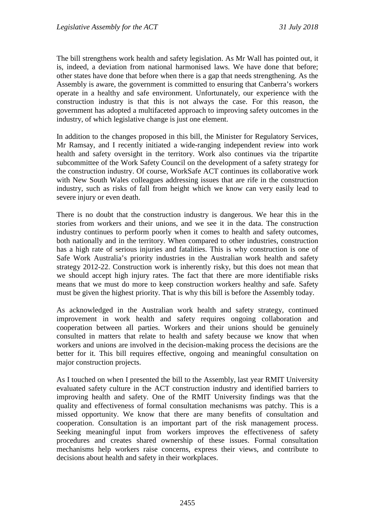The bill strengthens work health and safety legislation. As Mr Wall has pointed out, it is, indeed, a deviation from national harmonised laws. We have done that before; other states have done that before when there is a gap that needs strengthening. As the Assembly is aware, the government is committed to ensuring that Canberra's workers operate in a healthy and safe environment. Unfortunately, our experience with the construction industry is that this is not always the case. For this reason, the government has adopted a multifaceted approach to improving safety outcomes in the industry, of which legislative change is just one element.

In addition to the changes proposed in this bill, the Minister for Regulatory Services, Mr Ramsay, and I recently initiated a wide-ranging independent review into work health and safety oversight in the territory. Work also continues via the tripartite subcommittee of the Work Safety Council on the development of a safety strategy for the construction industry. Of course, WorkSafe ACT continues its collaborative work with New South Wales colleagues addressing issues that are rife in the construction industry, such as risks of fall from height which we know can very easily lead to severe injury or even death.

There is no doubt that the construction industry is dangerous. We hear this in the stories from workers and their unions, and we see it in the data. The construction industry continues to perform poorly when it comes to health and safety outcomes, both nationally and in the territory. When compared to other industries, construction has a high rate of serious injuries and fatalities. This is why construction is one of Safe Work Australia's priority industries in the Australian work health and safety strategy 2012-22. Construction work is inherently risky, but this does not mean that we should accept high injury rates. The fact that there are more identifiable risks means that we must do more to keep construction workers healthy and safe. Safety must be given the highest priority. That is why this bill is before the Assembly today.

As acknowledged in the Australian work health and safety strategy, continued improvement in work health and safety requires ongoing collaboration and cooperation between all parties. Workers and their unions should be genuinely consulted in matters that relate to health and safety because we know that when workers and unions are involved in the decision-making process the decisions are the better for it. This bill requires effective, ongoing and meaningful consultation on major construction projects.

As I touched on when I presented the bill to the Assembly, last year RMIT University evaluated safety culture in the ACT construction industry and identified barriers to improving health and safety. One of the RMIT University findings was that the quality and effectiveness of formal consultation mechanisms was patchy. This is a missed opportunity. We know that there are many benefits of consultation and cooperation. Consultation is an important part of the risk management process. Seeking meaningful input from workers improves the effectiveness of safety procedures and creates shared ownership of these issues. Formal consultation mechanisms help workers raise concerns, express their views, and contribute to decisions about health and safety in their workplaces.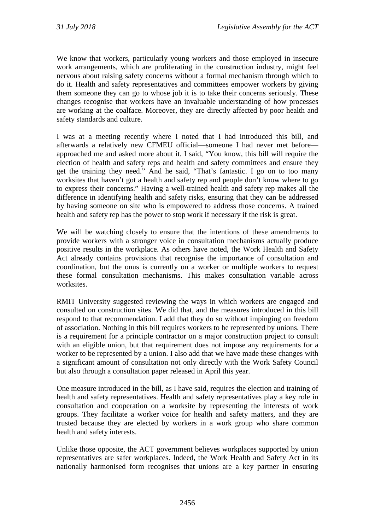We know that workers, particularly young workers and those employed in insecure work arrangements, which are proliferating in the construction industry, might feel nervous about raising safety concerns without a formal mechanism through which to do it. Health and safety representatives and committees empower workers by giving them someone they can go to whose job it is to take their concerns seriously. These changes recognise that workers have an invaluable understanding of how processes are working at the coalface. Moreover, they are directly affected by poor health and safety standards and culture.

I was at a meeting recently where I noted that I had introduced this bill, and afterwards a relatively new CFMEU official—someone I had never met before approached me and asked more about it. I said, "You know, this bill will require the election of health and safety reps and health and safety committees and ensure they get the training they need." And he said, "That's fantastic. I go on to too many worksites that haven't got a health and safety rep and people don't know where to go to express their concerns." Having a well-trained health and safety rep makes all the difference in identifying health and safety risks, ensuring that they can be addressed by having someone on site who is empowered to address those concerns. A trained health and safety rep has the power to stop work if necessary if the risk is great.

We will be watching closely to ensure that the intentions of these amendments to provide workers with a stronger voice in consultation mechanisms actually produce positive results in the workplace. As others have noted, the Work Health and Safety Act already contains provisions that recognise the importance of consultation and coordination, but the onus is currently on a worker or multiple workers to request these formal consultation mechanisms. This makes consultation variable across worksites.

RMIT University suggested reviewing the ways in which workers are engaged and consulted on construction sites. We did that, and the measures introduced in this bill respond to that recommendation. I add that they do so without impinging on freedom of association. Nothing in this bill requires workers to be represented by unions. There is a requirement for a principle contractor on a major construction project to consult with an eligible union, but that requirement does not impose any requirements for a worker to be represented by a union. I also add that we have made these changes with a significant amount of consultation not only directly with the Work Safety Council but also through a consultation paper released in April this year.

One measure introduced in the bill, as I have said, requires the election and training of health and safety representatives. Health and safety representatives play a key role in consultation and cooperation on a worksite by representing the interests of work groups. They facilitate a worker voice for health and safety matters, and they are trusted because they are elected by workers in a work group who share common health and safety interests.

Unlike those opposite, the ACT government believes workplaces supported by union representatives are safer workplaces. Indeed, the Work Health and Safety Act in its nationally harmonised form recognises that unions are a key partner in ensuring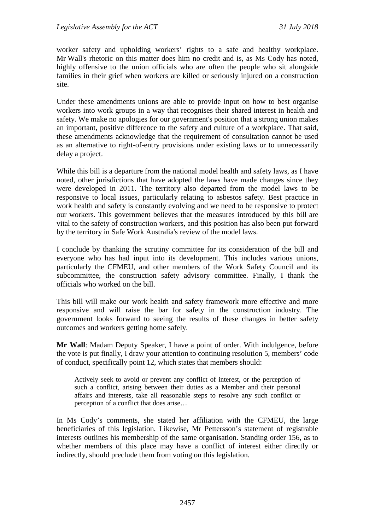worker safety and upholding workers' rights to a safe and healthy workplace. Mr Wall's rhetoric on this matter does him no credit and is, as Ms Cody has noted, highly offensive to the union officials who are often the people who sit alongside families in their grief when workers are killed or seriously injured on a construction site.

Under these amendments unions are able to provide input on how to best organise workers into work groups in a way that recognises their shared interest in health and safety. We make no apologies for our government's position that a strong union makes an important, positive difference to the safety and culture of a workplace. That said, these amendments acknowledge that the requirement of consultation cannot be used as an alternative to right-of-entry provisions under existing laws or to unnecessarily delay a project.

While this bill is a departure from the national model health and safety laws, as I have noted, other jurisdictions that have adopted the laws have made changes since they were developed in 2011. The territory also departed from the model laws to be responsive to local issues, particularly relating to asbestos safety. Best practice in work health and safety is constantly evolving and we need to be responsive to protect our workers. This government believes that the measures introduced by this bill are vital to the safety of construction workers, and this position has also been put forward by the territory in Safe Work Australia's review of the model laws.

I conclude by thanking the scrutiny committee for its consideration of the bill and everyone who has had input into its development. This includes various unions, particularly the CFMEU, and other members of the Work Safety Council and its subcommittee, the construction safety advisory committee. Finally, I thank the officials who worked on the bill.

This bill will make our work health and safety framework more effective and more responsive and will raise the bar for safety in the construction industry. The government looks forward to seeing the results of these changes in better safety outcomes and workers getting home safely.

**Mr Wall**: Madam Deputy Speaker, I have a point of order. With indulgence, before the vote is put finally, I draw your attention to continuing resolution 5, members' code of conduct, specifically point 12, which states that members should:

Actively seek to avoid or prevent any conflict of interest, or the perception of such a conflict, arising between their duties as a Member and their personal affairs and interests, take all reasonable steps to resolve any such conflict or perception of a conflict that does arise…

In Ms Cody's comments, she stated her affiliation with the CFMEU, the large beneficiaries of this legislation. Likewise, Mr Pettersson's statement of registrable interests outlines his membership of the same organisation. Standing order 156, as to whether members of this place may have a conflict of interest either directly or indirectly, should preclude them from voting on this legislation.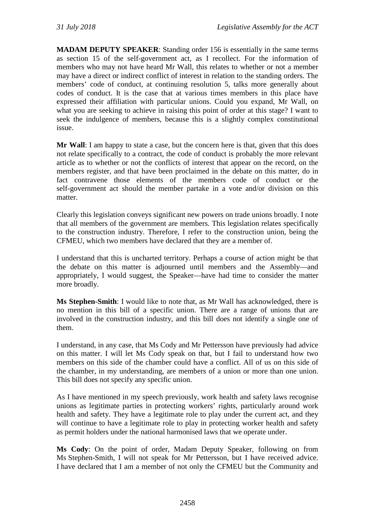**MADAM DEPUTY SPEAKER**: Standing order 156 is essentially in the same terms as section 15 of the self-government act, as I recollect. For the information of members who may not have heard Mr Wall, this relates to whether or not a member may have a direct or indirect conflict of interest in relation to the standing orders. The members' code of conduct, at continuing resolution 5, talks more generally about codes of conduct. It is the case that at various times members in this place have expressed their affiliation with particular unions. Could you expand, Mr Wall, on what you are seeking to achieve in raising this point of order at this stage? I want to seek the indulgence of members, because this is a slightly complex constitutional issue.

**Mr Wall**: I am happy to state a case, but the concern here is that, given that this does not relate specifically to a contract, the code of conduct is probably the more relevant article as to whether or not the conflicts of interest that appear on the record, on the members register, and that have been proclaimed in the debate on this matter, do in fact contravene those elements of the members code of conduct or the self-government act should the member partake in a vote and/or division on this matter.

Clearly this legislation conveys significant new powers on trade unions broadly. I note that all members of the government are members. This legislation relates specifically to the construction industry. Therefore, I refer to the construction union, being the CFMEU, which two members have declared that they are a member of.

I understand that this is uncharted territory. Perhaps a course of action might be that the debate on this matter is adjourned until members and the Assembly—and appropriately, I would suggest, the Speaker—have had time to consider the matter more broadly.

**Ms Stephen-Smith**: I would like to note that, as Mr Wall has acknowledged, there is no mention in this bill of a specific union. There are a range of unions that are involved in the construction industry, and this bill does not identify a single one of them.

I understand, in any case, that Ms Cody and Mr Pettersson have previously had advice on this matter. I will let Ms Cody speak on that, but I fail to understand how two members on this side of the chamber could have a conflict. All of us on this side of the chamber, in my understanding, are members of a union or more than one union. This bill does not specify any specific union.

As I have mentioned in my speech previously, work health and safety laws recognise unions as legitimate parties in protecting workers' rights, particularly around work health and safety. They have a legitimate role to play under the current act, and they will continue to have a legitimate role to play in protecting worker health and safety as permit holders under the national harmonised laws that we operate under.

**Ms Cody**: On the point of order, Madam Deputy Speaker, following on from Ms Stephen-Smith, I will not speak for Mr Pettersson, but I have received advice. I have declared that I am a member of not only the CFMEU but the Community and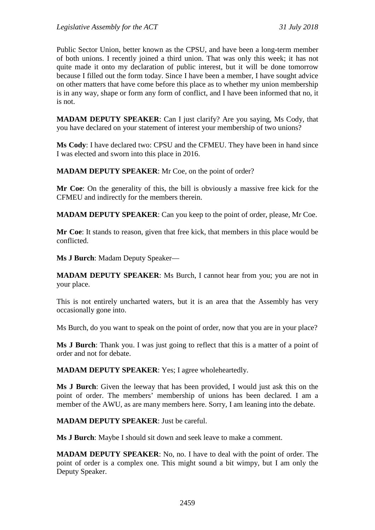Public Sector Union, better known as the CPSU, and have been a long-term member of both unions. I recently joined a third union. That was only this week; it has not quite made it onto my declaration of public interest, but it will be done tomorrow because I filled out the form today. Since I have been a member, I have sought advice on other matters that have come before this place as to whether my union membership is in any way, shape or form any form of conflict, and I have been informed that no, it is not.

**MADAM DEPUTY SPEAKER**: Can I just clarify? Are you saying, Ms Cody, that you have declared on your statement of interest your membership of two unions?

**Ms Cody**: I have declared two: CPSU and the CFMEU. They have been in hand since I was elected and sworn into this place in 2016.

**MADAM DEPUTY SPEAKER**: Mr Coe, on the point of order?

**Mr Coe**: On the generality of this, the bill is obviously a massive free kick for the CFMEU and indirectly for the members therein.

**MADAM DEPUTY SPEAKER**: Can you keep to the point of order, please, Mr Coe.

**Mr Coe**: It stands to reason, given that free kick, that members in this place would be conflicted.

**Ms J Burch**: Madam Deputy Speaker—

**MADAM DEPUTY SPEAKER**: Ms Burch, I cannot hear from you; you are not in your place.

This is not entirely uncharted waters, but it is an area that the Assembly has very occasionally gone into.

Ms Burch, do you want to speak on the point of order, now that you are in your place?

**Ms J Burch**: Thank you. I was just going to reflect that this is a matter of a point of order and not for debate.

**MADAM DEPUTY SPEAKER**: Yes; I agree wholeheartedly.

**Ms J Burch**: Given the leeway that has been provided, I would just ask this on the point of order. The members' membership of unions has been declared. I am a member of the AWU, as are many members here. Sorry, I am leaning into the debate.

**MADAM DEPUTY SPEAKER**: Just be careful.

**Ms J Burch**: Maybe I should sit down and seek leave to make a comment.

**MADAM DEPUTY SPEAKER**: No, no. I have to deal with the point of order. The point of order is a complex one. This might sound a bit wimpy, but I am only the Deputy Speaker.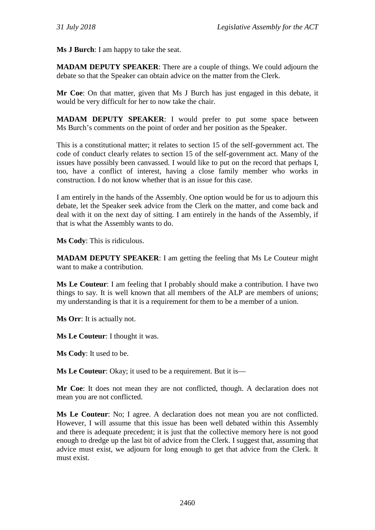**Ms J Burch**: I am happy to take the seat.

**MADAM DEPUTY SPEAKER**: There are a couple of things. We could adjourn the debate so that the Speaker can obtain advice on the matter from the Clerk.

**Mr Coe**: On that matter, given that Ms J Burch has just engaged in this debate, it would be very difficult for her to now take the chair.

**MADAM DEPUTY SPEAKER**: I would prefer to put some space between Ms Burch's comments on the point of order and her position as the Speaker.

This is a constitutional matter; it relates to section 15 of the self-government act. The code of conduct clearly relates to section 15 of the self-government act. Many of the issues have possibly been canvassed. I would like to put on the record that perhaps I, too, have a conflict of interest, having a close family member who works in construction. I do not know whether that is an issue for this case.

I am entirely in the hands of the Assembly. One option would be for us to adjourn this debate, let the Speaker seek advice from the Clerk on the matter, and come back and deal with it on the next day of sitting. I am entirely in the hands of the Assembly, if that is what the Assembly wants to do.

**Ms Cody**: This is ridiculous.

**MADAM DEPUTY SPEAKER**: I am getting the feeling that Ms Le Couteur might want to make a contribution.

**Ms Le Couteur**: I am feeling that I probably should make a contribution. I have two things to say. It is well known that all members of the ALP are members of unions; my understanding is that it is a requirement for them to be a member of a union.

**Ms Orr**: It is actually not.

**Ms Le Couteur**: I thought it was.

**Ms Cody**: It used to be.

**Ms Le Couteur**: Okay; it used to be a requirement. But it is—

**Mr Coe**: It does not mean they are not conflicted, though. A declaration does not mean you are not conflicted.

**Ms Le Couteur**: No; I agree. A declaration does not mean you are not conflicted. However, I will assume that this issue has been well debated within this Assembly and there is adequate precedent; it is just that the collective memory here is not good enough to dredge up the last bit of advice from the Clerk. I suggest that, assuming that advice must exist, we adjourn for long enough to get that advice from the Clerk. It must exist.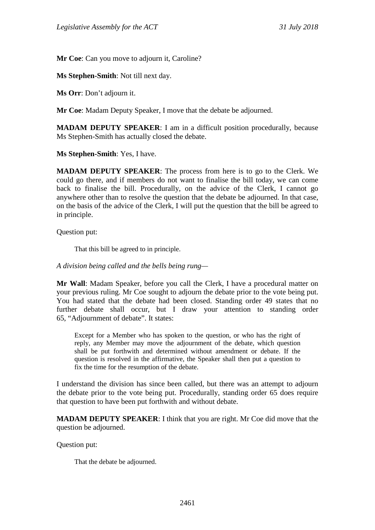**Mr Coe**: Can you move to adjourn it, Caroline?

**Ms Stephen-Smith**: Not till next day.

**Ms Orr**: Don't adjourn it.

**Mr Coe**: Madam Deputy Speaker, I move that the debate be adjourned.

**MADAM DEPUTY SPEAKER**: I am in a difficult position procedurally, because Ms Stephen-Smith has actually closed the debate.

**Ms Stephen-Smith**: Yes, I have.

**MADAM DEPUTY SPEAKER**: The process from here is to go to the Clerk. We could go there, and if members do not want to finalise the bill today, we can come back to finalise the bill. Procedurally, on the advice of the Clerk, I cannot go anywhere other than to resolve the question that the debate be adjourned. In that case, on the basis of the advice of the Clerk, I will put the question that the bill be agreed to in principle.

Question put:

That this bill be agreed to in principle.

*A division being called and the bells being rung—*

**Mr Wall**: Madam Speaker, before you call the Clerk, I have a procedural matter on your previous ruling. Mr Coe sought to adjourn the debate prior to the vote being put. You had stated that the debate had been closed. Standing order 49 states that no further debate shall occur, but I draw your attention to standing order 65, "Adjournment of debate". It states:

Except for a Member who has spoken to the question, or who has the right of reply, any Member may move the adjournment of the debate, which question shall be put forthwith and determined without amendment or debate. If the question is resolved in the affirmative, the Speaker shall then put a question to fix the time for the resumption of the debate.

I understand the division has since been called, but there was an attempt to adjourn the debate prior to the vote being put. Procedurally, standing order 65 does require that question to have been put forthwith and without debate.

**MADAM DEPUTY SPEAKER**: I think that you are right. Mr Coe did move that the question be adjourned.

Question put:

That the debate be adjourned.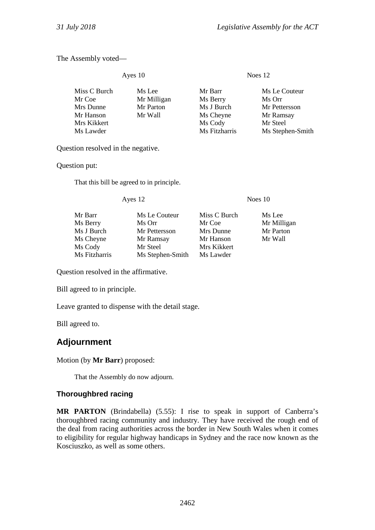The Assembly voted—

Ayes 10 Noes 12

| Miss C Burch | Ms Lee      | Mr Barr       | Ms Le Couteur    |
|--------------|-------------|---------------|------------------|
| Mr Coe       | Mr Milligan | Ms Berry      | Ms Orr           |
| Mrs Dunne    | Mr Parton   | Ms J Burch    | Mr Pettersson    |
| Mr Hanson    | Mr Wall     | Ms Cheyne     | Mr Ramsay        |
| Mrs Kikkert  |             | Ms Cody       | Mr Steel         |
| Ms Lawder    |             | Ms Fitzharris | Ms Stephen-Smith |
|              |             |               |                  |

Question resolved in the negative.

Question put:

That this bill be agreed to in principle.

Ayes 12 Noes 10

Mr Barr Ms Le Couteur Miss C Burch Ms Lee Ms Berry Ms Orr Mr Coe Mr Milligan<br>
Ms J Burch Mr Pettersson Mrs Dunne Mr Parton Mr Pettersson Mrs Dunne Mr Parton<br>
Mr Ramsay Mr Hanson Mr Wall Ms Cheyne Ms Cody Mr Steel Mrs Kikkert<br>Ms Fitzharris Ms Stephen-Smith Ms Lawder Ms Stephen-Smith

Question resolved in the affirmative.

Bill agreed to in principle.

Leave granted to dispense with the detail stage.

Bill agreed to.

# **Adjournment**

Motion (by **Mr Barr**) proposed:

That the Assembly do now adjourn.

# **Thoroughbred racing**

**MR PARTON** (Brindabella) (5.55): I rise to speak in support of Canberra's thoroughbred racing community and industry. They have received the rough end of the deal from racing authorities across the border in New South Wales when it comes to eligibility for regular highway handicaps in Sydney and the race now known as the Kosciuszko, as well as some others.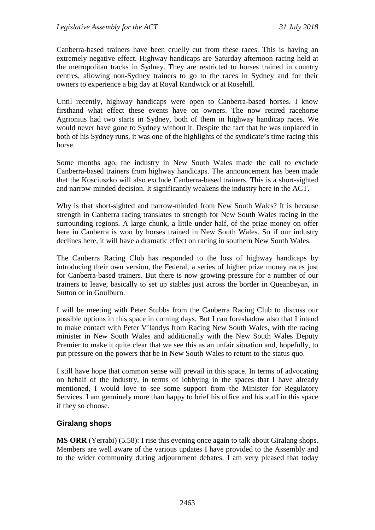Canberra-based trainers have been cruelly cut from these races. This is having an extremely negative effect. Highway handicaps are Saturday afternoon racing held at the metropolitan tracks in Sydney. They are restricted to horses trained in country centres, allowing non-Sydney trainers to go to the races in Sydney and for their owners to experience a big day at Royal Randwick or at Rosehill.

Until recently, highway handicaps were open to Canberra-based horses. I know firsthand what effect these events have on owners. The now retired racehorse Agrionius had two starts in Sydney, both of them in highway handicap races. We would never have gone to Sydney without it. Despite the fact that he was unplaced in both of his Sydney runs, it was one of the highlights of the syndicate's time racing this horse.

Some months ago, the industry in New South Wales made the call to exclude Canberra-based trainers from highway handicaps. The announcement has been made that the Kosciuszko will also exclude Canberra-based trainers. This is a short-sighted and narrow-minded decision. It significantly weakens the industry here in the ACT.

Why is that short-sighted and narrow-minded from New South Wales? It is because strength in Canberra racing translates to strength for New South Wales racing in the surrounding regions. A large chunk, a little under half, of the prize money on offer here in Canberra is won by horses trained in New South Wales. So if our industry declines here, it will have a dramatic effect on racing in southern New South Wales.

The Canberra Racing Club has responded to the loss of highway handicaps by introducing their own version, the Federal, a series of higher prize money races just for Canberra-based trainers. But there is now growing pressure for a number of our trainers to leave, basically to set up stables just across the border in Queanbeyan, in Sutton or in Goulburn.

I will be meeting with Peter Stubbs from the Canberra Racing Club to discuss our possible options in this space in coming days. But I can foreshadow also that I intend to make contact with Peter V'landys from Racing New South Wales, with the racing minister in New South Wales and additionally with the New South Wales Deputy Premier to make it quite clear that we see this as an unfair situation and, hopefully, to put pressure on the powers that be in New South Wales to return to the status quo.

I still have hope that common sense will prevail in this space. In terms of advocating on behalf of the industry, in terms of lobbying in the spaces that I have already mentioned, I would love to see some support from the Minister for Regulatory Services. I am genuinely more than happy to brief his office and his staff in this space if they so choose.

#### **Giralang shops**

**MS ORR** (Yerrabi) (5.58): I rise this evening once again to talk about Giralang shops. Members are well aware of the various updates I have provided to the Assembly and to the wider community during adjournment debates. I am very pleased that today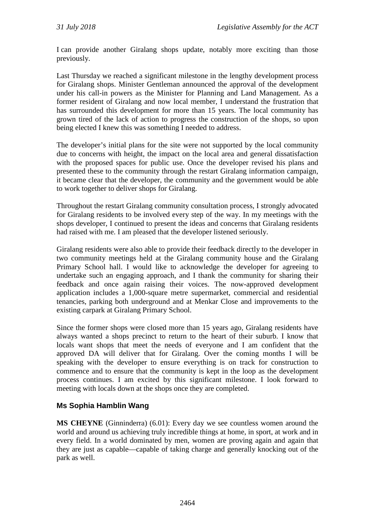I can provide another Giralang shops update, notably more exciting than those previously.

Last Thursday we reached a significant milestone in the lengthy development process for Giralang shops. Minister Gentleman announced the approval of the development under his call-in powers as the Minister for Planning and Land Management. As a former resident of Giralang and now local member, I understand the frustration that has surrounded this development for more than 15 years. The local community has grown tired of the lack of action to progress the construction of the shops, so upon being elected I knew this was something I needed to address.

The developer's initial plans for the site were not supported by the local community due to concerns with height, the impact on the local area and general dissatisfaction with the proposed spaces for public use. Once the developer revised his plans and presented these to the community through the restart Giralang information campaign, it became clear that the developer, the community and the government would be able to work together to deliver shops for Giralang.

Throughout the restart Giralang community consultation process, I strongly advocated for Giralang residents to be involved every step of the way. In my meetings with the shops developer, I continued to present the ideas and concerns that Giralang residents had raised with me. I am pleased that the developer listened seriously.

Giralang residents were also able to provide their feedback directly to the developer in two community meetings held at the Giralang community house and the Giralang Primary School hall. I would like to acknowledge the developer for agreeing to undertake such an engaging approach, and I thank the community for sharing their feedback and once again raising their voices. The now-approved development application includes a 1,000-square metre supermarket, commercial and residential tenancies, parking both underground and at Menkar Close and improvements to the existing carpark at Giralang Primary School.

Since the former shops were closed more than 15 years ago, Giralang residents have always wanted a shops precinct to return to the heart of their suburb. I know that locals want shops that meet the needs of everyone and I am confident that the approved DA will deliver that for Giralang. Over the coming months I will be speaking with the developer to ensure everything is on track for construction to commence and to ensure that the community is kept in the loop as the development process continues. I am excited by this significant milestone. I look forward to meeting with locals down at the shops once they are completed.

# **Ms Sophia Hamblin Wang**

**MS CHEYNE** (Ginninderra) (6.01): Every day we see countless women around the world and around us achieving truly incredible things at home, in sport, at work and in every field. In a world dominated by men, women are proving again and again that they are just as capable—capable of taking charge and generally knocking out of the park as well.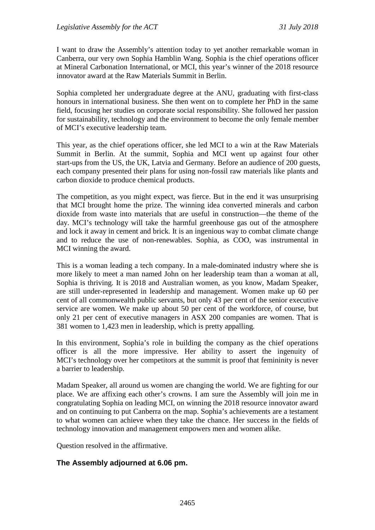I want to draw the Assembly's attention today to yet another remarkable woman in Canberra, our very own Sophia Hamblin Wang. Sophia is the chief operations officer at Mineral Carbonation International, or MCI, this year's winner of the 2018 resource innovator award at the Raw Materials Summit in Berlin.

Sophia completed her undergraduate degree at the ANU, graduating with first-class honours in international business. She then went on to complete her PhD in the same field, focusing her studies on corporate social responsibility. She followed her passion for sustainability, technology and the environment to become the only female member of MCI's executive leadership team.

This year, as the chief operations officer, she led MCI to a win at the Raw Materials Summit in Berlin. At the summit, Sophia and MCI went up against four other start-ups from the US, the UK, Latvia and Germany. Before an audience of 200 guests, each company presented their plans for using non-fossil raw materials like plants and carbon dioxide to produce chemical products.

The competition, as you might expect, was fierce. But in the end it was unsurprising that MCI brought home the prize. The winning idea converted minerals and carbon dioxide from waste into materials that are useful in construction—the theme of the day. MCI's technology will take the harmful greenhouse gas out of the atmosphere and lock it away in cement and brick. It is an ingenious way to combat climate change and to reduce the use of non-renewables. Sophia, as COO, was instrumental in MCI winning the award.

This is a woman leading a tech company. In a male-dominated industry where she is more likely to meet a man named John on her leadership team than a woman at all, Sophia is thriving. It is 2018 and Australian women, as you know, Madam Speaker, are still under-represented in leadership and management. Women make up 60 per cent of all commonwealth public servants, but only 43 per cent of the senior executive service are women. We make up about 50 per cent of the workforce, of course, but only 21 per cent of executive managers in ASX 200 companies are women. That is 381 women to 1,423 men in leadership, which is pretty appalling.

In this environment, Sophia's role in building the company as the chief operations officer is all the more impressive. Her ability to assert the ingenuity of MCI's technology over her competitors at the summit is proof that femininity is never a barrier to leadership.

Madam Speaker, all around us women are changing the world. We are fighting for our place. We are affixing each other's crowns. I am sure the Assembly will join me in congratulating Sophia on leading MCI, on winning the 2018 resource innovator award and on continuing to put Canberra on the map. Sophia's achievements are a testament to what women can achieve when they take the chance. Her success in the fields of technology innovation and management empowers men and women alike.

Question resolved in the affirmative.

#### **The Assembly adjourned at 6.06 pm.**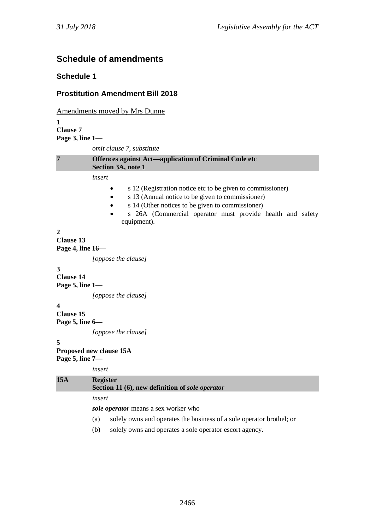# **Schedule of amendments**

#### **Schedule 1**

#### **Prostitution Amendment Bill 2018**

Amendments moved by Mrs Dunne **1 Clause 7 Page 3, line 1** *omit clause 7, substitute* **7 Offences against Act—application of Criminal Code etc Section 3A, note 1** *insert* • s 12 (Registration notice etc to be given to commissioner) • s 13 (Annual notice to be given to commissioner) • s 14 (Other notices to be given to commissioner) s 26A (Commercial operator must provide health and safety equipment). **2 Clause 13 Page 4, line 16—** *[oppose the clause]* **3 Clause 14 Page 5, line 1—** *[oppose the clause]* **4 Clause 15 Page 5, line 6—** *[oppose the clause]* **5 Proposed new clause 15A Page 5, line 7** *insert* **15A Register Section 11 (6), new definition of** *sole operator insert sole operator* means a sex worker who— (a) solely owns and operates the business of a sole operator brothel; or (b) solely owns and operates a sole operator escort agency.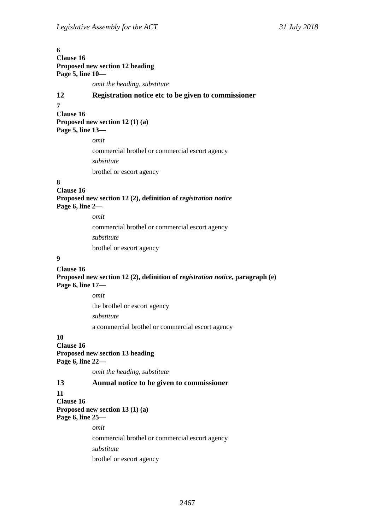# **6 Clause 16 Proposed new section 12 heading Page 5, line 10** *omit the heading, substitute* **12 Registration notice etc to be given to commissioner 7 Clause 16 Proposed new section 12 (1) (a) Page 5, line 13** *omit* commercial brothel or commercial escort agency *substitute* brothel or escort agency **8 Clause 16** Proposed new section 12 (2), definition of *registration notice* **Page 6, line 2** *omit* commercial brothel or commercial escort agency *substitute* brothel or escort agency **9 Clause 16 Proposed new section 12 (2), definition of** *registration notice***, paragraph (e) Page 6, line 17—**

*omit* the brothel or escort agency *substitute* a commercial brothel or commercial escort agency

#### **10**

**Clause 16 Proposed new section 13 heading Page 6, line 22—**

*omit the heading, substitute*

### **13 Annual notice to be given to commissioner**

#### **11**

**Clause 16 Proposed new section 13 (1) (a) Page 6, line 25—**

*omit*

commercial brothel or commercial escort agency *substitute*

brothel or escort agency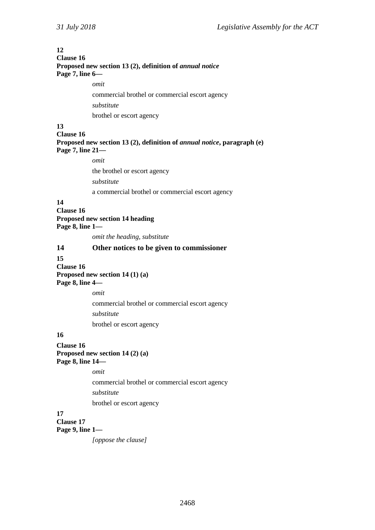# **12 Clause 16 Proposed new section 13 (2), definition of** *annual notice* **Page 7, line 6** *omit* commercial brothel or commercial escort agency *substitute* brothel or escort agency **13 Clause 16 Proposed new section 13 (2), definition of** *annual notice***, paragraph (e) Page 7, line 21** *omit* the brothel or escort agency *substitute* a commercial brothel or commercial escort agency **14 Clause 16 Proposed new section 14 heading Page 8, line 1** *omit the heading, substitute* **14 Other notices to be given to commissioner 15 Clause 16 Proposed new section 14 (1) (a) Page 8, line 4** *omit* commercial brothel or commercial escort agency *substitute* brothel or escort agency **16 Clause 16 Proposed new section 14 (2) (a) Page 8, line 14** *omit* commercial brothel or commercial escort agency *substitute* brothel or escort agency **17 Clause 17 Page 9, line 1—** *[oppose the clause]*